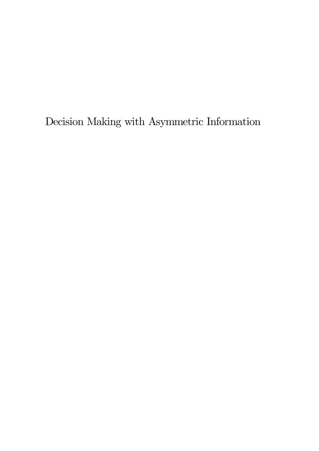Decision Making with Asymmetric Information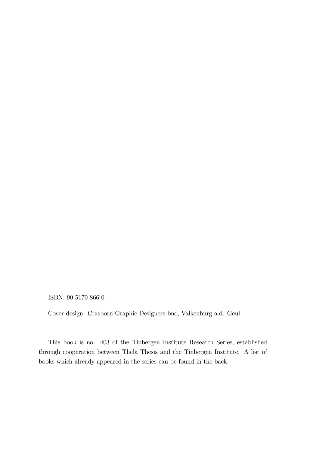ISBN: 90 5170 866 0

Cover design: Crasborn Graphic Designers bno, Valkenburg a.d. Geul

This book is no. 403 of the Tinbergen Institute Research Series, established through cooperation between Thela Thesis and the Tinbergen Institute. A list of books which already appeared in the series can be found in the back.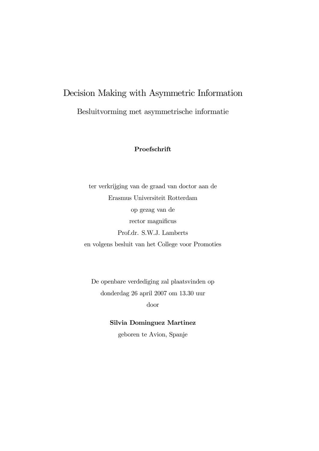# Decision Making with Asymmetric Information

Besluitvorming met asymmetrische informatie

#### Proefschrift

ter verkrijging van de graad van doctor aan de Erasmus Universiteit Rotterdam op gezag van de rector magnificus Prof.dr. S.W.J. Lamberts en volgens besluit van het College voor Promoties

De openbare verdediging zal plaatsvinden op donderdag 26 april 2007 om 13.30 uur door

#### Silvia Dominguez Martinez

geboren te Avion, Spanje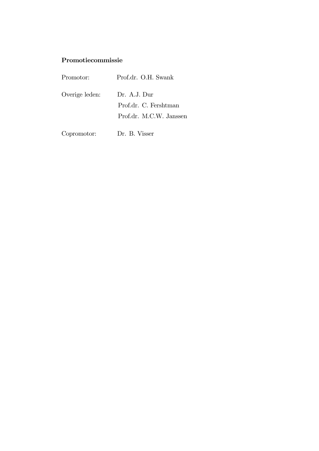### Promotiecommissie

| Promotor:      | Prof.dr. O.H. Swank     |
|----------------|-------------------------|
| Overige leden: | Dr. A.J. Dur            |
|                | Prof.dr. C. Fershtman   |
|                | Prof.dr. M.C.W. Janssen |
|                |                         |

Copromotor: Dr. B. Visser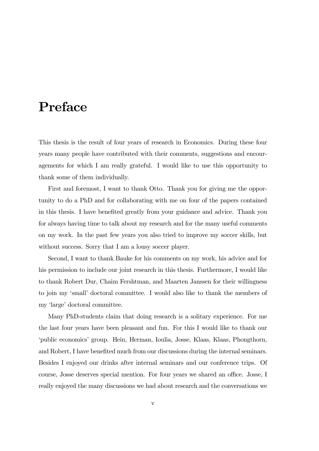# Preface

This thesis is the result of four years of research in Economics. During these four years many people have contributed with their comments, suggestions and encouragements for which I am really grateful. I would like to use this opportunity to thank some of them individually.

First and foremost, I want to thank Otto. Thank you for giving me the opportunity to do a PhD and for collaborating with me on four of the papers contained in this thesis. I have benefited greatly from your guidance and advice. Thank you for always having time to talk about my research and for the many useful comments on my work. In the past few years you also tried to improve my soccer skills, but without success. Sorry that I am a lousy soccer player.

Second, I want to thank Bauke for his comments on my work, his advice and for his permission to include our joint research in this thesis. Furthermore, I would like to thank Robert Dur, Chaim Fershtman, and Maarten Janssen for their willingness to join my 'small' doctoral committee. I would also like to thank the members of my 'large' doctoral committee.

Many PhD-students claim that doing research is a solitary experience. For me the last four years have been pleasant and fun. For this I would like to thank our 'public economics' group. Hein, Herman, Ioulia, Josse, Klaas, Klaas, Phongthorn, and Robert, I have benefited much from our discussions during the internal seminars. Besides I enjoyed our drinks after internal seminars and our conference trips. Of course, Josse deserves special mention. For four years we shared an office. Josse, I really enjoyed the many discussions we had about research and the conversations we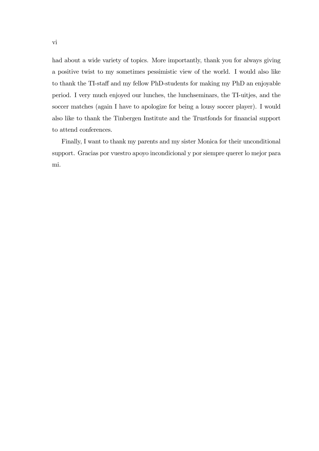had about a wide variety of topics. More importantly, thank you for always giving a positive twist to my sometimes pessimistic view of the world. I would also like to thank the TI-staff and my fellow PhD-students for making my PhD an enjoyable period. I very much enjoyed our lunches, the lunchseminars, the TI-uitjes, and the soccer matches (again I have to apologize for being a lousy soccer player). I would also like to thank the Tinbergen Institute and the Trustfonds for financial support to attend conferences.

Finally, I want to thank my parents and my sister Monica for their unconditional support. Gracias por vuestro apoyo incondicional y por siempre querer lo mejor para mi.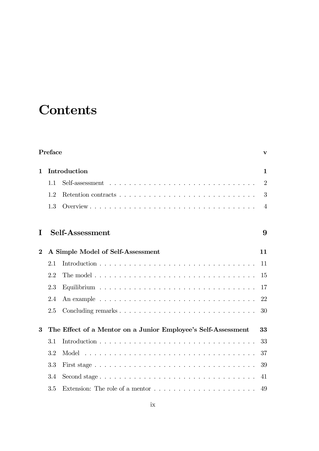# **Contents**

|                | Preface                           |                                                                                   | $\mathbf{v}$   |
|----------------|-----------------------------------|-----------------------------------------------------------------------------------|----------------|
| $\mathbf{1}$   | Introduction                      |                                                                                   | 1              |
|                | 1.1                               |                                                                                   | $\overline{2}$ |
|                | 1.2                               |                                                                                   | 3              |
|                | 1.3                               |                                                                                   | $\overline{4}$ |
| T              |                                   | Self-Assessment                                                                   | 9              |
| $\overline{2}$ | A Simple Model of Self-Assessment |                                                                                   |                |
|                | 2.1                               |                                                                                   | 11             |
|                | 2.2                               |                                                                                   | 15             |
|                | 2.3                               |                                                                                   | 17             |
|                | 2.4                               |                                                                                   | 22             |
|                | 2.5                               |                                                                                   | 30             |
| 3              |                                   | The Effect of a Mentor on a Junior Employee's Self-Assessment                     | 33             |
|                | 3.1                               |                                                                                   | 33             |
|                | 3.2                               |                                                                                   | 37             |
|                | 3.3                               |                                                                                   | 39             |
|                | 3.4                               |                                                                                   | 41             |
|                | 3.5                               | Extension: The role of a mentor $\dots \dots \dots \dots \dots \dots \dots \dots$ | 49             |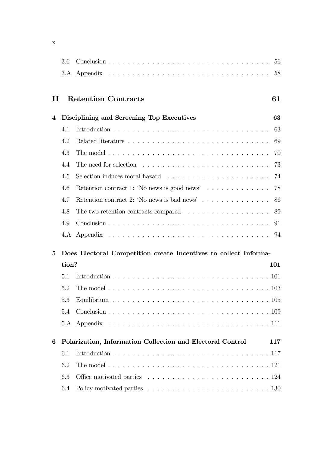## II Retention Contracts 61

| 4 |                                                                  | Disciplining and Screening Top Executives                                                       |  | 63  |
|---|------------------------------------------------------------------|-------------------------------------------------------------------------------------------------|--|-----|
|   | 4.1                                                              |                                                                                                 |  | 63  |
|   | 4.2                                                              |                                                                                                 |  | 69  |
|   | 4.3                                                              | The model $\ldots \ldots \ldots \ldots \ldots \ldots \ldots \ldots \ldots \ldots \ldots$        |  | 70  |
|   | 4.4                                                              | The need for selection $\ldots \ldots \ldots \ldots \ldots \ldots \ldots \ldots$                |  | 73  |
|   | 4.5                                                              |                                                                                                 |  | 74  |
|   | 4.6                                                              | Retention contract 1: 'No news is good news' $\dots \dots \dots \dots$                          |  | 78  |
|   | 4.7                                                              |                                                                                                 |  | 86  |
|   | 4.8                                                              | The two retention contracts compared $\ldots \ldots \ldots \ldots \ldots$                       |  | 89  |
|   | 4.9                                                              |                                                                                                 |  | 91  |
|   | 4.A                                                              |                                                                                                 |  | 94  |
|   | Does Electoral Competition create Incentives to collect Informa- |                                                                                                 |  |     |
| 5 |                                                                  |                                                                                                 |  |     |
|   | tion?                                                            |                                                                                                 |  | 101 |
|   | 5.1                                                              |                                                                                                 |  |     |
|   | 5.2                                                              | The model $\ldots \ldots \ldots \ldots \ldots \ldots \ldots \ldots \ldots \ldots \ldots \ldots$ |  |     |
|   | 5.3                                                              |                                                                                                 |  |     |
|   | 5.4                                                              |                                                                                                 |  |     |
|   | 5.A                                                              |                                                                                                 |  |     |
| 6 |                                                                  | Polarization, Information Collection and Electoral Control                                      |  | 117 |
|   | 6.1                                                              |                                                                                                 |  |     |
|   | 6.2                                                              |                                                                                                 |  |     |
|   | 6.3                                                              |                                                                                                 |  |     |

x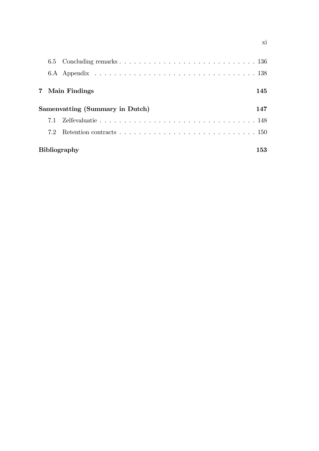|  | 7 Main Findings                 | 145 |
|--|---------------------------------|-----|
|  | Samenvatting (Summary in Dutch) | 147 |
|  |                                 |     |
|  |                                 |     |
|  | <b>Bibliography</b>             | 153 |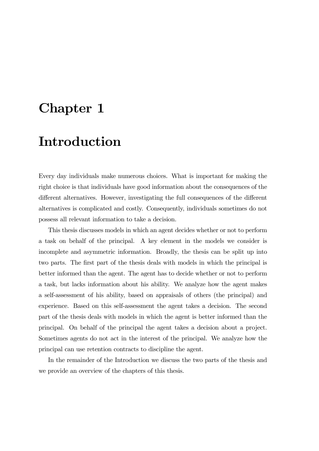# Chapter 1

# Introduction

Every day individuals make numerous choices. What is important for making the right choice is that individuals have good information about the consequences of the different alternatives. However, investigating the full consequences of the different alternatives is complicated and costly. Consequently, individuals sometimes do not possess all relevant information to take a decision.

This thesis discusses models in which an agent decides whether or not to perform a task on behalf of the principal. A key element in the models we consider is incomplete and asymmetric information. Broadly, the thesis can be split up into two parts. The first part of the thesis deals with models in which the principal is better informed than the agent. The agent has to decide whether or not to perform a task, but lacks information about his ability. We analyze how the agent makes a self-assessment of his ability, based on appraisals of others (the principal) and experience. Based on this self-assessment the agent takes a decision. The second part of the thesis deals with models in which the agent is better informed than the principal. On behalf of the principal the agent takes a decision about a project. Sometimes agents do not act in the interest of the principal. We analyze how the principal can use retention contracts to discipline the agent.

In the remainder of the Introduction we discuss the two parts of the thesis and we provide an overview of the chapters of this thesis.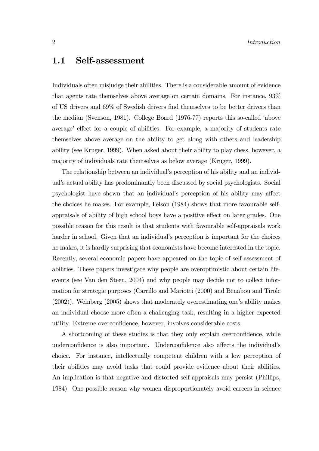#### 2 Introduction

### 1.1 Self-assessment

Individuals often misjudge their abilities. There is a considerable amount of evidence that agents rate themselves above average on certain domains. For instance, 93% of US drivers and 69% of Swedish drivers find themselves to be better drivers than the median (Svenson, 1981). College Board (1976-77) reports this so-called 'above average' effect for a couple of abilities. For example, a majority of students rate themselves above average on the ability to get along with others and leadership ability (see Kruger, 1999). When asked about their ability to play chess, however, a majority of individuals rate themselves as below average (Kruger, 1999).

The relationship between an individual's perception of his ability and an individual's actual ability has predominantly been discussed by social psychologists. Social psychologist have shown that an individual's perception of his ability may affect the choices he makes. For example, Felson (1984) shows that more favourable selfappraisals of ability of high school boys have a positive effect on later grades. One possible reason for this result is that students with favourable self-appraisals work harder in school. Given that an individual's perception is important for the choices he makes, it is hardly surprising that economists have become interested in the topic. Recently, several economic papers have appeared on the topic of self-assessment of abilities. These papers investigate why people are overoptimistic about certain lifeevents (see Van den Steen, 2004) and why people may decide not to collect information for strategic purposes (Carrillo and Mariotti (2000) and Bénabou and Tirole (2002)). Weinberg (2005) shows that moderately overestimating one's ability makes an individual choose more often a challenging task, resulting in a higher expected utility. Extreme overconfidence, however, involves considerable costs.

A shortcoming of these studies is that they only explain overconfidence, while underconfidence is also important. Underconfidence also affects the individual's choice. For instance, intellectually competent children with a low perception of their abilities may avoid tasks that could provide evidence about their abilities. An implication is that negative and distorted self-appraisals may persist (Phillips, 1984). One possible reason why women disproportionately avoid careers in science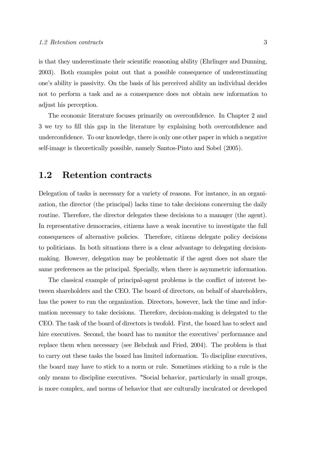is that they underestimate their scientific reasoning ability (Ehrlinger and Dunning, 2003). Both examples point out that a possible consequence of underestimating one's ability is passivity. On the basis of his perceived ability an individual decides not to perform a task and as a consequence does not obtain new information to adjust his perception.

The economic literature focuses primarily on overconfidence. In Chapter 2 and 3 we try to fill this gap in the literature by explaining both overconfidence and underconfidence. To our knowledge, there is only one other paper in which a negative self-image is theoretically possible, namely Santos-Pinto and Sobel (2005).

### 1.2 Retention contracts

Delegation of tasks is necessary for a variety of reasons. For instance, in an organization, the director (the principal) lacks time to take decisions concerning the daily routine. Therefore, the director delegates these decisions to a manager (the agent). In representative democracies, citizens have a weak incentive to investigate the full consequences of alternative policies. Therefore, citizens delegate policy decisions to politicians. In both situations there is a clear advantage to delegating decisionmaking. However, delegation may be problematic if the agent does not share the same preferences as the principal. Specially, when there is asymmetric information.

The classical example of principal-agent problems is the conflict of interest between shareholders and the CEO. The board of directors, on behalf of shareholders, has the power to run the organization. Directors, however, lack the time and information necessary to take decisions. Therefore, decision-making is delegated to the CEO. The task of the board of directors is twofold. First, the board has to select and hire executives. Second, the board has to monitor the executives' performance and replace them when necessary (see Bebchuk and Fried, 2004). The problem is that to carry out these tasks the board has limited information. To discipline executives, the board may have to stick to a norm or rule. Sometimes sticking to a rule is the only means to discipline executives. "Social behavior, particularly in small groups, is more complex, and norms of behavior that are culturally inculcated or developed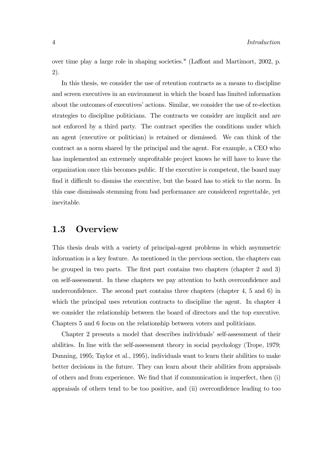over time play a large role in shaping societies." (Laffont and Martimort, 2002, p. 2).

In this thesis, we consider the use of retention contracts as a means to discipline and screen executives in an environment in which the board has limited information about the outcomes of executives' actions. Similar, we consider the use of re-election strategies to discipline politicians. The contracts we consider are implicit and are not enforced by a third party. The contract specifies the conditions under which an agent (executive or politician) is retained or dismissed. We can think of the contract as a norm shared by the principal and the agent. For example, a CEO who has implemented an extremely unprofitable project knows he will have to leave the organization once this becomes public. If the executive is competent, the board may find it difficult to dismiss the executive, but the board has to stick to the norm. In this case dismissals stemming from bad performance are considered regrettable, yet inevitable.

### 1.3 Overview

This thesis deals with a variety of principal-agent problems in which asymmetric information is a key feature. As mentioned in the previous section, the chapters can be grouped in two parts. The first part contains two chapters (chapter 2 and 3) on self-assessment. In these chapters we pay attention to both overconfidence and underconfidence. The second part contains three chapters (chapter 4, 5 and 6) in which the principal uses retention contracts to discipline the agent. In chapter 4 we consider the relationship between the board of directors and the top executive. Chapters 5 and 6 focus on the relationship between voters and politicians.

Chapter 2 presents a model that describes individuals' self-assessment of their abilities. In line with the self-assessment theory in social psychology (Trope, 1979; Dunning, 1995; Taylor et al., 1995), individuals want to learn their abilities to make better decisions in the future. They can learn about their abilities from appraisals of others and from experience. We find that if communication is imperfect, then (i) appraisals of others tend to be too positive, and (ii) overconfidence leading to too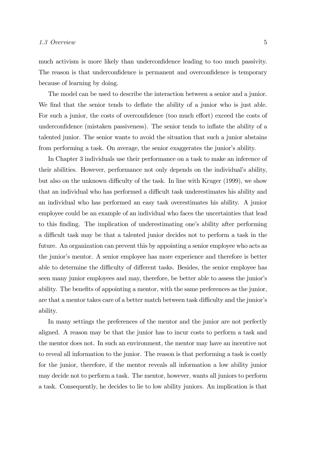much activism is more likely than underconfidence leading to too much passivity. The reason is that underconfidence is permanent and overconfidence is temporary because of learning by doing.

The model can be used to describe the interaction between a senior and a junior. We find that the senior tends to deflate the ability of a junior who is just able. For such a junior, the costs of overconfidence (too much effort) exceed the costs of underconfidence (mistaken passiveness). The senior tends to inflate the ability of a talented junior. The senior wants to avoid the situation that such a junior abstains from performing a task. On average, the senior exaggerates the junior's ability.

In Chapter 3 individuals use their performance on a task to make an inference of their abilities. However, performance not only depends on the individual's ability, but also on the unknown difficulty of the task. In line with Kruger (1999), we show that an individual who has performed a difficult task underestimates his ability and an individual who has performed an easy task overestimates his ability. A junior employee could be an example of an individual who faces the uncertainties that lead to this finding. The implication of underestimating one's ability after performing a difficult task may be that a talented junior decides not to perform a task in the future. An organization can prevent this by appointing a senior employee who acts as the junior's mentor. A senior employee has more experience and therefore is better able to determine the difficulty of different tasks. Besides, the senior employee has seen many junior employees and may, therefore, be better able to assess the junior's ability. The benefits of appointing a mentor, with the same preferences as the junior, are that a mentor takes care of a better match between task difficulty and the junior's ability.

In many settings the preferences of the mentor and the junior are not perfectly aligned. A reason may be that the junior has to incur costs to perform a task and the mentor does not. In such an environment, the mentor may have an incentive not to reveal all information to the junior. The reason is that performing a task is costly for the junior, therefore, if the mentor reveals all information a low ability junior may decide not to perform a task. The mentor, however, wants all juniors to perform a task. Consequently, he decides to lie to low ability juniors. An implication is that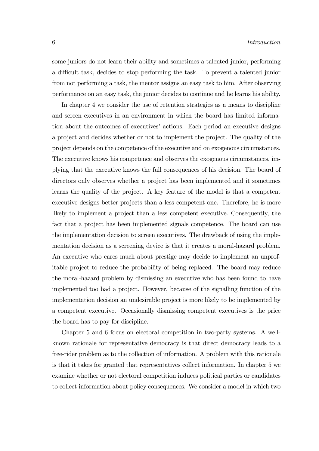some juniors do not learn their ability and sometimes a talented junior, performing a difficult task, decides to stop performing the task. To prevent a talented junior from not performing a task, the mentor assigns an easy task to him. After observing performance on an easy task, the junior decides to continue and he learns his ability.

In chapter 4 we consider the use of retention strategies as a means to discipline and screen executives in an environment in which the board has limited information about the outcomes of executives' actions. Each period an executive designs a project and decides whether or not to implement the project. The quality of the project depends on the competence of the executive and on exogenous circumstances. The executive knows his competence and observes the exogenous circumstances, implying that the executive knows the full consequences of his decision. The board of directors only observes whether a project has been implemented and it sometimes learns the quality of the project. A key feature of the model is that a competent executive designs better projects than a less competent one. Therefore, he is more likely to implement a project than a less competent executive. Consequently, the fact that a project has been implemented signals competence. The board can use the implementation decision to screen executives. The drawback of using the implementation decision as a screening device is that it creates a moral-hazard problem. An executive who cares much about prestige may decide to implement an unprofitable project to reduce the probability of being replaced. The board may reduce the moral-hazard problem by dismissing an executive who has been found to have implemented too bad a project. However, because of the signalling function of the implementation decision an undesirable project is more likely to be implemented by a competent executive. Occasionally dismissing competent executives is the price the board has to pay for discipline.

Chapter 5 and 6 focus on electoral competition in two-party systems. A wellknown rationale for representative democracy is that direct democracy leads to a free-rider problem as to the collection of information. A problem with this rationale is that it takes for granted that representatives collect information. In chapter 5 we examine whether or not electoral competition induces political parties or candidates to collect information about policy consequences. We consider a model in which two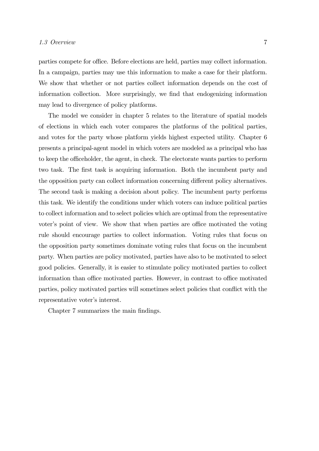parties compete for office. Before elections are held, parties may collect information. In a campaign, parties may use this information to make a case for their platform. We show that whether or not parties collect information depends on the cost of information collection. More surprisingly, we find that endogenizing information may lead to divergence of policy platforms.

The model we consider in chapter 5 relates to the literature of spatial models of elections in which each voter compares the platforms of the political parties, and votes for the party whose platform yields highest expected utility. Chapter 6 presents a principal-agent model in which voters are modeled as a principal who has to keep the officeholder, the agent, in check. The electorate wants parties to perform two task. The first task is acquiring information. Both the incumbent party and the opposition party can collect information concerning different policy alternatives. The second task is making a decision about policy. The incumbent party performs this task. We identify the conditions under which voters can induce political parties to collect information and to select policies which are optimal from the representative voter's point of view. We show that when parties are office motivated the voting rule should encourage parties to collect information. Voting rules that focus on the opposition party sometimes dominate voting rules that focus on the incumbent party. When parties are policy motivated, parties have also to be motivated to select good policies. Generally, it is easier to stimulate policy motivated parties to collect information than office motivated parties. However, in contrast to office motivated parties, policy motivated parties will sometimes select policies that conflict with the representative voter's interest.

Chapter 7 summarizes the main findings.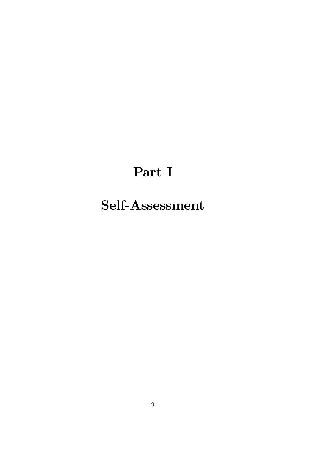# Part I

Self-Assessment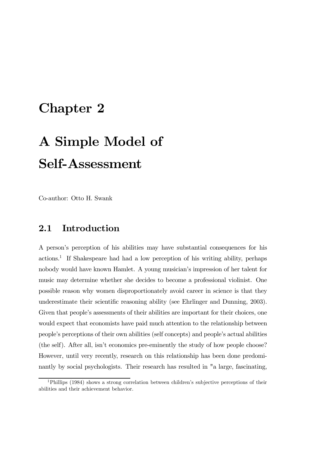# Chapter 2

# A Simple Model of Self-Assessment

Co-author: Otto H. Swank

## 2.1 Introduction

A person's perception of his abilities may have substantial consequences for his actions.1 If Shakespeare had had a low perception of his writing ability, perhaps nobody would have known Hamlet. A young musician's impression of her talent for music may determine whether she decides to become a professional violinist. One possible reason why women disproportionately avoid career in science is that they underestimate their scientific reasoning ability (see Ehrlinger and Dunning, 2003). Given that people's assessments of their abilities are important for their choices, one would expect that economists have paid much attention to the relationship between people's perceptions of their own abilities (self concepts) and people's actual abilities (the self). After all, isn't economics pre-eminently the study of how people choose? However, until very recently, research on this relationship has been done predominantly by social psychologists. Their research has resulted in "a large, fascinating,

<sup>1</sup>Phillips (1984) shows a strong correlation between children's subjective perceptions of their abilities and their achievement behavior.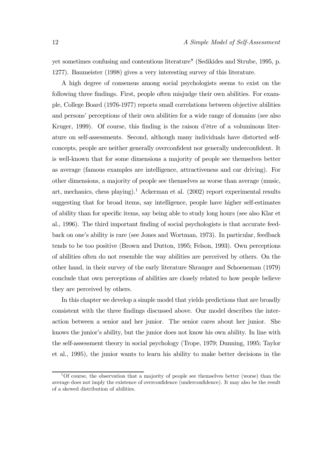yet sometimes confusing and contentious literature" (Sedikides and Strube, 1995, p. 1277). Baumeister (1998) gives a very interesting survey of this literature.

A high degree of consensus among social psychologists seems to exist on the following three findings. First, people often misjudge their own abilities. For example, College Board (1976-1977) reports small correlations between objective abilities and persons' perceptions of their own abilities for a wide range of domains (see also Kruger, 1999). Of course, this finding is the raison d'être of a voluminous literature on self-assessments. Second, although many individuals have distorted selfconcepts, people are neither generally overconfident nor generally underconfident. It is well-known that for some dimensions a majority of people see themselves better as average (famous examples are intelligence, attractiveness and car driving). For other dimensions, a majority of people see themselves as worse than average (music, art, mechanics, chess playing).<sup>1</sup> Ackerman et al.  $(2002)$  report experimental results suggesting that for broad items, say intelligence, people have higher self-estimates of ability than for specific items, say being able to study long hours (see also Klar et al., 1996). The third important finding of social psychologists is that accurate feedback on one's ability is rare (see Jones and Wortman, 1973). In particular, feedback tends to be too positive (Brown and Dutton, 1995; Felson, 1993). Own perceptions of abilities often do not resemble the way abilities are perceived by others. On the other hand, in their survey of the early literature Shrauger and Schoeneman (1979) conclude that own perceptions of abilities are closely related to how people believe they are perceived by others.

In this chapter we develop a simple model that yields predictions that are broadly consistent with the three findings discussed above. Our model describes the interaction between a senior and her junior. The senior cares about her junior. She knows the junior's ability, but the junior does not know his own ability. In line with the self-assessment theory in social psychology (Trope, 1979; Dunning, 1995; Taylor et al., 1995), the junior wants to learn his ability to make better decisions in the

<sup>&</sup>lt;sup>1</sup>Of course, the observation that a majority of people see themselves better (worse) than the average does not imply the existence of overconfidence (underconfidence). It may also be the result of a skewed distribution of abilities.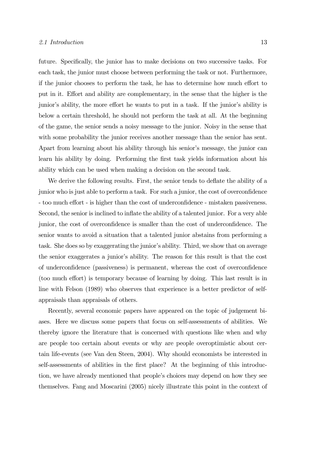future. Specifically, the junior has to make decisions on two successive tasks. For each task, the junior must choose between performing the task or not. Furthermore, if the junior chooses to perform the task, he has to determine how much effort to put in it. Effort and ability are complementary, in the sense that the higher is the junior's ability, the more effort he wants to put in a task. If the junior's ability is below a certain threshold, he should not perform the task at all. At the beginning of the game, the senior sends a noisy message to the junior. Noisy in the sense that with some probability the junior receives another message than the senior has sent. Apart from learning about his ability through his senior's message, the junior can learn his ability by doing. Performing the first task yields information about his ability which can be used when making a decision on the second task.

We derive the following results. First, the senior tends to deflate the ability of a junior who is just able to perform a task. For such a junior, the cost of overconfidence - too much effort - is higher than the cost of underconfidence - mistaken passiveness. Second, the senior is inclined to inflate the ability of a talented junior. For a very able junior, the cost of overconfidence is smaller than the cost of underconfidence. The senior wants to avoid a situation that a talented junior abstains from performing a task. She does so by exaggerating the junior's ability. Third, we show that on average the senior exaggerates a junior's ability. The reason for this result is that the cost of underconfidence (passiveness) is permanent, whereas the cost of overconfidence (too much effort) is temporary because of learning by doing. This last result is in line with Felson (1989) who observes that experience is a better predictor of selfappraisals than appraisals of others.

Recently, several economic papers have appeared on the topic of judgement biases. Here we discuss some papers that focus on self-assessments of abilities. We thereby ignore the literature that is concerned with questions like when and why are people too certain about events or why are people overoptimistic about certain life-events (see Van den Steen, 2004). Why should economists be interested in self-assessments of abilities in the first place? At the beginning of this introduction, we have already mentioned that people's choices may depend on how they see themselves. Fang and Moscarini (2005) nicely illustrate this point in the context of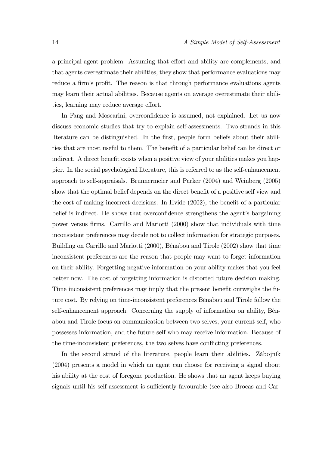a principal-agent problem. Assuming that effort and ability are complements, and that agents overestimate their abilities, they show that performance evaluations may reduce a firm's profit. The reason is that through performance evaluations agents may learn their actual abilities. Because agents on average overestimate their abilities, learning may reduce average effort.

In Fang and Moscarini, overconfidence is assumed, not explained. Let us now discuss economic studies that try to explain self-assessments. Two strands in this literature can be distinguished. In the first, people form beliefs about their abilities that are most useful to them. The benefit of a particular belief can be direct or indirect. A direct benefit exists when a positive view of your abilities makes you happier. In the social psychological literature, this is referred to as the self-enhancement approach to self-appraisals. Brunnermeier and Parker (2004) and Weinberg (2005) show that the optimal belief depends on the direct benefit of a positive self view and the cost of making incorrect decisions. In Hvide (2002), the benefit of a particular belief is indirect. He shows that overconfidence strengthens the agent's bargaining power versus firms. Carrillo and Mariotti (2000) show that individuals with time inconsistent preferences may decide not to collect information for strategic purposes. Building on Carrillo and Mariotti (2000), Bénabou and Tirole (2002) show that time inconsistent preferences are the reason that people may want to forget information on their ability. Forgetting negative information on your ability makes that you feel better now. The cost of forgetting information is distorted future decision making. Time inconsistent preferences may imply that the present benefit outweighs the future cost. By relying on time-inconsistent preferences Bénabou and Tirole follow the self-enhancement approach. Concerning the supply of information on ability, Bénabou and Tirole focus on communication between two selves, your current self, who possesses information, and the future self who may receive information. Because of the time-inconsistent preferences, the two selves have conflicting preferences.

In the second strand of the literature, people learn their abilities. Zábojník (2004) presents a model in which an agent can choose for receiving a signal about his ability at the cost of foregone production. He shows that an agent keeps buying signals until his self-assessment is sufficiently favourable (see also Brocas and Car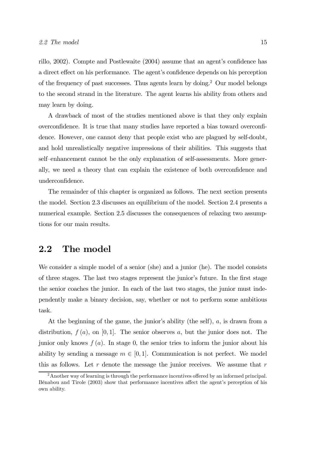rillo, 2002). Compte and Postlewaite (2004) assume that an agent's confidence has a direct effect on his performance. The agent's confidence depends on his perception of the frequency of past successes. Thus agents learn by doing.2 Our model belongs to the second strand in the literature. The agent learns his ability from others and may learn by doing.

A drawback of most of the studies mentioned above is that they only explain overconfidence. It is true that many studies have reported a bias toward overconfidence. However, one cannot deny that people exist who are plagued by self-doubt, and hold unrealistically negative impressions of their abilities. This suggests that self—enhancement cannot be the only explanation of self-assessments. More generally, we need a theory that can explain the existence of both overconfidence and underconfidence.

The remainder of this chapter is organized as follows. The next section presents the model. Section 2.3 discusses an equilibrium of the model. Section 2.4 presents a numerical example. Section 2.5 discusses the consequences of relaxing two assumptions for our main results.

### 2.2 The model

We consider a simple model of a senior (she) and a junior (he). The model consists of three stages. The last two stages represent the junior's future. In the first stage the senior coaches the junior. In each of the last two stages, the junior must independently make a binary decision, say, whether or not to perform some ambitious task.

At the beginning of the game, the junior's ability (the self), a, is drawn from a distribution,  $f(a)$ , on [0, 1]. The senior observes a, but the junior does not. The junior only knows  $f(a)$ . In stage 0, the senior tries to inform the junior about his ability by sending a message  $m \in [0, 1]$ . Communication is not perfect. We model this as follows. Let  $r$  denote the message the junior receives. We assume that  $r$ 

<sup>&</sup>lt;sup>2</sup> Another way of learning is through the performance incentives offered by an informed principal. Bénabou and Tirole (2003) show that performance incentives affect the agent's perception of his own ability.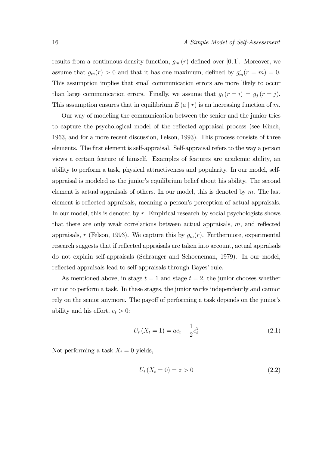results from a continuous density function,  $g_m(r)$  defined over [0, 1]. Moreover, we assume that  $g_m(r) > 0$  and that it has one maximum, defined by  $g'_m(r = m) = 0$ . This assumption implies that small communication errors are more likely to occur than large communication errors. Finally, we assume that  $g_i (r = i) = g_j (r = j)$ . This assumption ensures that in equilibrium  $E(a | r)$  is an increasing function of m.

Our way of modeling the communication between the senior and the junior tries to capture the psychological model of the reflected appraisal process (see Kinch, 1963, and for a more recent discussion, Felson, 1993). This process consists of three elements. The first element is self-appraisal. Self-appraisal refers to the way a person views a certain feature of himself. Examples of features are academic ability, an ability to perform a task, physical attractiveness and popularity. In our model, selfappraisal is modeled as the junior's equilibrium belief about his ability. The second element is actual appraisals of others. In our model, this is denoted by  $m$ . The last element is reflected appraisals, meaning a person's perception of actual appraisals. In our model, this is denoted by  $r$ . Empirical research by social psychologists shows that there are only weak correlations between actual appraisals,  $m$ , and reflected appraisals, r (Felson, 1993). We capture this by  $g_m(r)$ . Furthermore, experimental research suggests that if reflected appraisals are taken into account, actual appraisals do not explain self-appraisals (Schrauger and Schoeneman, 1979). In our model, reflected appraisals lead to self-appraisals through Bayes' rule.

As mentioned above, in stage  $t = 1$  and stage  $t = 2$ , the junior chooses whether or not to perform a task. In these stages, the junior works independently and cannot rely on the senior anymore. The payoff of performing a task depends on the junior's ability and his effort,  $e_t > 0$ :

$$
U_t(X_t = 1) = ae_t - \frac{1}{2}e_t^2
$$
\n(2.1)

Not performing a task  $X_t = 0$  yields,

$$
U_t(X_t = 0) = z > 0
$$
\n(2.2)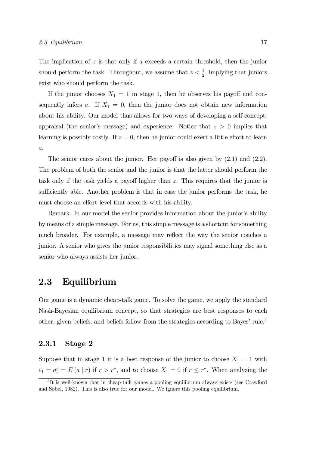The implication of  $z$  is that only if  $a$  exceeds a certain threshold, then the junior should perform the task. Throughout, we assume that  $z < \frac{1}{2}$ , implying that juniors exist who should perform the task.

If the junior chooses  $X_1 = 1$  in stage 1, then he observes his payoff and consequently infers a. If  $X_1 = 0$ , then the junior does not obtain new information about his ability. Our model thus allows for two ways of developing a self-concept: appraisal (the senior's message) and experience. Notice that  $z > 0$  implies that learning is possibly costly. If  $z = 0$ , then he junior could exert a little effort to learn  $\overline{a}$ .

The senior cares about the junior. Her payoff is also given by  $(2.1)$  and  $(2.2)$ . The problem of both the senior and the junior is that the latter should perform the task only if the task yields a payoff higher than z. This requires that the junior is sufficiently able. Another problem is that in case the junior performs the task, he must choose an effort level that accords with his ability.

Remark. In our model the senior provides information about the junior's ability by means of a simple message. For us, this simple message is a shortcut for something much broader. For example, a message may reflect the way the senior coaches a junior. A senior who gives the junior responsibilities may signal something else as a senior who always assists her junior.

### 2.3 Equilibrium

Our game is a dynamic cheap-talk game. To solve the game, we apply the standard Nash-Bayesian equilibrium concept, so that strategies are best responses to each other, given beliefs, and beliefs follow from the strategies according to Bayes' rule.3

### 2.3.1 Stage 2

Suppose that in stage 1 it is a best response of the junior to choose  $X_1 = 1$  with  $e_1 = a_r^e = E(a | r)$  if  $r > r^*$ , and to choose  $X_1 = 0$  if  $r \leq r^*$ . When analyzing the

<sup>3</sup> It is well-known that in cheap-talk games a pooling equilibrium always exists (see Crawford and Sobel, 1982). This is also true for our model. We ignore this pooling equilibrium.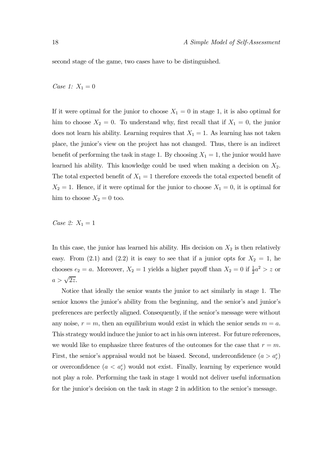second stage of the game, two cases have to be distinguished.

Case 1:  $X_1 = 0$ 

If it were optimal for the junior to choose  $X_1 = 0$  in stage 1, it is also optimal for him to choose  $X_2 = 0$ . To understand why, first recall that if  $X_1 = 0$ , the junior does not learn his ability. Learning requires that  $X_1 = 1$ . As learning has not taken place, the junior's view on the project has not changed. Thus, there is an indirect benefit of performing the task in stage 1. By choosing  $X_1 = 1$ , the junior would have learned his ability. This knowledge could be used when making a decision on  $X_2$ . The total expected benefit of  $X_1 = 1$  therefore exceeds the total expected benefit of  $X_2 = 1$ . Hence, if it were optimal for the junior to choose  $X_1 = 0$ , it is optimal for him to choose  $X_2 = 0$  too.

*Case 2:*  $X_1 = 1$ 

In this case, the junior has learned his ability. His decision on  $X_2$  is then relatively easy. From  $(2.1)$  and  $(2.2)$  it is easy to see that if a junior opts for  $X_2 = 1$ , he chooses  $e_2 = a$ . Moreover,  $X_2 = 1$  yields a higher payoff than  $X_2 = 0$  if  $\frac{1}{2}a^2 > z$  or  $a > \sqrt{2z}$ .

Notice that ideally the senior wants the junior to act similarly in stage 1. The senior knows the junior's ability from the beginning, and the senior's and junior's preferences are perfectly aligned. Consequently, if the senior's message were without any noise,  $r = m$ , then an equilibrium would exist in which the senior sends  $m = a$ . This strategy would induce the junior to act in his own interest. For future references, we would like to emphasize three features of the outcomes for the case that  $r = m$ . First, the senior's appraisal would not be biased. Second, underconfidence  $(a > a_r^e)$ or overconfidence  $(a < a_r^e)$  would not exist. Finally, learning by experience would not play a role. Performing the task in stage 1 would not deliver useful information for the junior's decision on the task in stage 2 in addition to the senior's message.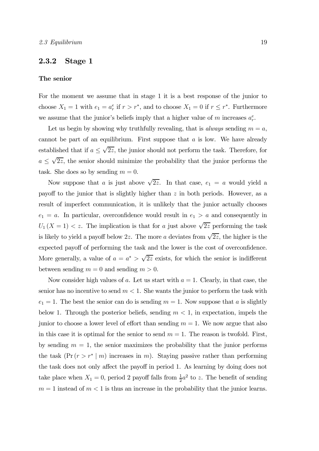### 2.3.2 Stage 1

#### The senior

For the moment we assume that in stage 1 it is a best response of the junior to choose  $X_1 = 1$  with  $e_1 = a_r^e$  if  $r > r^*$ , and to choose  $X_1 = 0$  if  $r \leq r^*$ . Furthermore we assume that the junior's beliefs imply that a higher value of m increases  $a_r^e$ .

Let us begin by showing why truthfully revealing, that is *always* sending  $m = a$ , cannot be part of an equilibrium. First suppose that  $a$  is low. We have already established that if  $a \leq \sqrt{2z}$ , the junior should not perform the task. Therefore, for  $a \leq \sqrt{2z}$ , the senior should minimize the probability that the junior performs the task. She does so by sending  $m = 0$ .

Now suppose that a is just above  $\sqrt{2z}$ . In that case,  $e_1 = a$  would yield a payoff to the junior that is slightly higher than  $z$  in both periods. However, as a result of imperfect communication, it is unlikely that the junior actually chooses  $e_1 = a$ . In particular, overconfidence would result in  $e_1 > a$  and consequently in  $U_1 (X = 1) < z$ . The implication is that for a just above  $\sqrt{2z}$  performing the task is likely to yield a payoff below 2z. The more a deviates from  $\sqrt{2z}$ , the higher is the expected payoff of performing the task and the lower is the cost of overconfidence. More generally, a value of  $a = a^* > \sqrt{2z}$  exists, for which the senior is indifferent between sending  $m = 0$  and sending  $m > 0$ .

Now consider high values of a. Let us start with  $a = 1$ . Clearly, in that case, the senior has no incentive to send  $m < 1$ . She wants the junior to perform the task with  $e_1 = 1$ . The best the senior can do is sending  $m = 1$ . Now suppose that a is slightly below 1. Through the posterior beliefs, sending  $m < 1$ , in expectation, impels the junior to choose a lower level of effort than sending  $m = 1$ . We now argue that also in this case it is optimal for the senior to send  $m = 1$ . The reason is twofold. First, by sending  $m = 1$ , the senior maximizes the probability that the junior performs the task  $(\Pr(r>r^* | m)$  increases in m). Staying passive rather than performing the task does not only affect the payoff in period 1. As learning by doing does not take place when  $X_1 = 0$ , period 2 payoff falls from  $\frac{1}{2}a^2$  to z. The benefit of sending  $m = 1$  instead of  $m < 1$  is thus an increase in the probability that the junior learns.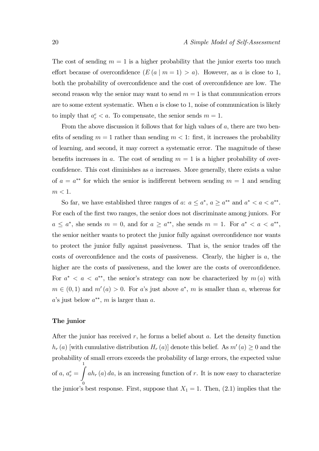The cost of sending  $m = 1$  is a higher probability that the junior exerts too much effort because of overconfidence  $(E(a \mid m=1) > a)$ . However, as a is close to 1, both the probability of overconfidence and the cost of overconfidence are low. The second reason why the senior may want to send  $m = 1$  is that communication errors are to some extent systematic. When  $a$  is close to 1, noise of communication is likely to imply that  $a_r^e < a$ . To compensate, the senior sends  $m = 1$ .

From the above discussion it follows that for high values of  $a$ , there are two benefits of sending  $m = 1$  rather than sending  $m < 1$ : first, it increases the probability of learning, and second, it may correct a systematic error. The magnitude of these benefits increases in a. The cost of sending  $m = 1$  is a higher probability of overconfidence. This cost diminishes as a increases. More generally, there exists a value of  $a = a^{**}$  for which the senior is indifferent between sending  $m = 1$  and sending  $m < 1$ .

So far, we have established three ranges of a:  $a \leq a^*$ ,  $a \geq a^{**}$  and  $a^* < a < a^{**}$ . For each of the first two ranges, the senior does not discriminate among juniors. For  $a \leq a^*$ , she sends  $m = 0$ , and for  $a \geq a^{**}$ , she sends  $m = 1$ . For  $a^* < a < a^{**}$ , the senior neither wants to protect the junior fully against overconfidence nor wants to protect the junior fully against passiveness. That is, the senior trades off the costs of overconfidence and the costs of passiveness. Clearly, the higher is  $a$ , the higher are the costs of passiveness, and the lower are the costs of overconfidence. For  $a^*$  <  $a \lt a^{**}$ , the senior's strategy can now be characterized by  $m(a)$  with  $m \in (0,1)$  and  $m'(a) > 0$ . For a's just above  $a^*$ , m is smaller than a, whereas for  $a$ 's just below  $a^{**}$ , m is larger than  $a$ .

#### The junior

After the junior has received  $r$ , he forms a belief about  $a$ . Let the density function  $h_r(a)$  [with cumulative distribution  $H_r(a)$ ] denote this belief. As  $m'(a) \geq 0$  and the probability of small errors exceeds the probability of large errors, the expected value of  $a, a_r^e =$ Z 1 0  $ah_r(a) da$ , is an increasing function of r. It is now easy to characterize the junior's best response. First, suppose that  $X_1 = 1$ . Then,  $(2.1)$  implies that the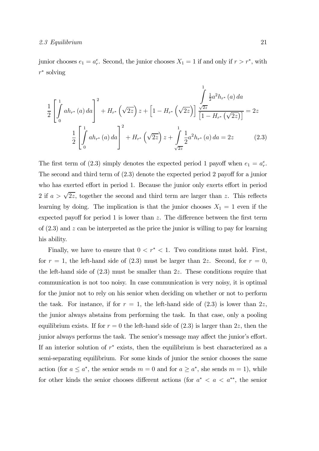junior chooses  $e_1 = a_r^e$ . Second, the junior chooses  $X_1 = 1$  if and only if  $r > r^*$ , with  $r^*$  solving

$$
\frac{1}{2} \left[ \int_{0}^{1} a h_{r^{*}}(a) da \right]^{2} + H_{r^{*}}\left(\sqrt{2z}\right) z + \left[1 - H_{r^{*}}\left(\sqrt{2z}\right)\right] \frac{\int_{\sqrt{2z}}^{1} \frac{1}{2} a^{2} h_{r^{*}}(a) da}{\left[1 - H_{r^{*}}\left(\sqrt{2z}\right)\right]} = 2z
$$
\n
$$
\frac{1}{2} \left[ \int_{0}^{1} a h_{r^{*}}(a) da \right]^{2} + H_{r^{*}}\left(\sqrt{2z}\right) z + \int_{\sqrt{2z}}^{1} \frac{1}{2} a^{2} h_{r^{*}}(a) da = 2z \qquad (2.3)
$$

The first term of (2.3) simply denotes the expected period 1 payoff when  $e_1 = a_r^e$ . The second and third term of (2.3) denote the expected period 2 payoff for a junior who has exerted effort in period 1. Because the junior only exerts effort in period 2 if  $a > \sqrt{2z}$ , together the second and third term are larger than z. This reflects learning by doing. The implication is that the junior chooses  $X_1 = 1$  even if the expected payoff for period 1 is lower than z. The difference between the first term of  $(2.3)$  and z can be interpreted as the price the junior is willing to pay for learning his ability.

Finally, we have to ensure that  $0 < r^* < 1$ . Two conditions must hold. First, for  $r = 1$ , the left-hand side of (2.3) must be larger than 2z. Second, for  $r = 0$ , the left-hand side of  $(2.3)$  must be smaller than  $2z$ . These conditions require that communication is not too noisy. In case communication is very noisy, it is optimal for the junior not to rely on his senior when deciding on whether or not to perform the task. For instance, if for  $r = 1$ , the left-hand side of  $(2.3)$  is lower than  $2z$ , the junior always abstains from performing the task. In that case, only a pooling equilibrium exists. If for  $r = 0$  the left-hand side of  $(2.3)$  is larger than 2z, then the junior always performs the task. The senior's message may affect the junior's effort. If an interior solution of  $r^*$  exists, then the equilibrium is best characterized as a semi-separating equilibrium. For some kinds of junior the senior chooses the same action (for  $a \leq a^*$ , the senior sends  $m = 0$  and for  $a \geq a^*$ , she sends  $m = 1$ ), while for other kinds the senior chooses different actions (for  $a^*$  <  $a \lt a^{**}$ , the senior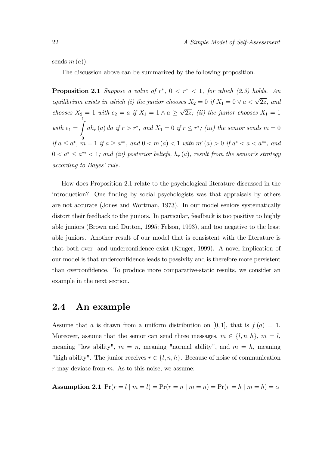sends  $m(a)$ ).

The discussion above can be summarized by the following proposition.

**Proposition 2.1** Suppose a value of  $r^*$ ,  $0 < r^* < 1$ , for which (2.3) holds. An equilibrium exists in which (i) the junior chooses  $X_2 = 0$  if  $X_1 = 0 \vee a < \sqrt{2z}$ , and chooses  $X_2 = 1$  with  $e_2 = a$  if  $X_1 = 1 \wedge a \ge \sqrt{2z}$ ; (ii) the junior chooses  $X_1 = 1$ with  $e_1 =$ Z  $\mathbf{0}$  $ah_r(a) da$  if  $r>r^*$ , and  $X_1 = 0$  if  $r \leq r^*$ ; (iii) the senior sends  $m = 0$ if  $a \le a^*$ ,  $m = 1$  if  $a \ge a^{**}$ , and  $0 < m$   $(a) < 1$  with  $m'(a) > 0$  if  $a^* < a < a^{**}$ , and  $0 < a^* \leq a^{**} < 1$ ; and (iv) posterior beliefs,  $h_r(a)$ , result from the senior's strategy according to Bayes' rule.

How does Proposition 2.1 relate to the psychological literature discussed in the introduction? One finding by social psychologists was that appraisals by others are not accurate (Jones and Wortman, 1973). In our model seniors systematically distort their feedback to the juniors. In particular, feedback is too positive to highly able juniors (Brown and Dutton, 1995; Felson, 1993), and too negative to the least able juniors. Another result of our model that is consistent with the literature is that both over- and underconfidence exist (Kruger, 1999). A novel implication of our model is that underconfidence leads to passivity and is therefore more persistent than overconfidence. To produce more comparative-static results, we consider an example in the next section.

### 2.4 An example

Assume that a is drawn from a uniform distribution on [0, 1], that is  $f(a)=1$ . Moreover, assume that the senior can send three messages,  $m \in \{l, n, h\}$ ,  $m = l$ , meaning "low ability",  $m = n$ , meaning "normal ability", and  $m = h$ , meaning "high ability". The junior receives  $r \in \{l, n, h\}$ . Because of noise of communication  $r$  may deviate from  $m$ . As to this noise, we assume:

**Assumption 2.1**  $Pr(r = l \mid m = l) = Pr(r = n \mid m = n) = Pr(r = h \mid m = h) = \alpha$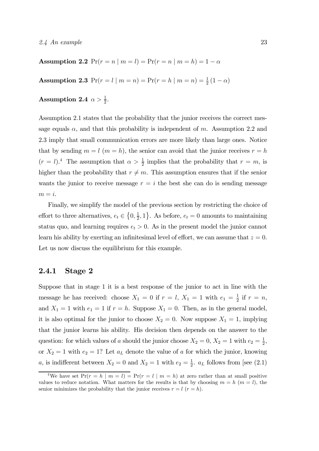Assumption 2.2  $Pr(r = n | m = l) = Pr(r = n | m = h) = 1 - \alpha$ 

**Assumption 2.3**  $Pr(r = l \mid m = n) = Pr(r = h \mid m = n) = \frac{1}{2}(1 - \alpha)$ 

Assumption 2.4  $\alpha > \frac{1}{2}$ .

Assumption 2.1 states that the probability that the junior receives the correct message equals  $\alpha$ , and that this probability is independent of m. Assumption 2.2 and 2.3 imply that small communication errors are more likely than large ones. Notice that by sending  $m = l$   $(m = h)$ , the senior can avoid that the junior receives  $r = h$  $(r = l)^4$  The assumption that  $\alpha > \frac{1}{2}$  implies that the probability that  $r = m$ , is higher than the probability that  $r \neq m$ . This assumption ensures that if the senior wants the junior to receive message  $r = i$  the best she can do is sending message  $m = i$ .

Finally, we simplify the model of the previous section by restricting the choice of effort to three alternatives,  $e_t \in \left\{0, \frac{1}{2}, 1\right\}$ . As before,  $e_t = 0$  amounts to maintaining status quo, and learning requires  $e_t > 0$ . As in the present model the junior cannot learn his ability by exerting an infinitesimal level of effort, we can assume that  $z = 0$ . Let us now discuss the equilibrium for this example.

### 2.4.1 Stage 2

Suppose that in stage 1 it is a best response of the junior to act in line with the message he has received: choose  $X_1 = 0$  if  $r = l$ ,  $X_1 = 1$  with  $e_1 = \frac{1}{2}$  if  $r = n$ , and  $X_1 = 1$  with  $e_1 = 1$  if  $r = h$ . Suppose  $X_1 = 0$ . Then, as in the general model, it is also optimal for the junior to choose  $X_2 = 0$ . Now suppose  $X_1 = 1$ , implying that the junior learns his ability. His decision then depends on the answer to the question: for which values of a should the junior choose  $X_2 = 0, X_2 = 1$  with  $e_2 = \frac{1}{2}$ , or  $X_2 = 1$  with  $e_2 = 1$ ? Let  $a_L$  denote the value of a for which the junior, knowing a, is indifferent between  $X_2 = 0$  and  $X_2 = 1$  with  $e_2 = \frac{1}{2}$ .  $a_L$  follows from [see (2.1)

<sup>&</sup>lt;sup>4</sup>We have set  $Pr(r = h | m = l) = Pr(r = l | m = h)$  at zero rather than at small positive values to reduce notation. What matters for the results is that by choosing  $m = h$  ( $m = l$ ), the senior minimizes the probability that the junior receives  $r = l$  ( $r = h$ ).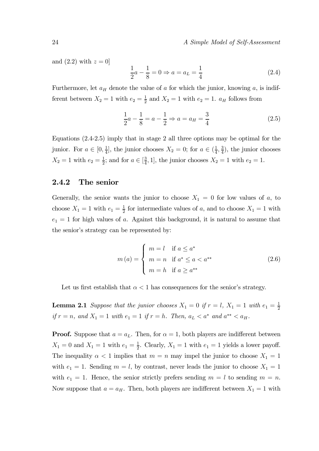24 *A Simple Model of Self-Assessment* 

and  $(2.2)$  with  $z = 0$ 

$$
\frac{1}{2}a - \frac{1}{8} = 0 \Rightarrow a = a_L = \frac{1}{4}
$$
 (2.4)

Furthermore, let  $a_H$  denote the value of a for which the junior, knowing  $a$ , is indifferent between  $X_2 = 1$  with  $e_2 = \frac{1}{2}$  and  $X_2 = 1$  with  $e_2 = 1$ .  $a_H$  follows from

$$
\frac{1}{2}a - \frac{1}{8} = a - \frac{1}{2} \Rightarrow a = a_H = \frac{3}{4}
$$
 (2.5)

Equations (2.4-2.5) imply that in stage 2 all three options may be optimal for the junior. For  $a \in [0, \frac{1}{4}]$ , the junior chooses  $X_2 = 0$ ; for  $a \in (\frac{1}{4}, \frac{3}{4})$ , the junior chooses  $X_2 = 1$  with  $e_2 = \frac{1}{2}$ ; and for  $a \in [\frac{3}{4}, 1]$ , the junior chooses  $X_2 = 1$  with  $e_2 = 1$ .

### 2.4.2 The senior

Generally, the senior wants the junior to choose  $X_1 = 0$  for low values of a, to choose  $X_1 = 1$  with  $e_1 = \frac{1}{2}$  for intermediate values of a, and to choose  $X_1 = 1$  with  $e_1 = 1$  for high values of a. Against this background, it is natural to assume that the senior's strategy can be represented by:

$$
m(a) = \begin{cases} m = l & \text{if } a \le a^* \\ m = n & \text{if } a^* \le a < a^{**} \\ m = h & \text{if } a \ge a^{**} \end{cases}
$$
 (2.6)

Let us first establish that  $\alpha < 1$  has consequences for the senior's strategy.

**Lemma 2.1** Suppose that the junior chooses  $X_1 = 0$  if  $r = l$ ,  $X_1 = 1$  with  $e_1 = \frac{1}{2}$ if  $r = n$ , and  $X_1 = 1$  with  $e_1 = 1$  if  $r = h$ . Then,  $a_L < a^*$  and  $a^{**} < a_H$ .

**Proof.** Suppose that  $a = a_L$ . Then, for  $\alpha = 1$ , both players are indifferent between  $X_1 = 0$  and  $X_1 = 1$  with  $e_1 = \frac{1}{2}$ . Clearly,  $X_1 = 1$  with  $e_1 = 1$  yields a lower payoff. The inequality  $\alpha < 1$  implies that  $m = n$  may impel the junior to choose  $X_1 = 1$ with  $e_1 = 1$ . Sending  $m = l$ , by contrast, never leads the junior to choose  $X_1 = 1$ with  $e_1 = 1$ . Hence, the senior strictly prefers sending  $m = l$  to sending  $m = n$ . Now suppose that  $a = a_H$ . Then, both players are indifferent between  $X_1 = 1$  with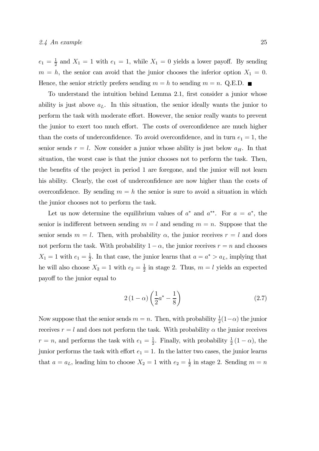$e_1 = \frac{1}{2}$  and  $X_1 = 1$  with  $e_1 = 1$ , while  $X_1 = 0$  yields a lower payoff. By sending  $m = h$ , the senior can avoid that the junior chooses the inferior option  $X_1 = 0$ . Hence, the senior strictly prefers sending  $m = h$  to sending  $m = n$ . Q.E.D.

To understand the intuition behind Lemma 2.1, first consider a junior whose ability is just above  $a<sub>L</sub>$ . In this situation, the senior ideally wants the junior to perform the task with moderate effort. However, the senior really wants to prevent the junior to exert too much effort. The costs of overconfidence are much higher than the costs of underconfidence. To avoid overconfidence, and in turn  $e_1 = 1$ , the senior sends  $r = l$ . Now consider a junior whose ability is just below  $a_H$ . In that situation, the worst case is that the junior chooses not to perform the task. Then, the benefits of the project in period 1 are foregone, and the junior will not learn his ability. Clearly, the cost of underconfidence are now higher than the costs of overconfidence. By sending  $m = h$  the senior is sure to avoid a situation in which the junior chooses not to perform the task.

Let us now determine the equilibrium values of  $a^*$  and  $a^{**}$ . For  $a = a^*$ , the senior is indifferent between sending  $m = l$  and sending  $m = n$ . Suppose that the senior sends  $m = l$ . Then, with probability  $\alpha$ , the junior receives  $r = l$  and does not perform the task. With probability  $1 - \alpha$ , the junior receives  $r = n$  and chooses  $X_1 = 1$  with  $e_1 = \frac{1}{2}$ . In that case, the junior learns that  $a = a^* > a_L$ , implying that he will also choose  $X_2 = 1$  with  $e_2 = \frac{1}{2}$  in stage 2. Thus,  $m = l$  yields an expected payoff to the junior equal to

$$
2\left(1-\alpha\right)\left(\frac{1}{2}a^*-\frac{1}{8}\right) \tag{2.7}
$$

Now suppose that the senior sends  $m = n$ . Then, with probability  $\frac{1}{2}(1-\alpha)$  the junior receives  $r = l$  and does not perform the task. With probability  $\alpha$  the junior receives  $r = n$ , and performs the task with  $e_1 = \frac{1}{2}$ . Finally, with probability  $\frac{1}{2}(1 - \alpha)$ , the junior performs the task with effort  $e_1 = 1$ . In the latter two cases, the junior learns that  $a = a_L$ , leading him to choose  $X_2 = 1$  with  $e_2 = \frac{1}{2}$  in stage 2. Sending  $m = n$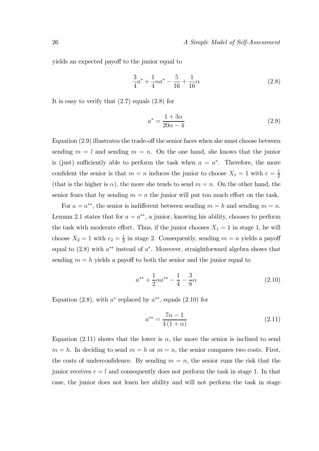yields an expected payoff to the junior equal to

$$
\frac{3}{4}a^* + \frac{1}{4}\alpha a^* - \frac{5}{16} + \frac{1}{16}\alpha
$$
\n(2.8)

It is easy to verify that (2.7) equals (2.8) for

$$
a^* = \frac{1 + 3\alpha}{20\alpha - 4}
$$
 (2.9)

Equation (2.9) illustrates the trade-off the senior faces when she must choose between sending  $m = l$  and sending  $m = n$ . On the one hand, she knows that the junior is (just) sufficiently able to perform the task when  $a = a^*$ . Therefore, the more confident the senior is that  $m = n$  induces the junior to choose  $X_1 = 1$  with  $e = \frac{1}{2}$ (that is the higher is  $\alpha$ ), the more she tends to send  $m = n$ . On the other hand, the senior fears that by sending  $m = n$  the junior will put too much effort on the task.

For  $a = a^{**}$ , the senior is indifferent between sending  $m = h$  and sending  $m = n$ . Lemma 2.1 states that for  $a = a^{**}$ , a junior, knowing his ability, chooses to perform the task with moderate effort. Thus, if the junior chooses  $X_1 = 1$  in stage 1, he will choose  $X_2 = 1$  with  $e_2 = \frac{1}{2}$  in stage 2. Consequently, sending  $m = n$  yields a payoff equal to  $(2.8)$  with  $a^{**}$  instead of  $a^*$ . Moreover, straightforward algebra shows that sending  $m = h$  yields a payoff to both the senior and the junior equal to

$$
a^{**} + \frac{1}{2}\alpha a^{**} - \frac{1}{4} - \frac{3}{8}\alpha
$$
\n(2.10)

Equation (2.8), with  $a^*$  replaced by  $a^{**}$ , equals (2.10) for

$$
a^{**} = \frac{7\alpha - 1}{4(1 + \alpha)}
$$
\n(2.11)

Equation (2.11) shows that the lower is  $\alpha$ , the more the senior is inclined to send  $m = h$ . In deciding to send  $m = h$  or  $m = n$ , the senior compares two costs. First, the costs of underconfidence. By sending  $m = n$ , the senior runs the risk that the junior receives  $r = l$  and consequently does not perform the task in stage 1. In that case, the junior does not learn her ability and will not perform the task in stage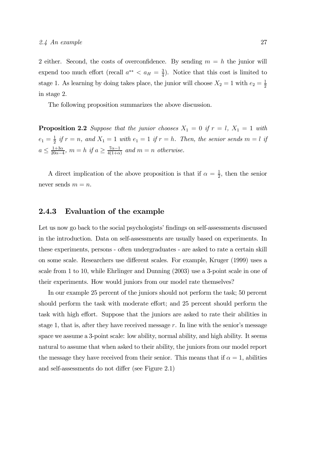2 either. Second, the costs of overconfidence. By sending  $m = h$  the junior will expend too much effort (recall  $a^{**} < a_H = \frac{3}{4}$ ). Notice that this cost is limited to stage 1. As learning by doing takes place, the junior will choose  $X_2 = 1$  with  $e_2 = \frac{1}{2}$ in stage 2.

The following proposition summarizes the above discussion.

**Proposition 2.2** Suppose that the junior chooses  $X_1 = 0$  if  $r = l$ ,  $X_1 = 1$  with  $e_1 = \frac{1}{2}$  if  $r = n$ , and  $X_1 = 1$  with  $e_1 = 1$  if  $r = h$ . Then, the senior sends  $m = l$  if  $a \leq \frac{1+3\alpha}{20\alpha-4}$ ,  $m = h$  if  $a \geq \frac{7\alpha-1}{4(1+\alpha)}$  and  $m = n$  otherwise.

A direct implication of the above proposition is that if  $\alpha = \frac{1}{2}$ , then the senior never sends  $m = n$ .

### 2.4.3 Evaluation of the example

Let us now go back to the social psychologists' findings on self-assessments discussed in the introduction. Data on self-assessments are usually based on experiments. In these experiments, persons - often undergraduates - are asked to rate a certain skill on some scale. Researchers use different scales. For example, Kruger (1999) uses a scale from 1 to 10, while Ehrlinger and Dunning (2003) use a 3-point scale in one of their experiments. How would juniors from our model rate themselves?

In our example 25 percent of the juniors should not perform the task; 50 percent should perform the task with moderate effort; and 25 percent should perform the task with high effort. Suppose that the juniors are asked to rate their abilities in stage 1, that is, after they have received message  $r$ . In line with the senior's message space we assume a 3-point scale: low ability, normal ability, and high ability. It seems natural to assume that when asked to their ability, the juniors from our model report the message they have received from their senior. This means that if  $\alpha = 1$ , abilities and self-assessments do not differ (see Figure 2.1)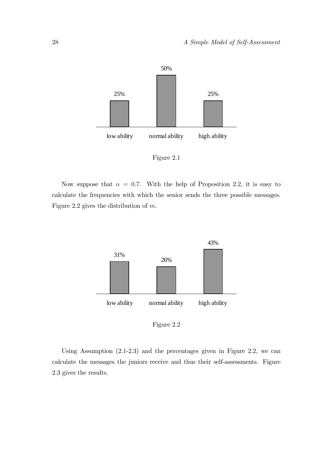



Now suppose that  $\alpha = 0.7$ . With the help of Proposition 2.2, it is easy to calculate the frequencies with which the senior sends the three possible messages. Figure 2.2 gives the distribution of  $m$ .



Figure 2.2

Using Assumption (2.1-2.3) and the percentages given in Figure 2.2, we can calculate the messages the juniors receive and thus their self-assessments. Figure 2.3 gives the results.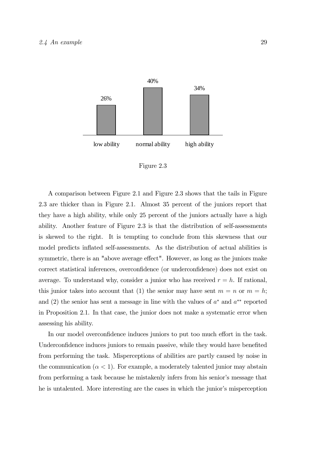

Figure 2.3

A comparison between Figure 2.1 and Figure 2.3 shows that the tails in Figure 2.3 are thicker than in Figure 2.1. Almost 35 percent of the juniors report that they have a high ability, while only 25 percent of the juniors actually have a high ability. Another feature of Figure 2.3 is that the distribution of self-assessments is skewed to the right. It is tempting to conclude from this skewness that our model predicts inflated self-assessments. As the distribution of actual abilities is symmetric, there is an "above average effect". However, as long as the juniors make correct statistical inferences, overconfidence (or underconfidence) does not exist on average. To understand why, consider a junior who has received  $r = h$ . If rational, this junior takes into account that (1) the senior may have sent  $m = n$  or  $m = h$ ; and (2) the senior has sent a message in line with the values of  $a^*$  and  $a^{**}$  reported in Proposition 2.1. In that case, the junior does not make a systematic error when assessing his ability.

In our model overconfidence induces juniors to put too much effort in the task. Underconfidence induces juniors to remain passive, while they would have benefited from performing the task. Misperceptions of abilities are partly caused by noise in the communication  $(\alpha < 1)$ . For example, a moderately talented junior may abstain from performing a task because he mistakenly infers from his senior's message that he is untalented. More interesting are the cases in which the junior's misperception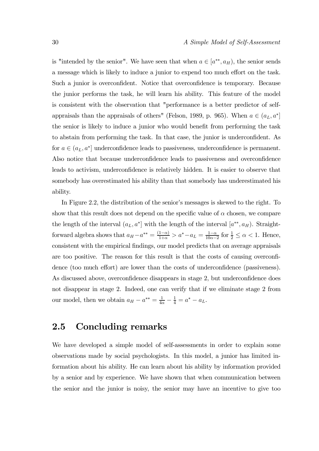is "intended by the senior". We have seen that when  $a \in [a^{**}, a_H)$ , the senior sends a message which is likely to induce a junior to expend too much effort on the task. Such a junior is overconfident. Notice that overconfidence is temporary. Because the junior performs the task, he will learn his ability. This feature of the model is consistent with the observation that "performance is a better predictor of selfappraisals than the appraisals of others" (Felson, 1989, p. 965). When  $a \in (a_L, a^*]$ the senior is likely to induce a junior who would benefit from performing the task to abstain from performing the task. In that case, the junior is underconfident. As for  $a \in (a_L, a^*]$  underconfidence leads to passiveness, underconfidence is permanent. Also notice that because underconfidence leads to passiveness and overconfidence leads to activism, underconfidence is relatively hidden. It is easier to observe that somebody has overestimated his ability than that somebody has underestimated his ability.

In Figure 2.2, the distribution of the senior's messages is skewed to the right. To show that this result does not depend on the specific value of  $\alpha$  chosen, we compare the length of the interval  $(a<sub>L</sub>, a<sup>*</sup>]$  with the length of the interval  $[a<sup>**</sup>, a<sub>H</sub>]$ . Straightforward algebra shows that  $a_H - a^{**} = \frac{(1-\alpha)}{1+\alpha} > a^* - a_L = \frac{1-\alpha}{10\alpha-2}$  for  $\frac{1}{2} \le \alpha < 1$ . Hence, consistent with the empirical findings, our model predicts that on average appraisals are too positive. The reason for this result is that the costs of causing overconfidence (too much effort) are lower than the costs of underconfidence (passiveness). As discussed above, overconfidence disappears in stage 2, but underconfidence does not disappear in stage 2. Indeed, one can verify that if we eliminate stage 2 from our model, then we obtain  $a_H - a^{**} = \frac{1}{4a} - \frac{1}{4} = a^* - a_L$ .

# 2.5 Concluding remarks

We have developed a simple model of self-assessments in order to explain some observations made by social psychologists. In this model, a junior has limited information about his ability. He can learn about his ability by information provided by a senior and by experience. We have shown that when communication between the senior and the junior is noisy, the senior may have an incentive to give too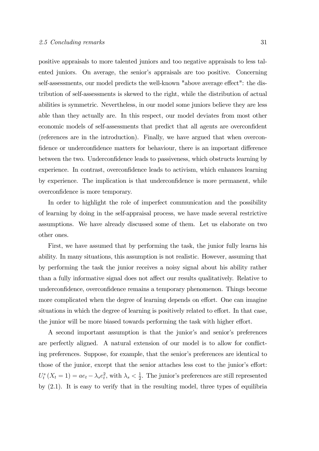positive appraisals to more talented juniors and too negative appraisals to less talented juniors. On average, the senior's appraisals are too positive. Concerning self-assessments, our model predicts the well-known "above average effect": the distribution of self-assessments is skewed to the right, while the distribution of actual abilities is symmetric. Nevertheless, in our model some juniors believe they are less able than they actually are. In this respect, our model deviates from most other economic models of self-assessments that predict that all agents are overconfident (references are in the introduction). Finally, we have argued that when overconfidence or underconfidence matters for behaviour, there is an important difference between the two. Underconfidence leads to passiveness, which obstructs learning by experience. In contrast, overconfidence leads to activism, which enhances learning by experience. The implication is that underconfidence is more permanent, while overconfidence is more temporary.

In order to highlight the role of imperfect communication and the possibility of learning by doing in the self-appraisal process, we have made several restrictive assumptions. We have already discussed some of them. Let us elaborate on two other ones.

First, we have assumed that by performing the task, the junior fully learns his ability. In many situations, this assumption is not realistic. However, assuming that by performing the task the junior receives a noisy signal about his ability rather than a fully informative signal does not affect our results qualitatively. Relative to underconfidence, overconfidence remains a temporary phenomenon. Things become more complicated when the degree of learning depends on effort. One can imagine situations in which the degree of learning is positively related to effort. In that case, the junior will be more biased towards performing the task with higher effort.

A second important assumption is that the junior's and senior's preferences are perfectly aligned. A natural extension of our model is to allow for conflicting preferences. Suppose, for example, that the senior's preferences are identical to those of the junior, except that the senior attaches less cost to the junior's effort:  $U_t^s(X_t = 1) = ae_t - \lambda_s e_t^2$ , with  $\lambda_s < \frac{1}{2}$ . The junior's preferences are still represented by (2.1). It is easy to verify that in the resulting model, three types of equilibria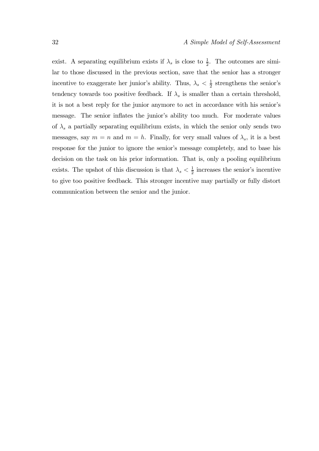exist. A separating equilibrium exists if  $\lambda_s$  is close to  $\frac{1}{2}$ . The outcomes are similar to those discussed in the previous section, save that the senior has a stronger incentive to exaggerate her junior's ability. Thus,  $\lambda_s < \frac{1}{2}$  strengthens the senior's tendency towards too positive feedback. If  $\lambda_s$  is smaller than a certain threshold, it is not a best reply for the junior anymore to act in accordance with his senior's message. The senior inflates the junior's ability too much. For moderate values of  $\lambda_s$  a partially separating equilibrium exists, in which the senior only sends two messages, say  $m = n$  and  $m = h$ . Finally, for very small values of  $\lambda_s$ , it is a best response for the junior to ignore the senior's message completely, and to base his decision on the task on his prior information. That is, only a pooling equilibrium exists. The upshot of this discussion is that  $\lambda_s < \frac{1}{2}$  increases the senior's incentive to give too positive feedback. This stronger incentive may partially or fully distort communication between the senior and the junior.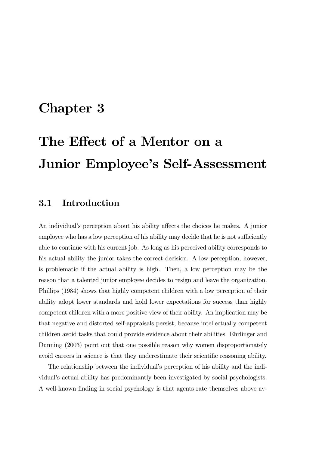# Chapter 3

# The Effect of a Mentor on a Junior Employee's Self-Assessment

# 3.1 Introduction

An individual's perception about his ability affects the choices he makes. A junior employee who has a low perception of his ability may decide that he is not sufficiently able to continue with his current job. As long as his perceived ability corresponds to his actual ability the junior takes the correct decision. A low perception, however, is problematic if the actual ability is high. Then, a low perception may be the reason that a talented junior employee decides to resign and leave the organization. Phillips (1984) shows that highly competent children with a low perception of their ability adopt lower standards and hold lower expectations for success than highly competent children with a more positive view of their ability. An implication may be that negative and distorted self-appraisals persist, because intellectually competent children avoid tasks that could provide evidence about their abilities. Ehrlinger and Dunning (2003) point out that one possible reason why women disproportionately avoid careers in science is that they underestimate their scientific reasoning ability.

The relationship between the individual's perception of his ability and the individual's actual ability has predominantly been investigated by social psychologists. A well-known finding in social psychology is that agents rate themselves above av-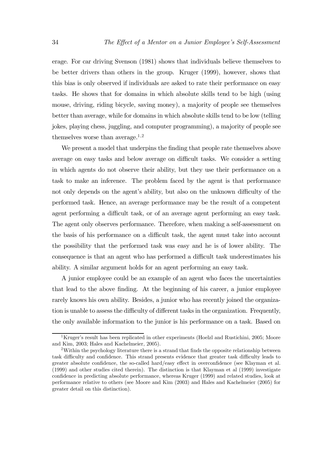erage. For car driving Svenson (1981) shows that individuals believe themselves to be better drivers than others in the group. Kruger (1999), however, shows that this bias is only observed if individuals are asked to rate their performance on easy tasks. He shows that for domains in which absolute skills tend to be high (using mouse, driving, riding bicycle, saving money), a majority of people see themselves better than average, while for domains in which absolute skills tend to be low (telling jokes, playing chess, juggling, and computer programming), a majority of people see themselves worse than average.<sup>1,2</sup>

We present a model that underpins the finding that people rate themselves above average on easy tasks and below average on difficult tasks. We consider a setting in which agents do not observe their ability, but they use their performance on a task to make an inference. The problem faced by the agent is that performance not only depends on the agent's ability, but also on the unknown difficulty of the performed task. Hence, an average performance may be the result of a competent agent performing a difficult task, or of an average agent performing an easy task. The agent only observes performance. Therefore, when making a self-assessment on the basis of his performance on a difficult task, the agent must take into account the possibility that the performed task was easy and he is of lower ability. The consequence is that an agent who has performed a difficult task underestimates his ability. A similar argument holds for an agent performing an easy task.

A junior employee could be an example of an agent who faces the uncertainties that lead to the above finding. At the beginning of his career, a junior employee rarely knows his own ability. Besides, a junior who has recently joined the organization is unable to assess the difficulty of different tasks in the organization. Frequently, the only available information to the junior is his performance on a task. Based on

<sup>&</sup>lt;sup>1</sup>Kruger's result has been replicated in other experiments (Hoelzl and Rustichini, 2005; Moore and Kim, 2003; Hales and Kachelmeier, 2005).

<sup>&</sup>lt;sup>2</sup>Within the psychology literature there is a strand that finds the opposite relationship between task difficulty and confidence. This strand presents evidence that greater task difficulty leads to greater absolute confidence, the so-called hard/easy effect in overconfidence (see Klayman et al. (1999) and other studies cited therein). The distinction is that Klayman et al (1999) investigate confidence in predicting absolute performance, whereas Kruger (1999) and related studies, look at performance relative to others (see Moore and Kim (2003) and Hales and Kachelmeier (2005) for greater detail on this distinction).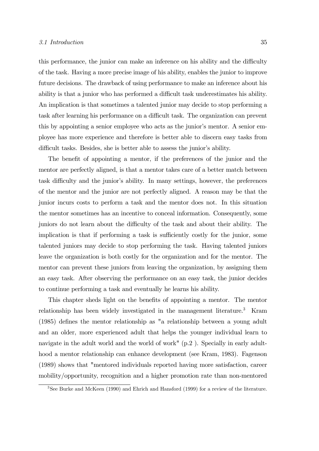this performance, the junior can make an inference on his ability and the difficulty of the task. Having a more precise image of his ability, enables the junior to improve future decisions. The drawback of using performance to make an inference about his ability is that a junior who has performed a difficult task underestimates his ability. An implication is that sometimes a talented junior may decide to stop performing a task after learning his performance on a difficult task. The organization can prevent this by appointing a senior employee who acts as the junior's mentor. A senior employee has more experience and therefore is better able to discern easy tasks from difficult tasks. Besides, she is better able to assess the junior's ability.

The benefit of appointing a mentor, if the preferences of the junior and the mentor are perfectly aligned, is that a mentor takes care of a better match between task difficulty and the junior's ability. In many settings, however, the preferences of the mentor and the junior are not perfectly aligned. A reason may be that the junior incurs costs to perform a task and the mentor does not. In this situation the mentor sometimes has an incentive to conceal information. Consequently, some juniors do not learn about the difficulty of the task and about their ability. The implication is that if performing a task is sufficiently costly for the junior, some talented juniors may decide to stop performing the task. Having talented juniors leave the organization is both costly for the organization and for the mentor. The mentor can prevent these juniors from leaving the organization, by assigning them an easy task. After observing the performance on an easy task, the junior decides to continue performing a task and eventually he learns his ability.

This chapter sheds light on the benefits of appointing a mentor. The mentor relationship has been widely investigated in the management literature.3 Kram (1985) defines the mentor relationship as "a relationship between a young adult and an older, more experienced adult that helps the younger individual learn to navigate in the adult world and the world of work" (p.2). Specially in early adulthood a mentor relationship can enhance development (see Kram, 1983). Fagenson (1989) shows that "mentored individuals reported having more satisfaction, career mobility/opportunity, recognition and a higher promotion rate than non-mentored

<sup>3</sup>See Burke and McKeen (1990) and Ehrich and Hansford (1999) for a review of the literature.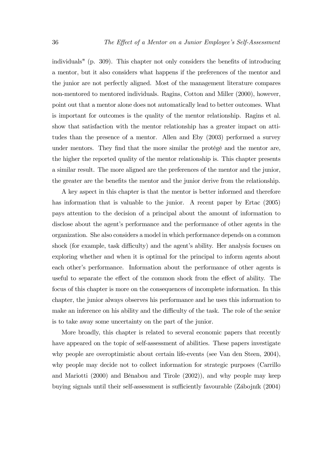individuals" (p. 309). This chapter not only considers the benefits of introducing a mentor, but it also considers what happens if the preferences of the mentor and the junior are not perfectly aligned. Most of the management literature compares non-mentored to mentored individuals. Ragins, Cotton and Miller (2000), however, point out that a mentor alone does not automatically lead to better outcomes. What is important for outcomes is the quality of the mentor relationship. Ragins et al. show that satisfaction with the mentor relationship has a greater impact on attitudes than the presence of a mentor. Allen and Eby (2003) performed a survey under mentors. They find that the more similar the protégé and the mentor are, the higher the reported quality of the mentor relationship is. This chapter presents a similar result. The more aligned are the preferences of the mentor and the junior, the greater are the benefits the mentor and the junior derive from the relationship.

A key aspect in this chapter is that the mentor is better informed and therefore has information that is valuable to the junior. A recent paper by Ertac (2005) pays attention to the decision of a principal about the amount of information to disclose about the agent's performance and the performance of other agents in the organization. She also considers a model in which performance depends on a common shock (for example, task difficulty) and the agent's ability. Her analysis focuses on exploring whether and when it is optimal for the principal to inform agents about each other's performance. Information about the performance of other agents is useful to separate the effect of the common shock from the effect of ability. The focus of this chapter is more on the consequences of incomplete information. In this chapter, the junior always observes his performance and he uses this information to make an inference on his ability and the difficulty of the task. The role of the senior is to take away some uncertainty on the part of the junior.

More broadly, this chapter is related to several economic papers that recently have appeared on the topic of self-assessment of abilities. These papers investigate why people are overoptimistic about certain life-events (see Van den Steen, 2004), why people may decide not to collect information for strategic purposes (Carrillo and Mariotti (2000) and Bénabou and Tirole (2002)), and why people may keep buying signals until their self-assessment is sufficiently favourable (Zábojník (2004)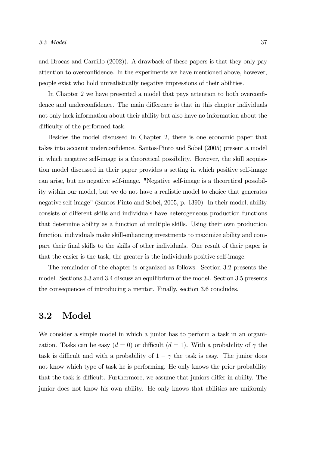and Brocas and Carrillo (2002)). A drawback of these papers is that they only pay attention to overconfidence. In the experiments we have mentioned above, however, people exist who hold unrealistically negative impressions of their abilities.

In Chapter 2 we have presented a model that pays attention to both overconfidence and underconfidence. The main difference is that in this chapter individuals not only lack information about their ability but also have no information about the difficulty of the performed task.

Besides the model discussed in Chapter 2, there is one economic paper that takes into account underconfidence. Santos-Pinto and Sobel (2005) present a model in which negative self-image is a theoretical possibility. However, the skill acquisition model discussed in their paper provides a setting in which positive self-image can arise, but no negative self-image. "Negative self-image is a theoretical possibility within our model, but we do not have a realistic model to choice that generates negative self-image" (Santos-Pinto and Sobel, 2005, p. 1390). In their model, ability consists of different skills and individuals have heterogeneous production functions that determine ability as a function of multiple skills. Using their own production function, individuals make skill-enhancing investments to maximize ability and compare their final skills to the skills of other individuals. One result of their paper is that the easier is the task, the greater is the individuals positive self-image.

The remainder of the chapter is organized as follows. Section 3.2 presents the model. Sections 3.3 and 3.4 discuss an equilibrium of the model. Section 3.5 presents the consequences of introducing a mentor. Finally, section 3.6 concludes.

### 3.2 Model

We consider a simple model in which a junior has to perform a task in an organization. Tasks can be easy  $(d = 0)$  or difficult  $(d = 1)$ . With a probability of  $\gamma$  the task is difficult and with a probability of  $1 - \gamma$  the task is easy. The junior does not know which type of task he is performing. He only knows the prior probability that the task is difficult. Furthermore, we assume that juniors differ in ability. The junior does not know his own ability. He only knows that abilities are uniformly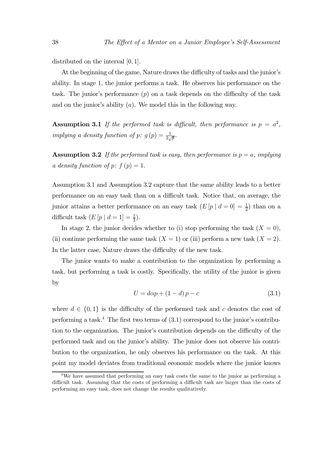distributed on the interval [0, 1].

At the beginning of the game, Nature draws the difficulty of tasks and the junior's ability. In stage 1, the junior performs a task. He observes his performance on the task. The junior's performance  $(p)$  on a task depends on the difficulty of the task and on the junior's ability  $(a)$ . We model this in the following way.

Assumption 3.1 If the performed task is difficult, then performance is  $p = a^2$ , implying a density function of p:  $g(p) = \frac{1}{2\sqrt{p}}$ .

**Assumption 3.2** If the performed task is easy, then performance is  $p = a$ , implying a density function of  $p: f(p)=1$ .

Assumption 3.1 and Assumption 3.2 capture that the same ability leads to a better performance on an easy task than on a difficult task. Notice that, on average, the junior attains a better performance on an easy task  $(E[p | d = 0] = \frac{1}{2})$  than on a difficult task  $(E[p | d = 1] = \frac{1}{3})$ .

In stage 2, the junior decides whether to (i) stop performing the task  $(X = 0)$ , (ii) continue performing the same task  $(X = 1)$  or (iii) perform a new task  $(X = 2)$ . In the latter case, Nature draws the difficulty of the new task.

The junior wants to make a contribution to the organization by performing a task, but performing a task is costly. Specifically, the utility of the junior is given by

$$
U = d\alpha p + (1 - d)p - c \tag{3.1}
$$

where  $d \in \{0,1\}$  is the difficulty of the performed task and c denotes the cost of performing a task.<sup>4</sup> The first two terms of  $(3.1)$  correspond to the junior's contribution to the organization. The junior's contribution depends on the difficulty of the performed task and on the junior's ability. The junior does not observe his contribution to the organization, he only observes his performance on the task. At this point my model deviates from traditional economic models where the junior knows

<sup>4</sup>We have assumed that performing an easy task costs the same to the junior as performing a difficult task. Assuming that the costs of performing a difficult task are larger than the costs of performing an easy task, does not change the results qualitatively.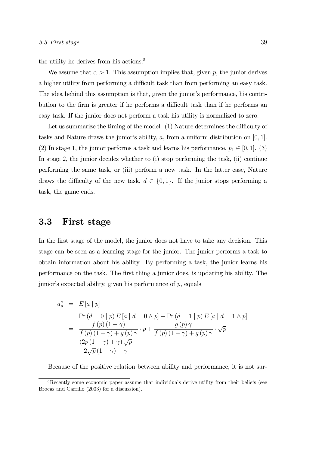the utility he derives from his actions.<sup>5</sup>

We assume that  $\alpha > 1$ . This assumption implies that, given p, the junior derives a higher utility from performing a difficult task than from performing an easy task. The idea behind this assumption is that, given the junior's performance, his contribution to the firm is greater if he performs a difficult task than if he performs an easy task. If the junior does not perform a task his utility is normalized to zero.

Let us summarize the timing of the model. (1) Nature determines the difficulty of tasks and Nature draws the junior's ability, a, from a uniform distribution on [0, 1]. (2) In stage 1, the junior performs a task and learns his performance,  $p_1 \in [0, 1]$ . (3) In stage 2, the junior decides whether to (i) stop performing the task, (ii) continue performing the same task, or (iii) perform a new task. In the latter case, Nature draws the difficulty of the new task,  $d \in \{0, 1\}$ . If the junior stops performing a task, the game ends.

# 3.3 First stage

In the first stage of the model, the junior does not have to take any decision. This stage can be seen as a learning stage for the junior. The junior performs a task to obtain information about his ability. By performing a task, the junior learns his performance on the task. The first thing a junior does, is updating his ability. The junior's expected ability, given his performance of p, equals

$$
a_p^e = E[a | p]
$$
  
= Pr  $(d = 0 | p) E[a | d = 0 \land p] + Pr(d = 1 | p) E[a | d = 1 \land p]$   
= 
$$
\frac{f(p) (1 - \gamma)}{f(p) (1 - \gamma) + g(p) \gamma} \cdot p + \frac{g(p) \gamma}{f(p) (1 - \gamma) + g(p) \gamma} \cdot \sqrt{p}
$$
  
= 
$$
\frac{(2p(1 - \gamma) + \gamma) \sqrt{p}}{2\sqrt{p} (1 - \gamma) + \gamma}
$$

Because of the positive relation between ability and performance, it is not sur-

<sup>&</sup>lt;sup>5</sup>Recently some economic paper assume that individuals derive utility from their beliefs (see Brocas and Carrillo (2003) for a discussion).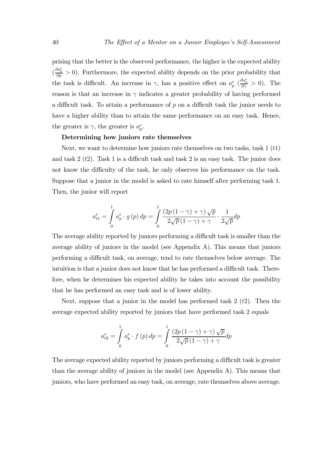prising that the better is the observed performance, the higher is the expected ability  $(\frac{\partial a_p^e}{\partial p} > 0)$ . Furthermore, the expected ability depends on the prior probability that the task is difficult. An increase in  $\gamma$ , has a positive effect on  $a_p^e \left(\frac{\partial a_p^e}{\partial \gamma}\right) > 0$ . The reason is that an increase in  $\gamma$  indicates a greater probability of having performed a difficult task. To attain a performance of  $p$  on a difficult task the junior needs to have a higher ability than to attain the same performance on an easy task. Hence, the greater is  $\gamma$ , the greater is  $a_p^e$ .

### Determining how juniors rate themselves

Next, we want to determine how juniors rate themselves on two tasks, task  $1(t1)$ and task  $2(t^2)$ . Task 1 is a difficult task and task 2 is an easy task. The junior does not know the difficulty of the task, he only observes his performance on the task. Suppose that a junior in the model is asked to rate himself after performing task 1. Then, the junior will report

$$
a_{t1}^{e} = \int_{0}^{1} a_{p}^{e} \cdot g(p) dp = \int_{0}^{1} \frac{(2p(1-\gamma) + \gamma) \sqrt{p}}{2\sqrt{p}(1-\gamma) + \gamma} \cdot \frac{1}{2\sqrt{p}} dp
$$

The average ability reported by juniors performing a difficult task is smaller than the average ability of juniors in the model (see Appendix A). This means that juniors performing a difficult task, on average, tend to rate themselves below average. The intuition is that a junior does not know that he has performed a difficult task. Therefore, when he determines his expected ability he takes into account the possibility that he has performed an easy task and is of lower ability.

Next, suppose that a junior in the model has performed task  $2(t^2)$ . Then the average expected ability reported by juniors that have performed task 2 equals

$$
a_{t2}^{e} = \int_{0}^{1} a_{p}^{e} \cdot f(p) dp = \int_{0}^{1} \frac{(2p(1-\gamma) + \gamma) \sqrt{p}}{2\sqrt{p}(1-\gamma) + \gamma} dp
$$

The average expected ability reported by juniors performing a difficult task is greater than the average ability of juniors in the model (see Appendix A). This means that juniors, who have performed an easy task, on average, rate themselves above average.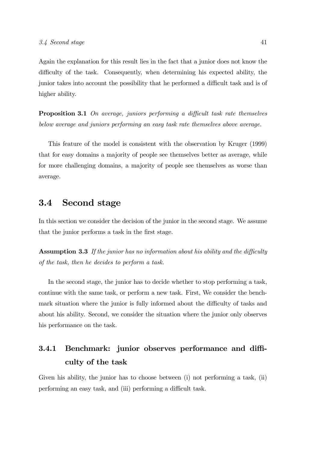Again the explanation for this result lies in the fact that a junior does not know the difficulty of the task. Consequently, when determining his expected ability, the junior takes into account the possibility that he performed a difficult task and is of higher ability.

**Proposition 3.1** On average, juniors performing a difficult task rate themselves below average and juniors performing an easy task rate themselves above average.

This feature of the model is consistent with the observation by Kruger (1999) that for easy domains a majority of people see themselves better as average, while for more challenging domains, a majority of people see themselves as worse than average.

# 3.4 Second stage

In this section we consider the decision of the junior in the second stage. We assume that the junior performs a task in the first stage.

Assumption 3.3 If the junior has no information about his ability and the difficulty of the task, then he decides to perform a task.

In the second stage, the junior has to decide whether to stop performing a task, continue with the same task, or perform a new task. First, We consider the benchmark situation where the junior is fully informed about the difficulty of tasks and about his ability. Second, we consider the situation where the junior only observes his performance on the task.

# 3.4.1 Benchmark: junior observes performance and difficulty of the task

Given his ability, the junior has to choose between (i) not performing a task, (ii) performing an easy task, and (iii) performing a difficult task.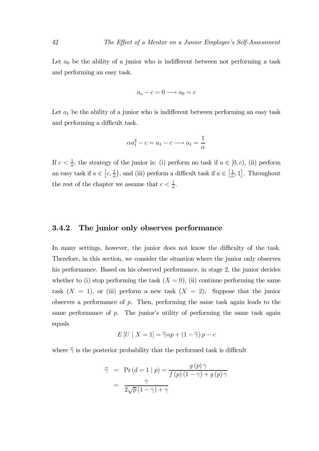Let  $a_0$  be the ability of a junior who is indifferent between not performing a task and performing an easy task.

$$
a_o - c = 0 \longrightarrow a_0 = c
$$

Let  $a_1$  be the ability of a junior who is indifferent between performing an easy task and performing a difficult task.

$$
\alpha a_1^2 - c = a_1 - c \longrightarrow a_1 = \frac{1}{\alpha}
$$

If  $c < \frac{1}{\alpha}$ , the strategy of the junior is: (i) perform no task if  $a \in [0, c)$ , (ii) perform an easy task if  $a \in [c, \frac{1}{\alpha})$ , and (iii) perform a difficult task if  $a \in [\frac{1}{\alpha}, 1]$ . Throughout the rest of the chapter we assume that  $c < \frac{1}{\alpha}$ .

### 3.4.2 The junior only observes performance

In many settings, however, the junior does not know the difficulty of the task. Therefore, in this section, we consider the situation where the junior only observes his performance. Based on his observed performance, in stage 2, the junior decides whether to (i) stop performing the task  $(X = 0)$ , (ii) continue performing the same task  $(X = 1)$ , or (iii) perform a new task  $(X = 2)$ . Suppose that the junior observes a performance of  $p$ . Then, performing the same task again leads to the same performance of  $p$ . The junior's utility of performing the same task again equals

$$
E[U \mid X = 1] = \hat{\gamma}\alpha p + (1 - \hat{\gamma})p - c
$$

where  $\hat{\gamma}$  is the posterior probability that the performed task is difficult

$$
\widehat{\gamma} = \Pr(d = 1 | p) = \frac{g(p)\gamma}{f(p)(1 - \gamma) + g(p)\gamma}
$$

$$
= \frac{\gamma}{2\sqrt{p}(1 - \gamma) + \gamma}
$$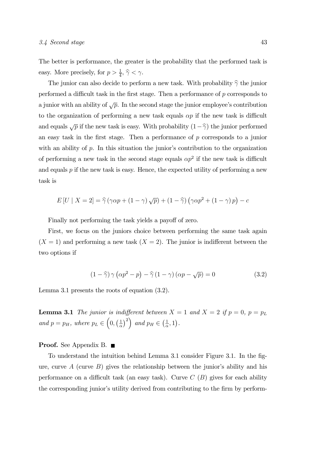The better is performance, the greater is the probability that the performed task is easy. More precisely, for  $p > \frac{1}{4}$ ,  $\hat{\gamma} < \gamma$ .

The junior can also decide to perform a new task. With probability  $\hat{\gamma}$  the junior performed a difficult task in the first stage. Then a performance of  $p$  corresponds to a junior with an ability of  $\sqrt{p}$ . In the second stage the junior employee's contribution to the organization of performing a new task equals  $\alpha p$  if the new task is difficult and equals  $\sqrt{p}$  if the new task is easy. With probability  $(1-\hat{\gamma})$  the junior performed an easy task in the first stage. Then a performance of  $p$  corresponds to a junior with an ability of  $p$ . In this situation the junior's contribution to the organization of performing a new task in the second stage equals  $\alpha p^2$  if the new task is difficult and equals p if the new task is easy. Hence, the expected utility of performing a new task is

$$
E[U \mid X = 2] = \hat{\gamma} (\gamma \alpha p + (1 - \gamma) \sqrt{p}) + (1 - \hat{\gamma}) (\gamma \alpha p^{2} + (1 - \gamma) p) - c
$$

Finally not performing the task yields a payoff of zero.

First, we focus on the juniors choice between performing the same task again  $(X = 1)$  and performing a new task  $(X = 2)$ . The junior is indifferent between the two options if

$$
(1 - \hat{\gamma}) \gamma (\alpha p^2 - p) - \hat{\gamma} (1 - \gamma) (\alpha p - \sqrt{p}) = 0
$$
\n(3.2)

Lemma 3.1 presents the roots of equation (3.2).

**Lemma 3.1** The junior is indifferent between  $X = 1$  and  $X = 2$  if  $p = 0$ ,  $p = p<sub>L</sub>$ and  $p = p_H$ , where  $p_L \in \left(0, \left(\frac{1}{\alpha}\right)^2\right)$  and  $p_H \in \left(\frac{1}{\alpha}, 1\right)$ .

#### **Proof.** See Appendix B. ■

To understand the intuition behind Lemma 3.1 consider Figure 3.1. In the figure, curve  $A$  (curve  $B$ ) gives the relationship between the junior's ability and his performance on a difficult task (an easy task). Curve  $C(B)$  gives for each ability the corresponding junior's utility derived from contributing to the firm by perform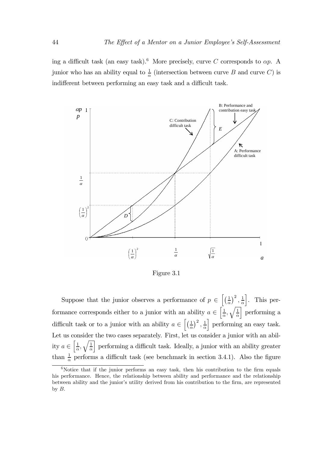ing a difficult task (an easy task).<sup>6</sup> More precisely, curve C corresponds to  $\alpha p$ . A junior who has an ability equal to  $\frac{1}{\alpha}$  (intersection between curve B and curve C) is indifferent between performing an easy task and a difficult task.



Figure 3.1

Suppose that the junior observes a performance of  $p \in \left[\left(\frac{1}{\alpha}\right)^2, \frac{1}{\alpha}\right]$ . This performance corresponds either to a junior with an ability  $a \in \left[\frac{1}{\alpha}, \sqrt{\frac{1}{\alpha}}\right]$ α i performing a difficult task or to a junior with an ability  $a \in \left[\left(\frac{1}{\alpha}\right)^2, \frac{1}{\alpha}\right]$ i performing an easy task. Let us consider the two cases separately. First, let us consider a junior with an ability  $a \in \left[\frac{1}{\alpha}, \sqrt{\frac{1}{\alpha}}\right]$ α i performing a difficult task. Ideally, a junior with an ability greater than  $\frac{1}{\alpha}$  performs a difficult task (see benchmark in section 3.4.1). Also the figure

 $6$ Notice that if the junior performs an easy task, then his contribution to the firm equals his performance. Hence, the relationship between ability and performance and the relationship between ability and the junior's utility derived from his contribution to the firm, are represented by  $B$ .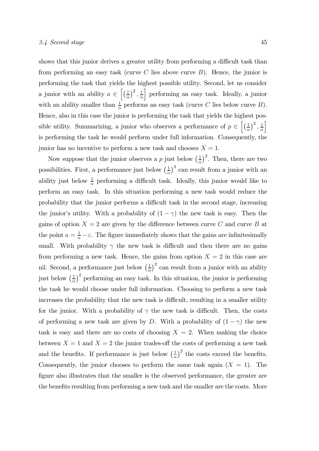shows that this junior derives a greater utility from performing a difficult task than from performing an easy task (curve  $C$  lies above curve  $B$ ). Hence, the junior is performing the task that yields the highest possible utility. Second, let us consider a junior with an ability  $a \in \left[\left(\frac{1}{\alpha}\right)^2, \frac{1}{\alpha}\right]$ i performing an easy task. Ideally, a junior with an ability smaller than  $\frac{1}{\alpha}$  performs an easy task (curve C lies below curve B). Hence, also in this case the junior is performing the task that yields the highest possible utility. Summarizing, a junior who observes a performance of  $p \in \left[\left(\frac{1}{\alpha}\right)^2, \frac{1}{\alpha}\right]$ i is performing the task he would perform under full information. Consequently, the junior has no incentive to perform a new task and chooses  $X = 1$ .

Now suppose that the junior observes a p just below  $\left(\frac{1}{\alpha}\right)^2$ . Then, there are two possibilities. First, a performance just below  $\left(\frac{1}{\alpha}\right)^2$  can result from a junior with an ability just below  $\frac{1}{\alpha}$  performing a difficult task. Ideally, this junior would like to perform an easy task. In this situation performing a new task would reduce the probability that the junior performs a difficult task in the second stage, increasing the junior's utility. With a probability of  $(1 - \gamma)$  the new task is easy. Then the gains of option  $X = 2$  are given by the difference between curve C and curve B at the point  $a = \frac{1}{\alpha} - \varepsilon$ . The figure immediately shows that the gains are infinitesimally small. With probability  $\gamma$  the new task is difficult and then there are no gains from performing a new task. Hence, the gains from option  $X = 2$  in this case are nil. Second, a performance just below  $\left(\frac{1}{\alpha}\right)^2$  can result from a junior with an ability just below  $\left(\frac{1}{\alpha}\right)^2$  performing an easy task. In this situation, the junior is performing the task he would choose under full information. Choosing to perform a new task increases the probability that the new task is difficult, resulting in a smaller utility for the junior. With a probability of  $\gamma$  the new task is difficult. Then, the costs of performing a new task are given by D. With a probability of  $(1 - \gamma)$  the new task is easy and there are no costs of choosing  $X = 2$ . When making the choice between  $X = 1$  and  $X = 2$  the junior trades-off the costs of performing a new task and the benefits. If performance is just below  $\left(\frac{1}{\alpha}\right)^2$  the costs exceed the benefits. Consequently, the junior chooses to perform the same task again  $(X = 1)$ . The figure also illustrates that the smaller is the observed performance, the greater are the benefits resulting from performing a new task and the smaller are the costs. More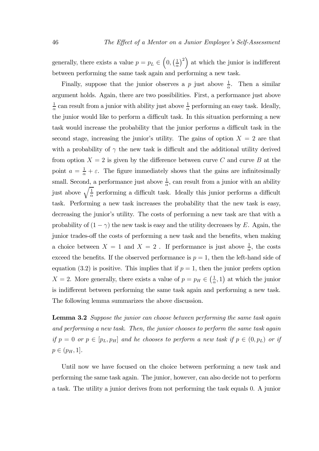generally, there exists a value  $p = p_L \in (0, \left(\frac{1}{\alpha}\right)^2)$  at which the junior is indifferent between performing the same task again and performing a new task.

Finally, suppose that the junior observes a p just above  $\frac{1}{\alpha}$ . Then a similar argument holds. Again, there are two possibilities. First, a performance just above  $\frac{1}{\alpha}$  can result from a junior with ability just above  $\frac{1}{\alpha}$  performing an easy task. Ideally, the junior would like to perform a difficult task. In this situation performing a new task would increase the probability that the junior performs a difficult task in the second stage, increasing the junior's utility. The gains of option  $X = 2$  are that with a probability of  $\gamma$  the new task is difficult and the additional utility derived from option  $X = 2$  is given by the difference between curve C and curve B at the point  $a = \frac{1}{\alpha} + \varepsilon$ . The figure immediately shows that the gains are infinitesimally small. Second, a performance just above  $\frac{1}{\alpha}$ , can result from a junior with an ability just above  $\sqrt{\frac{1}{\alpha}}$  performing a difficult task. Ideally this junior performs a difficult task. Performing a new task increases the probability that the new task is easy, decreasing the junior's utility. The costs of performing a new task are that with a probability of  $(1 - \gamma)$  the new task is easy and the utility decreases by E. Again, the junior trades-off the costs of performing a new task and the benefits, when making a choice between  $X = 1$  and  $X = 2$ . If performance is just above  $\frac{1}{\alpha}$ , the costs exceed the benefits. If the observed performance is  $p = 1$ , then the left-hand side of equation (3.2) is positive. This implies that if  $p = 1$ , then the junior prefers option  $X = 2$ . More generally, there exists a value of  $p = p_H \in \left(\frac{1}{\alpha}, 1\right)$  at which the junior is indifferent between performing the same task again and performing a new task. The following lemma summarizes the above discussion.

**Lemma 3.2** Suppose the junior can choose between performing the same task again and performing a new task. Then, the junior chooses to perform the same task again if  $p = 0$  or  $p \in [p_L, p_H]$  and he chooses to perform a new task if  $p \in (0, p_L)$  or if  $p \in (p_{H}, 1].$ 

Until now we have focused on the choice between performing a new task and performing the same task again. The junior, however, can also decide not to perform a task. The utility a junior derives from not performing the task equals 0. A junior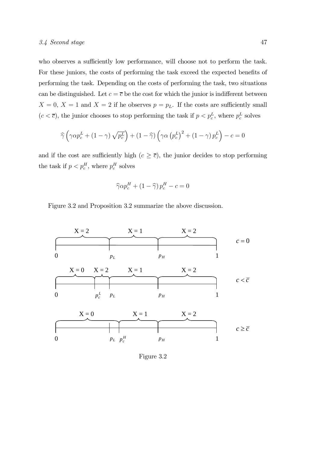#### 3.4 Second stage 47

who observes a sufficiently low performance, will choose not to perform the task. For these juniors, the costs of performing the task exceed the expected benefits of performing the task. Depending on the costs of performing the task, two situations can be distinguished. Let  $c = \overline{c}$  be the cost for which the junior is indifferent between  $X = 0, X = 1$  and  $X = 2$  if he observes  $p = p<sub>L</sub>$ . If the costs are sufficiently small  $(c < \overline{c})$ , the junior chooses to stop performing the task if  $p < p_c^L$ , where  $p_c^L$  solves

$$
\widehat{\gamma}\left(\gamma\alpha p_c^L + (1-\gamma)\sqrt{p_c^L}\right) + (1-\widehat{\gamma})\left(\gamma\alpha\left(p_c^L\right)^2 + (1-\gamma)p_c^L\right) - c = 0
$$

and if the cost are sufficiently high  $(c \geq \overline{c})$ , the junior decides to stop performing the task if  $p < p_c^H$ , where  $p_c^H$  solves

$$
\widehat{\gamma}\alpha p_c^H + (1 - \widehat{\gamma}) p_c^H - c = 0
$$

Figure 3.2 and Proposition 3.2 summarize the above discussion.



Figure 3.2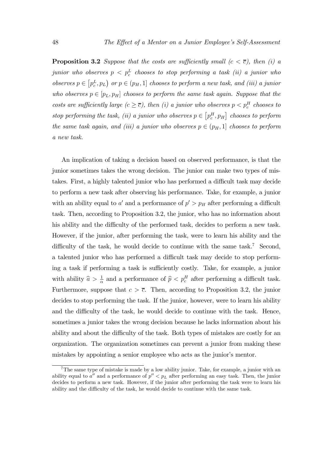**Proposition 3.2** Suppose that the costs are sufficiently small  $(c < \overline{c})$ , then (i) a junior who observes  $p\,<\,p^L_c\,$  chooses to stop performing a task  $(ii)$  a junior who observes  $p \in [p_c^L, p_L)$  or  $p \in (p_H, 1]$  chooses to perform a new task, and (iii) a junior who observes  $p \in [p_L, p_H]$  chooses to perform the same task again. Suppose that the costs are sufficiently large  $(c \ge \overline{c})$ , then (i) a junior who observes  $p < p_c^H$  chooses to stop performing the task, (ii) a junior who observes  $p \in [p_c^H, p_H]$  chooses to perform the same task again, and (iii) a junior who observes  $p \in (p_H, 1]$  chooses to perform a new task.

An implication of taking a decision based on observed performance, is that the junior sometimes takes the wrong decision. The junior can make two types of mistakes. First, a highly talented junior who has performed a difficult task may decide to perform a new task after observing his performance. Take, for example, a junior with an ability equal to a' and a performance of  $p' > p_H$  after performing a difficult task. Then, according to Proposition 3.2, the junior, who has no information about his ability and the difficulty of the performed task, decides to perform a new task. However, if the junior, after performing the task, were to learn his ability and the difficulty of the task, he would decide to continue with the same task.<sup>7</sup> Second, a talented junior who has performed a difficult task may decide to stop performing a task if performing a task is sufficiently costly. Take, for example, a junior with ability  $\hat{a} > \frac{1}{\alpha}$  and a performance of  $\hat{p} < p_c^H$  after performing a difficult task. Furthermore, suppose that  $c > \overline{c}$ . Then, according to Proposition 3.2, the junior decides to stop performing the task. If the junior, however, were to learn his ability and the difficulty of the task, he would decide to continue with the task. Hence, sometimes a junior takes the wrong decision because he lacks information about his ability and about the difficulty of the task. Both types of mistakes are costly for an organization. The organization sometimes can prevent a junior from making these mistakes by appointing a senior employee who acts as the junior's mentor.

<sup>&</sup>lt;sup>7</sup>The same type of mistake is made by a low ability junior. Take, for example, a junior with an ability equal to  $a''$  and a performance of  $p'' < p_L$  after performing an easy task. Then, the junior decides to perform a new task. However, if the junior after performing the task were to learn his ability and the difficulty of the task, he would decide to continue with the same task.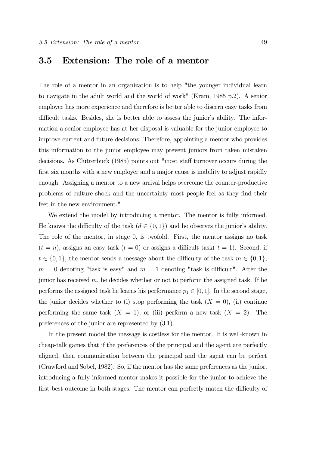# 3.5 Extension: The role of a mentor

The role of a mentor in an organization is to help "the younger individual learn to navigate in the adult world and the world of work" (Kram, 1985 p.2). A senior employee has more experience and therefore is better able to discern easy tasks from difficult tasks. Besides, she is better able to assess the junior's ability. The information a senior employee has at her disposal is valuable for the junior employee to improve current and future decisions. Therefore, appointing a mentor who provides this information to the junior employee may prevent juniors from taken mistaken decisions. As Clutterbuck (1985) points out "most staff turnover occurs during the first six months with a new employer and a major cause is inability to adjust rapidly enough. Assigning a mentor to a new arrival helps overcome the counter-productive problems of culture shock and the uncertainty most people feel as they find their feet in the new environment."

We extend the model by introducing a mentor. The mentor is fully informed. He knows the difficulty of the task  $(d \in \{0, 1\})$  and he observes the junior's ability. The role of the mentor, in stage 0, is twofold. First, the mentor assigns no task  $(t = n)$ , assigns an easy task  $(t = 0)$  or assigns a difficult task  $(t = 1)$ . Second, if  $t \in \{0, 1\}$ , the mentor sends a message about the difficulty of the task  $m \in \{0, 1\}$ ,  $m = 0$  denoting "task is easy" and  $m = 1$  denoting "task is difficult". After the junior has received  $m$ , he decides whether or not to perform the assigned task. If he performs the assigned task he learns his performance  $p_1 \in [0, 1]$ . In the second stage, the junior decides whether to (i) stop performing the task  $(X = 0)$ , (ii) continue performing the same task  $(X = 1)$ , or (iii) perform a new task  $(X = 2)$ . The preferences of the junior are represented by (3.1).

In the present model the message is costless for the mentor. It is well-known in cheap-talk games that if the preferences of the principal and the agent are perfectly aligned, then communication between the principal and the agent can be perfect (Crawford and Sobel, 1982). So, if the mentor has the same preferences as the junior, introducing a fully informed mentor makes it possible for the junior to achieve the first-best outcome in both stages. The mentor can perfectly match the difficulty of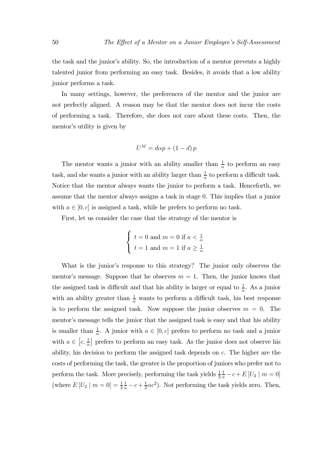the task and the junior's ability. So, the introduction of a mentor prevents a highly talented junior from performing an easy task. Besides, it avoids that a low ability junior performs a task.

In many settings, however, the preferences of the mentor and the junior are not perfectly aligned. A reason may be that the mentor does not incur the costs of performing a task. Therefore, she does not care about these costs. Then, the mentor's utility is given by

$$
U^M = d\alpha p + (1 - d) p
$$

The mentor wants a junior with an ability smaller than  $\frac{1}{\alpha}$  to perform an easy task, and she wants a junior with an ability larger than  $\frac{1}{\alpha}$  to perform a difficult task. Notice that the mentor always wants the junior to perform a task. Henceforth, we assume that the mentor always assigns a task in stage 0. This implies that a junior with  $a \in [0, c]$  is assigned a task, while he prefers to perform no task.

First, let us consider the case that the strategy of the mentor is

$$
\begin{cases} t = 0 \text{ and } m = 0 \text{ if } a < \frac{1}{\alpha} \\ t = 1 \text{ and } m = 1 \text{ if } a \ge \frac{1}{\alpha} \end{cases}
$$

What is the junior's response to this strategy? The junior only observes the mentor's message. Suppose that he observes  $m = 1$ . Then, the junior knows that the assigned task is difficult and that his ability is larger or equal to  $\frac{1}{\alpha}$ . As a junior with an ability greater than  $\frac{1}{\alpha}$  wants to perform a difficult task, his best response is to perform the assigned task. Now suppose the junior observes  $m = 0$ . The mentor's message tells the junior that the assigned task is easy and that his ability is smaller than  $\frac{1}{\alpha}$ . A junior with  $a \in [0, c]$  prefers to perform no task and a junior with  $a \in [c, \frac{1}{\alpha}]$  prefers to perform an easy task. As the junior does not observe his ability, his decision to perform the assigned task depends on c. The higher are the costs of performing the task, the greater is the proportion of juniors who prefer not to perform the task. More precisely, performing the task yields  $\frac{1}{2}$  $\frac{1}{\alpha} - c + E[U_2 \mid m = 0]$ (where  $E[U_2 | m = 0] = \frac{1}{2}$  $\frac{1}{\alpha} - c + \frac{1}{2}\alpha c^2$ . Not performing the task yields zero. Then,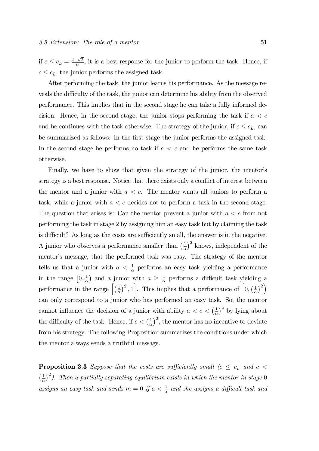if  $c \leq c_L = \frac{2-\sqrt{2}}{\alpha}$ , it is a best response for the junior to perform the task. Hence, if  $c \leq c_L$ , the junior performs the assigned task.

After performing the task, the junior learns his performance. As the message reveals the difficulty of the task, the junior can determine his ability from the observed performance. This implies that in the second stage he can take a fully informed decision. Hence, in the second stage, the junior stops performing the task if  $a < c$ and he continues with the task otherwise. The strategy of the junior, if  $c \leq c_L$ , can be summarized as follows: In the first stage the junior performs the assigned task. In the second stage he performs no task if  $a < c$  and he performs the same task otherwise.

Finally, we have to show that given the strategy of the junior, the mentor's strategy is a best response. Notice that there exists only a conflict of interest between the mentor and a junior with  $a < c$ . The mentor wants all juniors to perform a task, while a junior with  $a < c$  decides not to perform a task in the second stage. The question that arises is: Can the mentor prevent a junior with  $a < c$  from not performing the task in stage 2 by assigning him an easy task but by claiming the task is difficult? As long as the costs are sufficiently small, the answer is in the negative. A junior who observes a performance smaller than  $\left(\frac{1}{\alpha}\right)^2$  knows, independent of the mentor's message, that the performed task was easy. The strategy of the mentor tells us that a junior with  $a < \frac{1}{\alpha}$  performs an easy task yielding a performance in the range  $\left[0, \frac{1}{\alpha}\right)$  and a junior with  $a \geq \frac{1}{\alpha}$  performs a difficult task yielding a performance in the range  $\left[ \left( \frac{1}{\alpha} \right)^2, 1 \right]$ . This implies that a performance of  $\left[ 0, \left( \frac{1}{\alpha} \right)^2 \right)$ can only correspond to a junior who has performed an easy task. So, the mentor cannot influence the decision of a junior with ability  $a < c < \left(\frac{1}{\alpha}\right)^2$  by lying about the difficulty of the task. Hence, if  $c < (\frac{1}{\alpha})^2$ , the mentor has no incentive to deviate from his strategy. The following Proposition summarizes the conditions under which the mentor always sends a truthful message.

**Proposition 3.3** Suppose that the costs are sufficiently small ( $c \leq c_L$  and  $c <$  $\left(\frac{1}{\alpha}\right)^2$ ). Then a partially separating equilibrium exists in which the mentor in stage 0 assigns an easy task and sends  $m = 0$  if  $a < \frac{1}{\alpha}$  and she assigns a difficult task and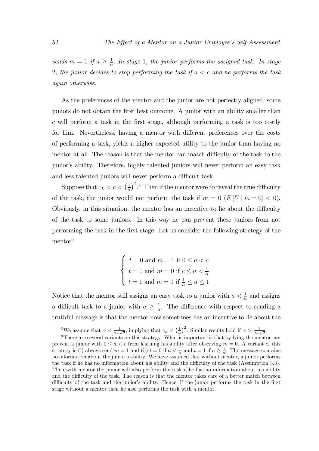sends  $m = 1$  if  $a \ge \frac{1}{\alpha}$ . In stage 1, the junior performs the assigned task. In stage 2, the junior decides to stop performing the task if  $a < c$  and he performs the task again otherwise.

As the preferences of the mentor and the junior are not perfectly aligned, some juniors do not obtain the first best outcome. A junior with an ability smaller than c will perform a task in the first stage, although performing a task is too costly for him. Nevertheless, having a mentor with different preferences over the costs of performing a task, yields a higher expected utility to the junior than having no mentor at all. The reason is that the mentor can match difficulty of the task to the junior's ability. Therefore, highly talented juniors will never perform an easy task and less talented juniors will never perform a difficult task.

Suppose that  $c_L < c < (\frac{1}{\alpha})^2$ .<sup>8</sup> Then if the mentor were to reveal the true difficulty of the task, the junior would not perform the task if  $m = 0$  (E [U |  $m = 0$ ] < 0). Obviously, in this situation, the mentor has an incentive to lie about the difficulty of the task to some juniors. In this way he can prevent these juniors from not performing the task in the first stage. Let us consider the following strategy of the mentor<sup>9</sup>

$$
\begin{cases}\n t = 0 \text{ and } m = 1 \text{ if } 0 \le a < c \\
t = 0 \text{ and } m = 0 \text{ if } c \le a < \frac{1}{\alpha} \\
t = 1 \text{ and } m = 1 \text{ if } \frac{1}{\alpha} \le a \le 1\n\end{cases}
$$

Notice that the mentor still assigns an easy task to a junior with  $a < \frac{1}{\alpha}$  and assigns a difficult task to a junior with  $a \geq \frac{1}{\alpha}$ . The difference with respect to sending a truthful message is that the mentor now sometimes has an incentive to lie about the

<sup>&</sup>lt;sup>8</sup>We assume that  $\alpha < \frac{1}{2-\sqrt{2}}$ , implying that  $c_L < (\frac{1}{\alpha})^2$ . Similar results hold if  $\alpha > \frac{1}{2-\sqrt{2}}$ .

 $9$ There are several variants on this strategy. What is important is that by lying the mentor can prevent a junior with  $0 \le a < c$  from learning his ability after observing  $m = 0$ . A variant of this strategy is (i) always send  $m = 1$  and (ii)  $t = 0$  if  $a < \frac{1}{\alpha}$  and  $t = 1$  if  $a \ge \frac{1}{\alpha}$ . The message contains no information about the junior's ability. We have assumed that without mentor, a junior performs the task if he has no information about his ability and the difficulty of the task (Assumption 3.3). Then with mentor the junior will also perform the task if he has no information about his ability and the difficulty of the task. The reason is that the mentor takes care of a better match between difficulty of the task and the junior's ability. Hence, if the junior performs the task in the first stage without a mentor then he also performs the task with a mentor.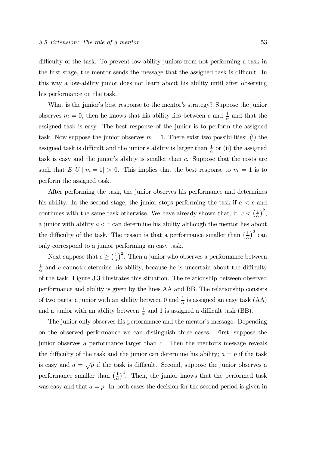difficulty of the task. To prevent low-ability juniors from not performing a task in the first stage, the mentor sends the message that the assigned task is difficult. In this way a low-ability junior does not learn about his ability until after observing his performance on the task.

What is the junior's best response to the mentor's strategy? Suppose the junior observes  $m = 0$ , then he knows that his ability lies between c and  $\frac{1}{\alpha}$  and that the assigned task is easy. The best response of the junior is to perform the assigned task. Now suppose the junior observes  $m = 1$ . There exist two possibilities: (i) the assigned task is difficult and the junior's ability is larger than  $\frac{1}{\alpha}$  or (ii) the assigned task is easy and the junior's ability is smaller than c. Suppose that the costs are such that  $E[U | m = 1] > 0$ . This implies that the best response to  $m = 1$  is to perform the assigned task.

After performing the task, the junior observes his performance and determines his ability. In the second stage, the junior stops performing the task if  $a < c$  and continues with the same task otherwise. We have already shown that, if  $c < (\frac{1}{\alpha})^2$ , a junior with ability  $a < c$  can determine his ability although the mentor lies about the difficulty of the task. The reason is that a performance smaller than  $\left(\frac{1}{\alpha}\right)^2$  can only correspond to a junior performing an easy task.

Next suppose that  $c \geq \left(\frac{1}{\alpha}\right)^2$ . Then a junior who observes a performance between  $\frac{1}{\alpha}$  and c cannot determine his ability, because he is uncertain about the difficulty of the task. Figure 3.3 illustrates this situation. The relationship between observed performance and ability is given by the lines AA and BB. The relationship consists of two parts; a junior with an ability between 0 and  $\frac{1}{\alpha}$  is assigned an easy task (AA) and a junior with an ability between  $\frac{1}{\alpha}$  and 1 is assigned a difficult task (BB).

The junior only observes his performance and the mentor's message. Depending on the observed performance we can distinguish three cases. First, suppose the junior observes a performance larger than c. Then the mentor's message reveals the difficulty of the task and the junior can determine his ability;  $a = p$  if the task is easy and  $a = \sqrt{p}$  if the task is difficult. Second, suppose the junior observes a performance smaller than  $\left(\frac{1}{\alpha}\right)^2$ . Then, the junior knows that the performed task was easy and that  $a = p$ . In both cases the decision for the second period is given in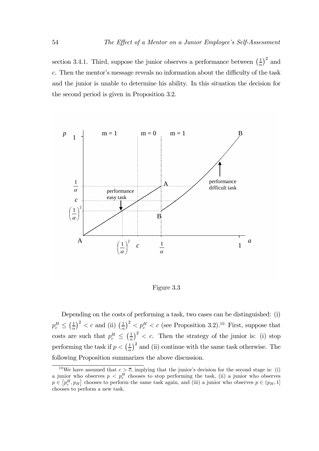section 3.4.1. Third, suppose the junior observes a performance between  $\left(\frac{1}{\alpha}\right)^2$  and c. Then the mentor's message reveals no information about the difficulty of the task and the junior is unable to determine his ability. In this situation the decision for the second period is given in Proposition 3.2.



Figure 3.3

Depending on the costs of performing a task, two cases can be distinguished: (i)  $p_c^H \leq (\frac{1}{\alpha})^2 < c$  and (ii)  $(\frac{1}{\alpha})^2 < p_c^H < c$  (see Proposition 3.2).<sup>10</sup> First, suppose that costs are such that  $p_c^H \leq (\frac{1}{\alpha})^2 < c$ . Then the strategy of the junior is: (i) stop performing the task if  $p < (\frac{1}{\alpha})^2$  and (ii) continue with the same task otherwise. The following Proposition summarizes the above discussion.

<sup>&</sup>lt;sup>10</sup>We have assumed that  $c > \overline{c}$ , implying that the junior's decision for the second stage is: (i) a junior who observes  $p < p_c^H$  chooses to stop performing the task, (ii) a junior who observes  $p \in [p_c^H, p_H]$  chooses to perform the same task again, and (iii) a junior who observes  $p \in (p_H, 1]$ chooses to perform a new task.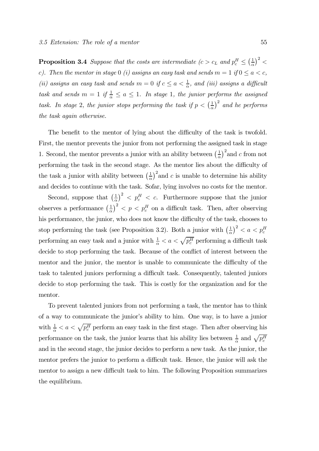**Proposition 3.4** Suppose that the costs are intermediate (c > c<sub>L</sub> and  $p_c^H \leq (\frac{1}{\alpha})^2$  < c). Then the mentor in stage 0 (i) assigns an easy task and sends  $m = 1$  if  $0 \le a < c$ , (ii) assigns an easy task and sends  $m = 0$  if  $c \le a < \frac{1}{\alpha}$ , and (iii) assigns a difficult task and sends  $m = 1$  if  $\frac{1}{\alpha} \le a \le 1$ . In stage 1, the junior performs the assigned task. In stage 2, the junior stops performing the task if  $p < (\frac{1}{\alpha})^2$  and he performs the task again otherwise.

The benefit to the mentor of lying about the difficulty of the task is twofold. First, the mentor prevents the junior from not performing the assigned task in stage 1. Second, the mentor prevents a junior with an ability between  $\left(\frac{1}{\alpha}\right)^2$  and c from not performing the task in the second stage. As the mentor lies about the difficulty of the task a junior with ability between  $\left(\frac{1}{\alpha}\right)^2$  and c is unable to determine his ability and decides to continue with the task. Sofar, lying involves no costs for the mentor.

Second, suppose that  $\left(\frac{1}{\alpha}\right)^2 < p_c^H < c$ . Furthermore suppose that the junior observes a performance  $\left(\frac{1}{\alpha}\right)^2 < p < p_c^H$  on a difficult task. Then, after observing his performance, the junior, who does not know the difficulty of the task, chooses to stop performing the task (see Proposition 3.2). Both a junior with  $\left(\frac{1}{\alpha}\right)^2 < a < p_c^H$ performing an easy task and a junior with  $\frac{1}{\alpha} < a < \sqrt{p_c^H}$  performing a difficult task decide to stop performing the task. Because of the conflict of interest between the mentor and the junior, the mentor is unable to communicate the difficulty of the task to talented juniors performing a difficult task. Consequently, talented juniors decide to stop performing the task. This is costly for the organization and for the mentor.

To prevent talented juniors from not performing a task, the mentor has to think of a way to communicate the junior's ability to him. One way, is to have a junior with  $\frac{1}{\alpha} < a < \sqrt{p_c^H}$  perform an easy task in the first stage. Then after observing his performance on the task, the junior learns that his ability lies between  $\frac{1}{\alpha}$  and  $\sqrt{p_c^H}$ and in the second stage, the junior decides to perform a new task. As the junior, the mentor prefers the junior to perform a difficult task. Hence, the junior will ask the mentor to assign a new difficult task to him. The following Proposition summarizes the equilibrium.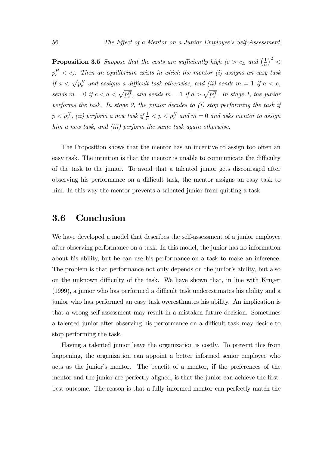**Proposition 3.5** Suppose that the costs are sufficiently high  $(c>c<sub>L</sub>$  and  $\left(\frac{1}{\alpha}\right)^2$  <  $p_c^H < c$ ). Then an equilibrium exists in which the mentor (i) assigns an easy task  $if\ a<\sqrt{p^H_c}$  and assigns a difficult task otherwise, and (ii) sends  $m=1$  if  $a < c,$ sends  $m = 0$  if  $c < a < \sqrt{p_c^H}$ , and sends  $m = 1$  if  $a > \sqrt{p_c^H}$ . In stage 1, the junior performs the task. In stage 2, the junior decides to (i) stop performing the task if  $p < p_c^{H}$ , (ii) perform a new task if  $\frac{1}{\alpha} < p < p_c^{H}$  and  $m = 0$  and asks mentor to assign him a new task, and (iii) perform the same task again otherwise.

The Proposition shows that the mentor has an incentive to assign too often an easy task. The intuition is that the mentor is unable to communicate the difficulty of the task to the junior. To avoid that a talented junior gets discouraged after observing his performance on a difficult task, the mentor assigns an easy task to him. In this way the mentor prevents a talented junior from quitting a task.

# 3.6 Conclusion

We have developed a model that describes the self-assessment of a junior employee after observing performance on a task. In this model, the junior has no information about his ability, but he can use his performance on a task to make an inference. The problem is that performance not only depends on the junior's ability, but also on the unknown difficulty of the task. We have shown that, in line with Kruger (1999), a junior who has performed a difficult task underestimates his ability and a junior who has performed an easy task overestimates his ability. An implication is that a wrong self-assessment may result in a mistaken future decision. Sometimes a talented junior after observing his performance on a difficult task may decide to stop performing the task.

Having a talented junior leave the organization is costly. To prevent this from happening, the organization can appoint a better informed senior employee who acts as the junior's mentor. The benefit of a mentor, if the preferences of the mentor and the junior are perfectly aligned, is that the junior can achieve the firstbest outcome. The reason is that a fully informed mentor can perfectly match the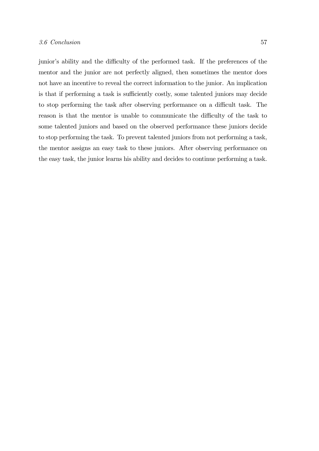junior's ability and the difficulty of the performed task. If the preferences of the mentor and the junior are not perfectly aligned, then sometimes the mentor does not have an incentive to reveal the correct information to the junior. An implication is that if performing a task is sufficiently costly, some talented juniors may decide to stop performing the task after observing performance on a difficult task. The reason is that the mentor is unable to communicate the difficulty of the task to some talented juniors and based on the observed performance these juniors decide to stop performing the task. To prevent talented juniors from not performing a task, the mentor assigns an easy task to these juniors. After observing performance on the easy task, the junior learns his ability and decides to continue performing a task.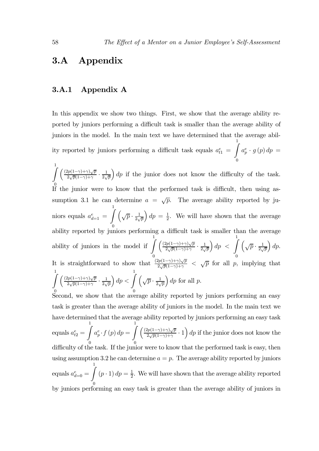# 3.A Appendix

### 3.A.1 Appendix A

In this appendix we show two things. First, we show that the average ability reported by juniors performing a difficult task is smaller than the average ability of juniors in the model. In the main text we have determined that the average ability reported by juniors performing a difficult task equals  $a_{t1}^e$  = Z 1 0  $a_p^e \cdot g(p) dp =$ 

 $\int \frac{(2p(1-\gamma)+\gamma)\sqrt{p}}{p}$ 1  $\boldsymbol{0}$  $\frac{2p(1-\gamma)+\gamma)\sqrt{p}}{2\sqrt{p}(1-\gamma)+\gamma}\cdot\frac{1}{2\sqrt{p}}$  $\int dp$  if the junior does not know the difficulty of the task. If the junior were to know that the performed task is difficult, then using assumption 3.1 he can determine  $a = \sqrt{p}$ . The average ability reported by juniors equals  $a_{d=1}^e =$  $\int (\sqrt{p} \cdot \frac{1}{2\sqrt{p}})$ 1 ability reported by juniors performing a difficult task is smaller than the average  $\int dp = \frac{1}{2}$ . We will have shown that the average ability of juniors in the model if  $\int$ 0 0  $\int \frac{(2p(1-\gamma)+\gamma)\sqrt{p}}{p}$  $\frac{2p(1-\gamma)+\gamma)\sqrt{p}}{2\sqrt{p}(1-\gamma)+\gamma}\cdot\frac{1}{2\sqrt{p}}$  $\Big\} dp < \int_0^1$  $\left(\sqrt{p} \cdot \frac{1}{2\sqrt{p}}\right)$  $\big) dp.$ It is straightforward to show that  $\frac{(2p(1-\gamma)+\gamma)\sqrt{p}}{2\sqrt{p}(1-\gamma)+\gamma}$  $\frac{2p(1-\gamma)+\gamma\sqrt{p}}{2\sqrt{p}(1-\gamma)+\gamma}$  <  $\sqrt{p}$  for all p, implying that  $\frac{1}{\sqrt{2}}$  $\int \frac{(2p(1-\gamma)+\gamma)\sqrt{p}}{p}$  $\frac{2p(1-\gamma)+\gamma)\sqrt{p}}{2\sqrt{p}(1-\gamma)+\gamma}\cdot\frac{1}{2\sqrt{p}}$  $\Big) dp < \int$  $\left(\sqrt{p} \cdot \frac{1}{2\sqrt{p}}\right)$  $\int dp$  for all p.

0 0 Second, we show that the average ability reported by juniors performing an easy task is greater than the average ability of juniors in the model. In the main text we have determined that the average ability reported by juniors performing an easy task equals  $a_{t2}^e =$  $\frac{1}{\sqrt{2}}$ 0 0 difficulty of the task. If the junior were to know that the performed task is easy, then  $a_p^e \cdot f(p) dp =$  $\frac{1}{\sqrt{2}}$  $\int \frac{(2p(1-\gamma)+\gamma)\sqrt{p}}{p}$  $\frac{2p(1-\gamma)+\gamma\sqrt{p}}{2\sqrt{p}(1-\gamma)+\gamma} \cdot 1$  dp if the junior does not know the using assumption 3.2 he can determine  $a = p$ . The average ability reported by juniors equals  $a_{d=0}^e =$  $\int (p \cdot 1) dp = \frac{1}{2}$ . We will have shown that the average ability reported 1 0 by juniors performing an easy task is greater than the average ability of juniors in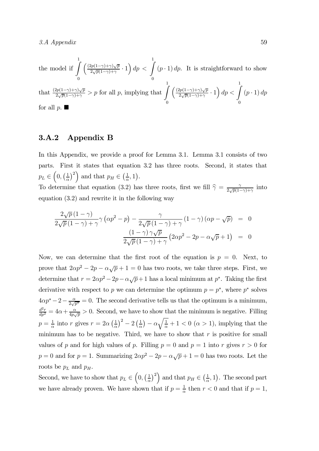3.A Appendix 59

the model if  $\int_0^1$  $\mathbf{0}$  $\int \frac{(2p(1-\gamma)+\gamma)\sqrt{p}}{p}$  $\frac{2p(1-\gamma)+\gamma)\sqrt{p}}{2\sqrt{p}(1-\gamma)+\gamma}\cdot 1\Big)\, dp\,<\,\Bigg\}$  $\boldsymbol{0}$  $(p \cdot 1) dp$ . It is straightforward to show  $\frac{2p(1-\gamma)+\gamma\sqrt{p}}{2\sqrt{p}(1-\gamma)+\gamma}$  > p for all p, implying that  $\left| \int_{0}^{1}$  $\int \frac{(2p(1-\gamma)+\gamma)\sqrt{p}}{p}$  $\frac{2p(1-\gamma)+\gamma)\sqrt{p}}{2\sqrt{p}(1-\gamma)+\gamma}\cdot 1\bigg)\,dp < \int$ 

that  $\frac{(2p(1-\gamma)+\gamma)\sqrt{p}}{2\sqrt{p}(1-\gamma)+\gamma}$  $\boldsymbol{0}$ 0  $(p \cdot 1) dp$ for all  $p. \blacksquare$ 

### 3.A.2 Appendix B

In this Appendix, we provide a proof for Lemma 3.1. Lemma 3.1 consists of two parts. First it states that equation 3.2 has three roots. Second, it states that  $p_L \in \left(0, \left(\frac{1}{\alpha}\right)^2\right)$  and that  $p_H \in \left(\frac{1}{\alpha}, 1\right)$ .

To determine that equation (3.2) has three roots, first we fill  $\hat{\gamma} = \frac{\gamma}{2\sqrt{p}(1-\gamma)+\gamma}$  into equation (3.2) and rewrite it in the following way

$$
\frac{2\sqrt{p}(1-\gamma)}{2\sqrt{p}(1-\gamma)+\gamma}\gamma\left(\alpha p^2-p\right)-\frac{\gamma}{2\sqrt{p}(1-\gamma)+\gamma}\left(1-\gamma\right)\left(\alpha p-\sqrt{p}\right) = 0
$$

$$
\frac{(1-\gamma)\gamma\sqrt{p}}{2\sqrt{p}(1-\gamma)+\gamma}\left(2\alpha p^2-2p-\alpha\sqrt{p}+1\right) = 0
$$

Now, we can determine that the first root of the equation is  $p = 0$ . Next, to prove that  $2\alpha p^2 - 2p - \alpha \sqrt{p} + 1 = 0$  has two roots, we take three steps. First, we determine that  $r = 2\alpha p^2 - 2p - \alpha \sqrt{p} + 1$  has a local minimum at  $p^*$ . Taking the first derivative with respect to p we can determine the optimum  $p = p^*$ , where p<sup>\*</sup> solves  $4\alpha p^* - 2 - \frac{\alpha}{2\sqrt{p^*}} = 0$ . The second derivative tells us that the optimum is a minimum,  $\frac{d^2r}{dp^2} = 4\alpha + \frac{\alpha}{4p\sqrt{p}} > 0$ . Second, we have to show that the minimum is negative. Filling  $p = \frac{1}{\alpha}$  into r gives  $r = 2\alpha \left(\frac{1}{\alpha}\right)^2 - 2\left(\frac{1}{\alpha}\right) - \alpha \sqrt{\frac{1}{\alpha}} + 1 < 0$  ( $\alpha > 1$ ), implying that the minimum has to be negative. Third, we have to show that  $r$  is positive for small values of p and for high values of p. Filling  $p = 0$  and  $p = 1$  into r gives  $r > 0$  for  $p = 0$  and for  $p = 1$ . Summarizing  $2\alpha p^2 - 2p - \alpha \sqrt{p} + 1 = 0$  has two roots. Let the roots be  $p_L$  and  $p_H$ .

Second, we have to show that  $p_L \in \left(0, \left(\frac{1}{\alpha}\right)^2\right)$  and that  $p_H \in \left(\frac{1}{\alpha}, 1\right)$ . The second part we have already proven. We have shown that if  $p = \frac{1}{\alpha}$  then  $r < 0$  and that if  $p = 1$ ,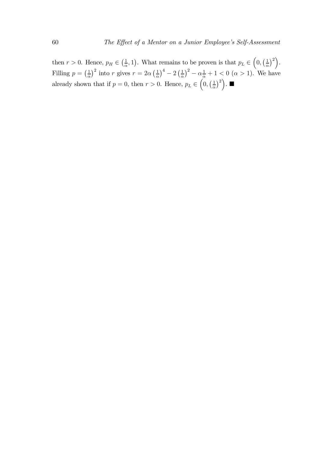then  $r > 0$ . Hence,  $p_H \in \left(\frac{1}{\alpha}, 1\right)$ . What remains to be proven is that  $p_L \in \left(0, \left(\frac{1}{\alpha}\right)^2\right)$ . Filling  $p = \left(\frac{1}{\alpha}\right)^2$  into r gives  $r = 2\alpha \left(\frac{1}{\alpha}\right)^4 - 2\left(\frac{1}{\alpha}\right)^2 - \alpha \frac{1}{\alpha} + 1 < 0 \ (\alpha > 1)$ . We have already shown that if  $p = 0$ , then  $r > 0$ . Hence,  $p_L \in \left(0, \left(\frac{1}{\alpha}\right)^2\right)$ .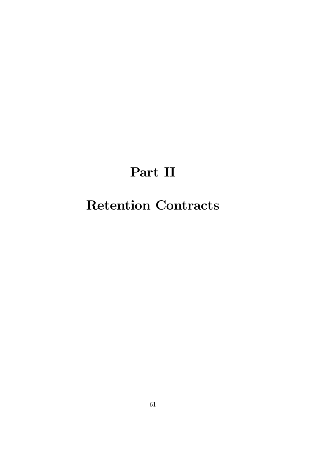# Part II

# Retention Contracts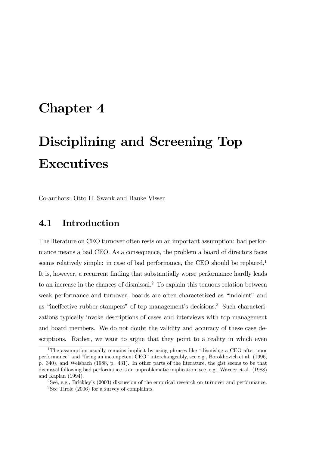## Chapter 4

# Disciplining and Screening Top Executives

Co-authors: Otto H. Swank and Bauke Visser

## 4.1 Introduction

The literature on CEO turnover often rests on an important assumption: bad performance means a bad CEO. As a consequence, the problem a board of directors faces seems relatively simple: in case of bad performance, the CEO should be replaced.<sup>1</sup> It is, however, a recurrent finding that substantially worse performance hardly leads to an increase in the chances of dismissal.2 To explain this tenuous relation between weak performance and turnover, boards are often characterized as "indolent" and as "ineffective rubber stampers" of top management's decisions.3 Such characterizations typically invoke descriptions of cases and interviews with top management and board members. We do not doubt the validity and accuracy of these case descriptions. Rather, we want to argue that they point to a reality in which even

<sup>&</sup>lt;sup>1</sup>The assumption usually remains implicit by using phrases like "dismising a CEO after poor performance" and "firing an incompetent CEO" interchangeably, see e.g., Borokhovich et al. (1996, p. 340), and Weisbach (1988, p. 431). In other parts of the literature, the gist seems to be that dismissal following bad performance is an unproblematic implication, see, e.g., Warner et al. (1988) and Kaplan (1994).

<sup>&</sup>lt;sup>2</sup>See, e.g., Brickley's (2003) discussion of the empirical research on turnover and performance. 3See Tirole (2006) for a survey of complaints.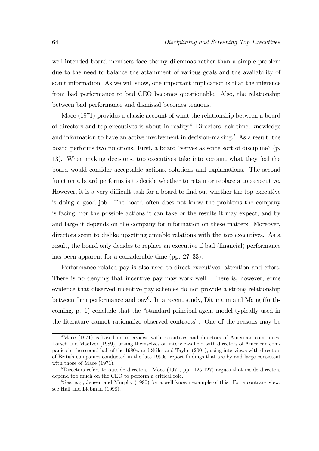well-intended board members face thorny dilemmas rather than a simple problem due to the need to balance the attainment of various goals and the availability of scant information. As we will show, one important implication is that the inference from bad performance to bad CEO becomes questionable. Also, the relationship between bad performance and dismissal becomes tenuous.

Mace (1971) provides a classic account of what the relationship between a board of directors and top executives is about in reality.4 Directors lack time, knowledge and information to have an active involvement in decision-making.<sup>5</sup> As a result, the board performs two functions. First, a board "serves as some sort of discipline" (p. 13). When making decisions, top executives take into account what they feel the board would consider acceptable actions, solutions and explanations. The second function a board performs is to decide whether to retain or replace a top executive. However, it is a very difficult task for a board to find out whether the top executive is doing a good job. The board often does not know the problems the company is facing, nor the possible actions it can take or the results it may expect, and by and large it depends on the company for information on these matters. Moreover, directors seem to dislike upsetting amiable relations with the top executives. As a result, the board only decides to replace an executive if bad (financial) performance has been apparent for a considerable time (pp. 27–33).

Performance related pay is also used to direct executives' attention and effort. There is no denying that incentive pay may work well. There is, however, some evidence that observed incentive pay schemes do not provide a strong relationship between firm performance and pay<sup>6</sup>. In a recent study, Dittmann and Maug (forthcoming, p. 1) conclude that the "standard principal agent model typically used in the literature cannot rationalize observed contracts". One of the reasons may be

<sup>&</sup>lt;sup>4</sup>Mace (1971) is based on interviews with executives and directors of American companies. Lorsch and MacIver (1989), basing themselves on interviews held with directors of American companies in the second half of the 1980s, and Stiles and Taylor (2001), using interviews with directors of British companies conducted in the late 1990s, report findings that are by and large consistent with those of Mace (1971).

 $5$ Directors refers to outside directors. Mace  $(1971, pp. 125-127)$  argues that inside directors depend too much on the CEO to perform a critical role.

 $6$ See, e.g., Jensen and Murphy (1990) for a well known example of this. For a contrary view, see Hall and Liebman (1998).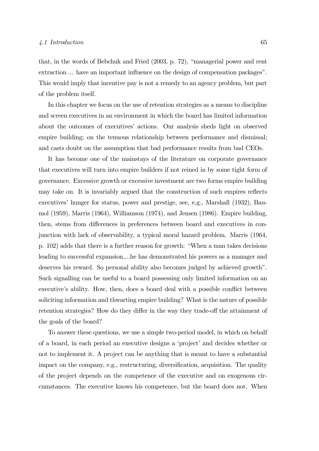that, in the words of Bebchuk and Fried (2003, p. 72), "managerial power and rent extraction ... have an important influence on the design of compensation packages". This would imply that incentive pay is not a remedy to an agency problem, but part of the problem itself.

In this chapter we focus on the use of retention strategies as a means to discipline and screen executives in an environment in which the board has limited information about the outcomes of executives' actions. Our analysis sheds light on observed empire building; on the tenuous relationship between performance and dismissal; and casts doubt on the assumption that bad performance results from bad CEOs.

It has become one of the mainstays of the literature on corporate governance that executives will turn into empire builders if not reined in by some tight form of governance. Excessive growth or excessive investment are two forms empire building may take on. It is invariably argued that the construction of such empires reflects executives' hunger for status, power and prestige, see, e.g., Marshall (1932), Baumol (1959), Marris (1964), Williamson (1974), and Jensen (1986). Empire building, then, stems from differences in preferences between board and executives in conjunction with lack of observability, a typical moral hazard problem. Marris (1964, p. 102) adds that there is a further reason for growth: "When a man takes decisions leading to successful expansion,...he has demonstrated his powers as a manager and deserves his reward. So personal ability also becomes judged by achieved growth". Such signalling can be useful to a board possessing only limited information on an executive's ability. How, then, does a board deal with a possible conflict between soliciting information and thwarting empire building? What is the nature of possible retention strategies? How do they differ in the way they trade-off the attainment of the goals of the board?

To answer these questions, we use a simple two-period model, in which on behalf of a board, in each period an executive designs a 'project' and decides whether or not to implement it. A project can be anything that is meant to have a substantial impact on the company, e.g., restructuring, diversification, acquisition. The quality of the project depends on the competence of the executive and on exogenous circumstances. The executive knows his competence, but the board does not. When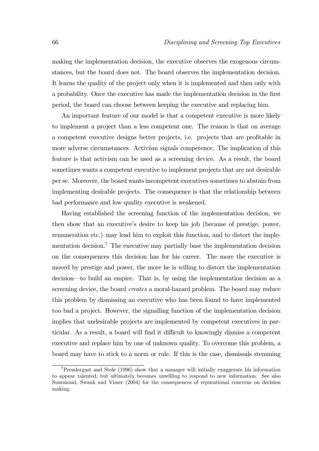making the implementation decision, the executive observes the exogenous circumstances, but the board does not. The board observes the implementation decision. It learns the quality of the project only when it is implemented and then only with a probability. Once the executive has made the implementation decision in the first period, the board can choose between keeping the executive and replacing him.

An important feature of our model is that a competent executive is more likely to implement a project than a less competent one. The reason is that on average a competent executive designs better projects, i.e. projects that are profitable in more adverse circumstances. Activism signals competence. The implication of this feature is that activism can be used as a screening device. As a result, the board sometimes wants a competent executive to implement projects that are not desirable per se. Moreover, the board wants incompetent executives sometimes to abstain from implementing desirable projects. The consequence is that the relationship between bad performance and low quality executive is weakened.

Having established the screening function of the implementation decision, we then show that an executive's desire to keep his job (because of prestige, power, remuneration etc.) may lead him to exploit this function, and to distort the implementation decision.7 The executive may partially base the implementation decision on the consequences this decision has for his career. The more the executive is moved by prestige and power, the more he is willing to distort the implementation decision–to build an empire. That is, by using the implementation decision as a screening device, the board *creates* a moral-hazard problem. The board may reduce this problem by dismissing an executive who has been found to have implemented too bad a project. However, the signalling function of the implementation decision implies that undesirable projects are implemented by competent executives in particular. As a result, a board will find it difficult to knowingly dismiss a competent executive and replace him by one of unknown quality. To overcome this problem, a board may have to stick to a norm or rule. If this is the case, dismissals stemming

<sup>7</sup>Prendergast and Stole (1996) show that a manager will initially exaggerate his information to appear talented, but ultimately becomes unwilling to respond to new information. See also Suurmond, Swank and Visser (2004) for the consequences of reputational concerns on decision making.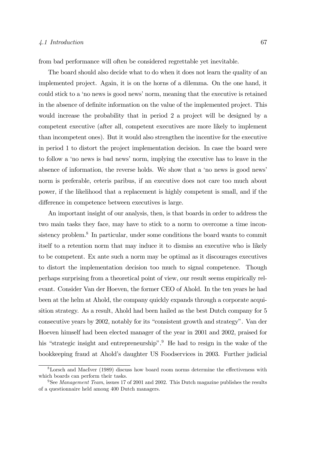#### 4.1 Introduction 67

from bad performance will often be considered regrettable yet inevitable.

The board should also decide what to do when it does not learn the quality of an implemented project. Again, it is on the horns of a dilemma. On the one hand, it could stick to a 'no news is good news' norm, meaning that the executive is retained in the absence of definite information on the value of the implemented project. This would increase the probability that in period 2 a project will be designed by a competent executive (after all, competent executives are more likely to implement than incompetent ones). But it would also strengthen the incentive for the executive in period 1 to distort the project implementation decision. In case the board were to follow a 'no news is bad news' norm, implying the executive has to leave in the absence of information, the reverse holds. We show that a 'no news is good news' norm is preferable, ceteris paribus, if an executive does not care too much about power, if the likelihood that a replacement is highly competent is small, and if the difference in competence between executives is large.

An important insight of our analysis, then, is that boards in order to address the two main tasks they face, may have to stick to a norm to overcome a time inconsistency problem.<sup>8</sup> In particular, under some conditions the board wants to commit itself to a retention norm that may induce it to dismiss an executive who is likely to be competent. Ex ante such a norm may be optimal as it discourages executives to distort the implementation decision too much to signal competence. Though perhaps surprising from a theoretical point of view, our result seems empirically relevant. Consider Van der Hoeven, the former CEO of Ahold. In the ten years he had been at the helm at Ahold, the company quickly expands through a corporate acquisition strategy. As a result, Ahold had been hailed as the best Dutch company for 5 consecutive years by 2002, notably for its "consistent growth and strategy". Van der Hoeven himself had been elected manager of the year in 2001 and 2002, praised for his "strategic insight and entrepreneurship".<sup>9</sup> He had to resign in the wake of the bookkeeping fraud at Ahold's daughter US Foodservices in 2003. Further judicial

<sup>8</sup>Lorsch and MacIver (1989) discuss how board room norms determine the effectiveness with which boards can perform their tasks.

<sup>&</sup>lt;sup>9</sup>See *Management Team*, issues 17 of 2001 and 2002. This Dutch magazine publishes the results of a questionnaire held among 400 Dutch managers.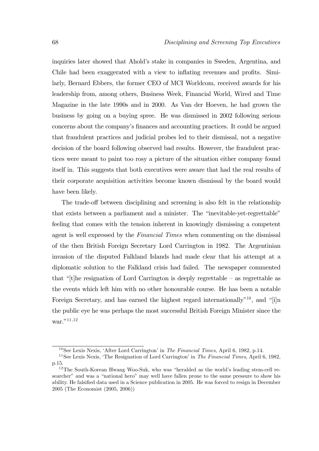inquiries later showed that Ahold's stake in companies in Sweden, Argentina, and Chile had been exaggerated with a view to inflating revenues and profits. Similarly, Bernard Ebbers, the former CEO of MCI Worldcom, received awards for his leadership from, among others, Business Week, Financial World, Wired and Time Magazine in the late 1990s and in 2000. As Van der Hoeven, he had grown the business by going on a buying spree. He was dismissed in 2002 following serious concerns about the company's finances and accounting practices. It could be argued that fraudulent practices and judicial probes led to their dismissal, not a negative decision of the board following observed bad results. However, the fraudulent practices were meant to paint too rosy a picture of the situation either company found itself in. This suggests that both executives were aware that had the real results of their corporate acquisition activities become known dismissal by the board would have been likely.

The trade-off between disciplining and screening is also felt in the relationship that exists between a parliament and a minister. The "inevitable-yet-regrettable" feeling that comes with the tension inherent in knowingly dismissing a competent agent is well expressed by the *Financial Times* when commenting on the dismissal of the then British Foreign Secretary Lord Carrington in 1982. The Argentinian invasion of the disputed Falkland Islands had made clear that his attempt at a diplomatic solution to the Falkland crisis had failed. The newspaper commented that "[t]he resignation of Lord Carrington is deeply regrettable — as regrettable as the events which left him with no other honourable course. He has been a notable Foreign Secretary, and has earned the highest regard internationally<sup>"10</sup>, and "[i]n the public eye he was perhaps the most successful British Foreign Minister since the war."<sup>11,12</sup>

 $10$ See Lexis Nexis, 'After Lord Carrington' in The Financial Times, April 6, 1982, p.14.

<sup>&</sup>lt;sup>11</sup>See Lexis Nexis, 'The Resignation of Lord Carrington' in *The Financial Times*, April 6, 1982, p.15.

<sup>12</sup>The South-Korean Hwang Woo-Suk, who was "heralded as the world's leading stem-cell researcher" and was a "national hero" may well have fallen prone to the same pressure to show his ability. He falsified data used in a Science publication in 2005. He was forced to resign in December 2005 (The Economist (2005, 2006))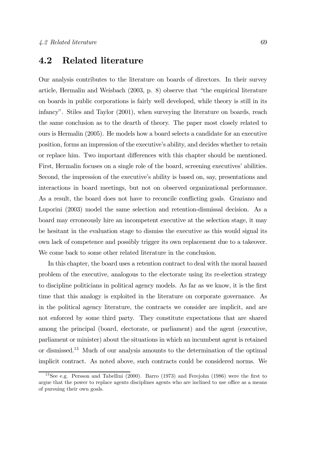## 4.2 Related literature

Our analysis contributes to the literature on boards of directors. In their survey article, Hermalin and Weisbach (2003, p. 8) observe that "the empirical literature on boards in public corporations is fairly well developed, while theory is still in its infancy". Stiles and Taylor (2001), when surveying the literature on boards, reach the same conclusion as to the dearth of theory. The paper most closely related to ours is Hermalin (2005). He models how a board selects a candidate for an executive position, forms an impression of the executive's ability, and decides whether to retain or replace him. Two important differences with this chapter should be mentioned. First, Hermalin focuses on a single role of the board, screening executives' abilities. Second, the impression of the executive's ability is based on, say, presentations and interactions in board meetings, but not on observed organizational performance. As a result, the board does not have to reconcile conflicting goals. Graziano and Luporini (2003) model the same selection and retention-dismissal decision. As a board may erroneously hire an incompetent executive at the selection stage, it may be hesitant in the evaluation stage to dismiss the executive as this would signal its own lack of competence and possibly trigger its own replacement due to a takeover. We come back to some other related literature in the conclusion.

In this chapter, the board uses a retention contract to deal with the moral hazard problem of the executive, analogous to the electorate using its re-election strategy to discipline politicians in political agency models. As far as we know, it is the first time that this analogy is exploited in the literature on corporate governance. As in the political agency literature, the contracts we consider are implicit, and are not enforced by some third party. They constitute expectations that are shared among the principal (board, electorate, or parliament) and the agent (executive, parliament or minister) about the situations in which an incumbent agent is retained or dismissed.13 Much of our analysis amounts to the determination of the optimal implicit contract. As noted above, such contracts could be considered norms. We

<sup>13</sup>See e.g. Persson and Tabellini (2000). Barro (1973) and Ferejohn (1986) were the first to argue that the power to replace agents disciplines agents who are inclined to use office as a means of pursuing their own goals.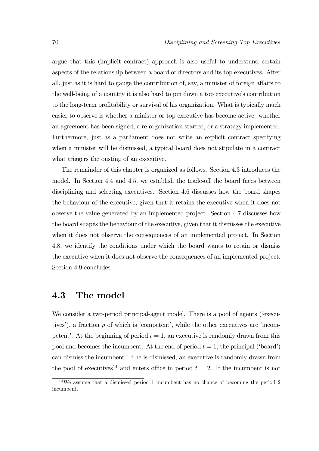argue that this (implicit contract) approach is also useful to understand certain aspects of the relationship between a board of directors and its top executives. After all, just as it is hard to gauge the contribution of, say, a minister of foreign affairs to the well-being of a country it is also hard to pin down a top executive's contribution to the long-term profitability or survival of his organization. What is typically much easier to observe is whether a minister or top executive has become active: whether an agreement has been signed, a re-organization started, or a strategy implemented. Furthermore, just as a parliament does not write an explicit contract specifying when a minister will be dismissed, a typical board does not stipulate in a contract what triggers the ousting of an executive.

The remainder of this chapter is organized as follows. Section 4.3 introduces the model. In Section 4.4 and 4.5, we establish the trade-off the board faces between disciplining and selecting executives. Section 4.6 discusses how the board shapes the behaviour of the executive, given that it retains the executive when it does not observe the value generated by an implemented project. Section 4.7 discusses how the board shapes the behaviour of the executive, given that it dismisses the executive when it does not observe the consequences of an implemented project. In Section 4.8, we identify the conditions under which the board wants to retain or dismiss the executive when it does not observe the consequences of an implemented project. Section 4.9 concludes.

## 4.3 The model

We consider a two-period principal-agent model. There is a pool of agents ('executives'), a fraction  $\rho$  of which is 'competent', while the other executives are 'incompetent'. At the beginning of period  $t = 1$ , an executive is randomly drawn from this pool and becomes the incumbent. At the end of period  $t = 1$ , the principal ('board') can dismiss the incumbent. If he is dismissed, an executive is randomly drawn from the pool of executives<sup>14</sup> and enters office in period  $t = 2$ . If the incumbent is not

<sup>14</sup>We assume that a dismissed period 1 incumbent has no chance of becoming the period 2 incumbent.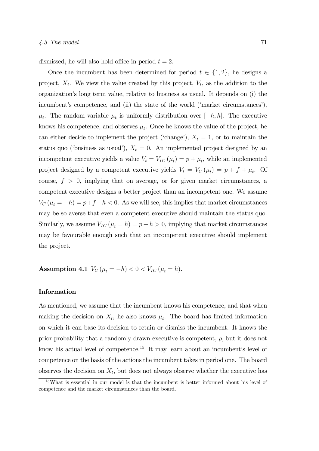dismissed, he will also hold office in period  $t = 2$ .

Once the incumbent has been determined for period  $t \in \{1,2\}$ , he designs a project,  $X_t$ . We view the value created by this project,  $V_t$ , as the addition to the organization's long term value, relative to business as usual. It depends on (i) the incumbent's competence, and (ii) the state of the world ('market circumstances'),  $\mu_t$ . The random variable  $\mu_t$  is uniformly distribution over  $[-h, h]$ . The executive knows his competence, and observes  $\mu_t$ . Once he knows the value of the project, he can either decide to implement the project ('change'),  $X_t = 1$ , or to maintain the status quo ('business as usual'),  $X_t = 0$ . An implemented project designed by an incompetent executive yields a value  $V_t = V_{IC}(\mu_t) = p + \mu_t$ , while an implemented project designed by a competent executive yields  $V_t = V_C(\mu_t) = p + f + \mu_t$ . Of course,  $f > 0$ , implying that on average, or for given market circumstances, a competent executive designs a better project than an incompetent one. We assume  $V_C(\mu_t = -h) = p+f-h < 0$ . As we will see, this implies that market circumstances may be so averse that even a competent executive should maintain the status quo. Similarly, we assume  $V_{IC}(\mu_t = h) = p + h > 0$ , implying that market circumstances may be favourable enough such that an incompetent executive should implement the project.

Assumption 4.1  $V_C (\mu_t = -h) < 0 < V_{IC} (\mu_t = h)$ .

#### Information

As mentioned, we assume that the incumbent knows his competence, and that when making the decision on  $X_t$ , he also knows  $\mu_t$ . The board has limited information on which it can base its decision to retain or dismiss the incumbent. It knows the prior probability that a randomly drawn executive is competent,  $\rho$ , but it does not know his actual level of competence.<sup>15</sup> It may learn about an incumbent's level of competence on the basis of the actions the incumbent takes in period one. The board observes the decision on  $X_t$ , but does not always observe whether the executive has

<sup>&</sup>lt;sup>15</sup>What is essential in our model is that the incumbent is better informed about his level of competence and the market circumstances than the board.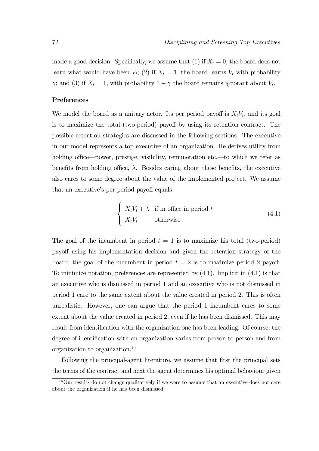made a good decision. Specifically, we assume that (1) if  $X_t = 0$ , the board does not learn what would have been  $V_t$ ; (2) if  $X_t = 1$ , the board learns  $V_t$  with probability γ; and (3) if  $X_t = 1$ , with probability  $1 - \gamma$  the board remains ignorant about  $V_t$ .

#### Preferences

We model the board as a unitary actor. Its per period payoff is  $X_tV_t$ , and its goal is to maximize the total (two-period) payoff by using its retention contract. The possible retention strategies are discussed in the following sections. The executive in our model represents a top executive of an organization. He derives utility from holding office—power, prestige, visibility, remuneration etc.—to which we refer as benefits from holding office,  $\lambda$ . Besides caring about these benefits, the executive also cares to some degree about the value of the implemented project. We assume that an executive's per period payoff equals

$$
\begin{cases}\nX_t V_t + \lambda & \text{if in office in period } t \\
X_t V_t & \text{otherwise}\n\end{cases}
$$
\n(4.1)

The goal of the incumbent in period  $t = 1$  is to maximize his total (two-period) payoff using his implementation decision and given the retention strategy of the board; the goal of the incumbent in period  $t = 2$  is to maximize period 2 payoff. To minimize notation, preferences are represented by (4.1). Implicit in (4.1) is that an executive who is dismissed in period 1 and an executive who is not dismissed in period 1 care to the same extent about the value created in period 2. This is often unrealistic. However, one can argue that the period 1 incumbent cares to some extent about the value created in period 2, even if he has been dismissed. This may result from identification with the organization one has been leading. Of course, the degree of identification with an organization varies from person to person and from organization to organization.16

Following the principal-agent literature, we assume that first the principal sets the terms of the contract and next the agent determines his optimal behaviour given

 $16$ Our results do not change qualitatively if we were to assume that an executive does not care about the organization if he has been dismissed.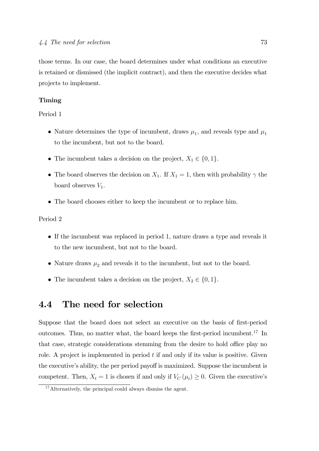those terms. In our case, the board determines under what conditions an executive is retained or dismissed (the implicit contract), and then the executive decides what projects to implement.

#### Timing

Period 1

- Nature determines the type of incumbent, draws  $\mu_1$ , and reveals type and  $\mu_1$ to the incumbent, but not to the board.
- The incumbent takes a decision on the project,  $X_1 \in \{0, 1\}.$
- The board observes the decision on  $X_1$ . If  $X_1 = 1$ , then with probability  $\gamma$  the board observes  $V_1$ .
- The board chooses either to keep the incumbent or to replace him.

Period 2

- If the incumbent was replaced in period 1, nature draws a type and reveals it to the new incumbent, but not to the board.
- Nature draws  $\mu_2$  and reveals it to the incumbent, but not to the board.
- The incumbent takes a decision on the project,  $X_2 \in \{0, 1\}.$

## 4.4 The need for selection

Suppose that the board does not select an executive on the basis of first-period outcomes. Thus, no matter what, the board keeps the first-period incumbent.<sup>17</sup> In that case, strategic considerations stemming from the desire to hold office play no role. A project is implemented in period  $t$  if and only if its value is positive. Given the executive's ability, the per period payoff is maximized. Suppose the incumbent is competent. Then,  $X_t = 1$  is chosen if and only if  $V_C(\mu_t) \geq 0$ . Given the executive's

<sup>&</sup>lt;sup>17</sup>Alternatively, the principal could always dismiss the agent.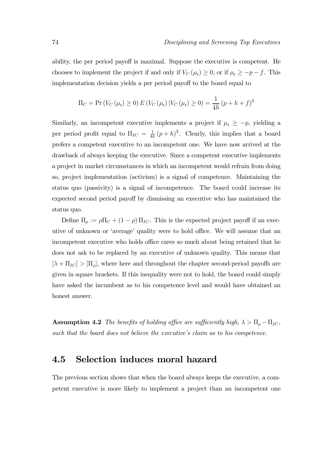ability, the per period payoff is maximal. Suppose the executive is competent. He chooses to implement the project if and only if  $V_C(\mu_t) \geq 0$ , or if  $\mu_t \geq -p-f$ . This implementation decision yields a per period payoff to the board equal to

$$
\Pi_C = \Pr(V_C(\mu_t) \ge 0) E(V_C(\mu_t) | V_C(\mu_t) \ge 0) = \frac{1}{4h} (p + h + f)^2
$$

Similarly, an incompetent executive implements a project if  $\mu_t \ge -p$ , yielding a per period profit equal to  $\Pi_{IC} = \frac{1}{4h} (p+h)^2$ . Clearly, this implies that a board prefers a competent executive to an incompetent one. We have now arrived at the drawback of always keeping the executive. Since a competent executive implements a project in market circumstances in which an incompetent would refrain from doing so, project implementation (activism) is a signal of competence. Maintaining the status quo (passivity) is a signal of incompetence. The board could increase its expected second period payoff by dismissing an executive who has maintained the status quo.

Define  $\Pi_{\rho} := \rho \Pi_C + (1 - \rho) \Pi_{IC}$ . This is the expected project payoff if an executive of unknown or 'average' quality were to hold office. We will assume that an incompetent executive who holds office cares so much about being retained that he does not ask to be replaced by an executive of unknown quality. This means that  $[\lambda + \Pi_{IC}] > [\Pi_{\rho}],$  where here and throughout the chapter second-period payoffs are given in square brackets. If this inequality were not to hold, the board could simply have asked the incumbent as to his competence level and would have obtained an honest answer.

**Assumption 4.2** The benefits of holding office are sufficiently high,  $\lambda > \Pi_{\rho} - \Pi_{IC}$ , such that the board does not believe the executive's claim as to his competence.

## 4.5 Selection induces moral hazard

The previous section shows that when the board always keeps the executive, a competent executive is more likely to implement a project than an incompetent one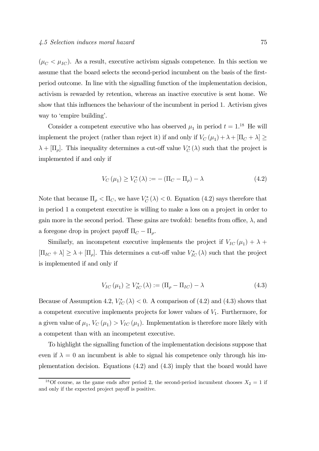$(\mu_C < \mu_{IC})$ . As a result, executive activism signals competence. In this section we assume that the board selects the second-period incumbent on the basis of the firstperiod outcome. In line with the signalling function of the implementation decision, activism is rewarded by retention, whereas an inactive executive is sent home. We show that this influences the behaviour of the incumbent in period 1. Activism gives way to 'empire building'.

Consider a competent executive who has observed  $\mu_1$  in period  $t = 1$ <sup>18</sup> He will implement the project (rather than reject it) if and only if  $V_C(\mu_1) + \lambda + [\Pi_C + \lambda] \ge$  $\lambda + [\Pi_{\rho}]$ . This inequality determines a cut-off value  $V_C^*(\lambda)$  such that the project is implemented if and only if

$$
V_C(\mu_1) \ge V_C^*(\lambda) := -(\Pi_C - \Pi_\rho) - \lambda \tag{4.2}
$$

Note that because  $\Pi_{\rho} < \Pi_C$ , we have  $V_C^*(\lambda) < 0$ . Equation (4.2) says therefore that in period 1 a competent executive is willing to make a loss on a project in order to gain more in the second period. These gains are twofold: benefits from office,  $\lambda$ , and a foregone drop in project payoff  $\Pi_C - \Pi_\rho$ .

Similarly, an incompetent executive implements the project if  $V_{IC}(\mu_1) + \lambda +$  $[\Pi_{IC} + \lambda] \ge \lambda + [\Pi_{\rho}]$ . This determines a cut-off value  $V^*_{IC}(\lambda)$  such that the project is implemented if and only if

$$
V_{IC}(\mu_1) \ge V_{IC}^*(\lambda) := (\Pi_\rho - \Pi_{IC}) - \lambda \tag{4.3}
$$

Because of Assumption 4.2,  $V^*_{IC}(\lambda) < 0$ . A comparison of (4.2) and (4.3) shows that a competent executive implements projects for lower values of  $V_1$ . Furthermore, for a given value of  $\mu_1$ ,  $V_C(\mu_1) > V_{IC}(\mu_1)$ . Implementation is therefore more likely with a competent than with an incompetent executive.

To highlight the signalling function of the implementation decisions suppose that even if  $\lambda = 0$  an incumbent is able to signal his competence only through his implementation decision. Equations (4.2) and (4.3) imply that the board would have

<sup>&</sup>lt;sup>18</sup>Of course, as the game ends after period 2, the second-period incumbent chooses  $X_2 = 1$  if and only if the expected project payoff is positive.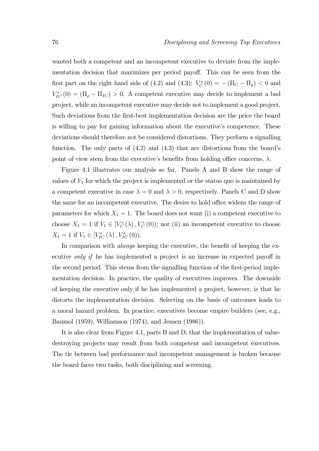wanted both a competent and an incompetent executive to deviate from the implementation decision that maximizes per period payoff. This can be seen from the first part on the right hand side of (4.2) and (4.3):  $V_C^*(0) = -(\Pi_C - \Pi_\rho) < 0$  and  $V_{IC}^*(0) = (\Pi_\rho - \Pi_{IC}) > 0$ . A competent executive may decide to implement a bad project, while an incompetent executive may decide not to implement a good project. Such deviations from the first-best implementation decision are the price the board is willing to pay for gaining information about the executive's competence. These deviations should therefore not be considered distortions. They perform a signalling function. The only parts of (4.2) and (4.3) that are distortions from the board's point of view stem from the executive's benefits from holding office concerns,  $\lambda$ .

Figure 4.1 illustrates our analysis so far. Panels A and B show the range of values of  $V_1$  for which the project is implemented or the status quo is maintained by a competent executive in case  $\lambda = 0$  and  $\lambda > 0$ , respectively. Panels C and D show the same for an incompetent executive. The desire to hold office widens the range of parameters for which  $X_1 = 1$ . The board does not want (i) a competent executive to choose  $X_1 = 1$  if  $V_1 \in [V_C^*(\lambda), V_C^*(0))$ ; nor (ii) an incompetent executive to choose  $X_1 = 1$  if  $V_1 \in [V_{IC}^*(\lambda), V_{IC}^*(0)).$ 

In comparison with *always* keeping the executive, the benefit of keeping the executive only if he has implemented a project is an increase in expected payoff in the second period. This stems from the signalling function of the first-period implementation decision. In practice, the quality of executives improves. The downside of keeping the executive only if he has implemented a project, however, is that he distorts the implementation decision. Selecting on the basis of outcomes leads to a moral hazard problem. In practice, executives become empire builders (see, e.g., Baumol (1959), Williamson (1974), and Jensen (1986)).

It is also clear from Figure 4.1, parts B and D, that the implementation of valuedestroying projects may result from both competent and incompetent executives. The tie between bad performance and incompetent management is broken because the board faces two tasks, both disciplining and screening.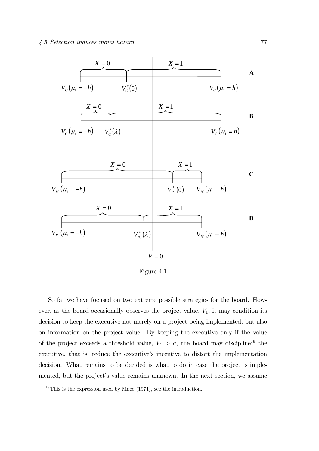

Figure 4.1

So far we have focused on two extreme possible strategies for the board. However, as the board occasionally observes the project value,  $V_1$ , it may condition its decision to keep the executive not merely on a project being implemented, but also on information on the project value. By keeping the executive only if the value of the project exceeds a threshold value,  $V_1 > a$ , the board may discipline<sup>19</sup> the executive, that is, reduce the executive's incentive to distort the implementation decision. What remains to be decided is what to do in case the project is implemented, but the project's value remains unknown. In the next section, we assume

<sup>&</sup>lt;sup>19</sup>This is the expression used by Mace  $(1971)$ , see the introduction.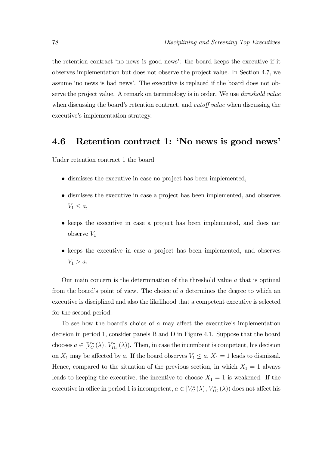the retention contract 'no news is good news': the board keeps the executive if it observes implementation but does not observe the project value. In Section 4.7, we assume 'no news is bad news'. The executive is replaced if the board does not observe the project value. A remark on terminology is in order. We use *threshold value* when discussing the board's retention contract, and *cutoff value* when discussing the executive's implementation strategy.

## 4.6 Retention contract 1: 'No news is good news'

Under retention contract 1 the board

- dismisses the executive in case no project has been implemented,
- dismisses the executive in case a project has been implemented, and observes  $V_1 \leq a$ ,
- keeps the executive in case a project has been implemented, and does not observe  $V_1$
- keeps the executive in case a project has been implemented, and observes  $V_1 > a$ .

Our main concern is the determination of the threshold value  $a$  that is optimal from the board's point of view. The choice of a determines the degree to which an executive is disciplined and also the likelihood that a competent executive is selected for the second period.

To see how the board's choice of a may affect the executive's implementation decision in period 1, consider panels B and D in Figure 4.1. Suppose that the board chooses  $a \in [V_C^*(\lambda), V_{IC}^*(\lambda))$ . Then, in case the incumbent is competent, his decision on  $X_1$  may be affected by a. If the board observes  $V_1 \le a, X_1 = 1$  leads to dismissal. Hence, compared to the situation of the previous section, in which  $X_1 = 1$  always leads to keeping the executive, the incentive to choose  $X_1 = 1$  is weakened. If the executive in office in period 1 is incompetent,  $a \in [V_C^*(\lambda), V_{IC}^*(\lambda))$  does not affect his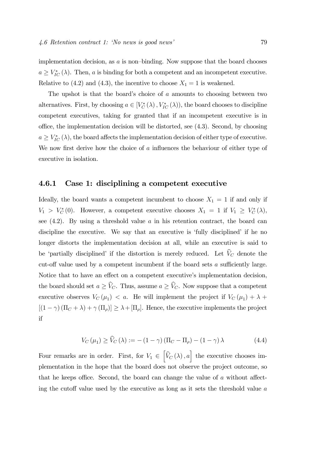implementation decision, as  $a$  is non-binding. Now suppose that the board chooses  $a \geq V_{IC}^*(\lambda)$ . Then, a is binding for both a competent and an incompetent executive. Relative to (4.2) and (4.3), the incentive to choose  $X_1 = 1$  is weakened.

The upshot is that the board's choice of  $a$  amounts to choosing between two alternatives. First, by choosing  $a \in [V_C^*(\lambda), V_{IC}^*(\lambda))$ , the board chooses to discipline competent executives, taking for granted that if an incompetent executive is in office, the implementation decision will be distorted, see (4.3). Second, by choosing  $a \geq V_{IC}^*(\lambda)$ , the board affects the implementation decision of either type of executive. We now first derive how the choice of a influences the behaviour of either type of executive in isolation.

#### 4.6.1 Case 1: disciplining a competent executive

Ideally, the board wants a competent incumbent to choose  $X_1 = 1$  if and only if  $V_1 > V_C^*(0)$ . However, a competent executive chooses  $X_1 = 1$  if  $V_1 \geq V_C^*(\lambda)$ , see  $(4.2)$ . By using a threshold value a in his retention contract, the board can discipline the executive. We say that an executive is 'fully disciplined' if he no longer distorts the implementation decision at all, while an executive is said to be 'partially disciplined' if the distortion is merely reduced. Let  $\hat{V}_C$  denote the cut-off value used by a competent incumbent if the board sets a sufficiently large. Notice that to have an effect on a competent executive's implementation decision, the board should set  $a \geq \hat{V}_C$ . Thus, assume  $a \geq \hat{V}_C$ . Now suppose that a competent executive observes  $V_C(\mu_1) < a$ . He will implement the project if  $V_C(\mu_1) + \lambda +$  $[(1 - \gamma) (\Pi_C + \lambda) + \gamma (\Pi_{\rho})] \ge \lambda + [\Pi_{\rho}]$ . Hence, the executive implements the project if

$$
V_C(\mu_1) \ge \hat{V}_C(\lambda) := -(1 - \gamma) \left( \Pi_C - \Pi_\rho \right) - (1 - \gamma) \lambda \tag{4.4}
$$

Four remarks are in order. First, for  $V_1 \in \left[ \widehat{V}_C(\lambda), a \right]$  the executive chooses implementation in the hope that the board does not observe the project outcome, so that he keeps office. Second, the board can change the value of a without affecting the cutoff value used by the executive as long as it sets the threshold value a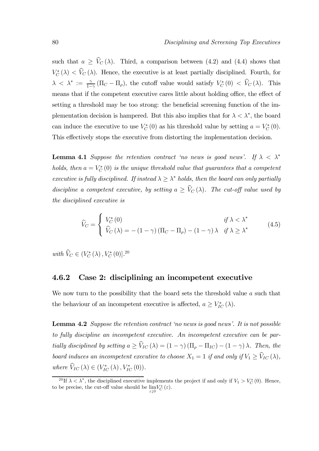such that  $a \geq \hat{V}_C(\lambda)$ . Third, a comparison between (4.2) and (4.4) shows that  $V_C^*(\lambda) < V_C(\lambda)$ . Hence, the executive is at least partially disciplined. Fourth, for  $\lambda < \lambda^* := \frac{\gamma}{1-\gamma} (\Pi_C - \Pi_\rho)$ , the cutoff value would satisfy  $V_C^*(0) < \hat{V}_C(\lambda)$ . This means that if the competent executive cares little about holding office, the effect of setting a threshold may be too strong: the beneficial screening function of the implementation decision is hampered. But this also implies that for  $\lambda < \lambda^*$ , the board can induce the executive to use  $V_C^*(0)$  as his threshold value by setting  $a = V_C^*(0)$ . This effectively stops the executive from distorting the implementation decision.

**Lemma 4.1** Suppose the retention contract 'no news is good news'. If  $\lambda < \lambda^*$ holds, then  $a = V_C^*(0)$  is the unique threshold value that guarantees that a competent executive is fully disciplined. If instead  $\lambda \geq \lambda^*$  holds, then the board can only partially discipline a competent executive, by setting  $a \geq \widehat{V}_C(\lambda)$ . The cut-off value used by the disciplined executive is

$$
\widehat{V}_C = \begin{cases}\nV_C^*(0) & \text{if } \lambda < \lambda^* \\
\widehat{V}_C(\lambda) = -(1 - \gamma) \left( \Pi_C - \Pi_\rho \right) - (1 - \gamma) \lambda & \text{if } \lambda \ge \lambda^* \n\end{cases}
$$
\n(4.5)

with  $V_C \in (V_C^*(\lambda), V_C^*(0)].^{20}$ 

#### 4.6.2 Case 2: disciplining an incompetent executive

We now turn to the possibility that the board sets the threshold value a such that the behaviour of an incompetent executive is affected,  $a \geq V^*_{IC}(\lambda)$ .

**Lemma 4.2** Suppose the retention contract 'no news is good news'. It is not possible to fully discipline an incompetent executive. An incompetent executive can be partially disciplined by setting  $a \geq \widehat{V}_{IC}(\lambda) = (1 - \gamma) (\Pi_{\rho} - \Pi_{IC}) - (1 - \gamma) \lambda$ . Then, the board induces an incompetent executive to choose  $X_1 = 1$  if and only if  $V_1 \geq \widehat{V}_{IC}(\lambda)$ , where  $V_{IC}(\lambda) \in (V_{IC}^*(\lambda), V_{IC}^*(0)).$ 

<sup>&</sup>lt;sup>20</sup>If  $\lambda < \lambda^*$ , the disciplined executive implements the project if and only if  $V_1 > V_C^*(0)$ . Hence, to be precise, the cut-off value should be lim ε↓0  $V_C^*\left(\varepsilon\right)$ .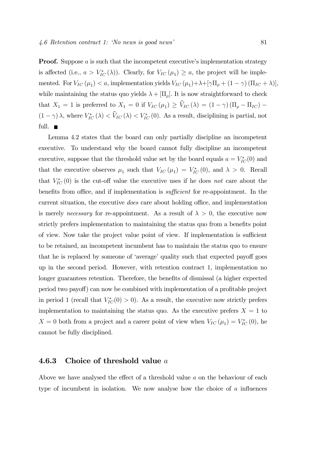**Proof.** Suppose  $a$  is such that the incompetent executive's implementation strategy is affected (i.e.,  $a > V^*_{IC}(\lambda)$ ). Clearly, for  $V_{IC}(\mu_1) \geq a$ , the project will be implemented. For  $V_{IC}(\mu_1) < a$ , implementation yields  $V_{IC}(\mu_1) + \lambda + [\gamma \Pi_{\rho} + (1 - \gamma) (\Pi_{IC} + \lambda)],$ while maintaining the status quo yields  $\lambda + [\Pi_{\rho}]$ . It is now straightforward to check that  $X_1 = 1$  is preferred to  $X_1 = 0$  if  $V_{IC}(\mu_1) \ge \hat{V}_{IC}(\lambda) = (1 - \gamma) (\Pi_\rho - \Pi_{IC}) (1 - \gamma) \lambda$ , where  $V_{IC}^* (\lambda) < V_{IC} (\lambda) < V_{IC}^* (0)$ . As a result, disciplining is partial, not  $full$ 

Lemma 4.2 states that the board can only partially discipline an incompetent executive. To understand why the board cannot fully discipline an incompetent executive, suppose that the threshold value set by the board equals  $a = V^*_{IC}(0)$  and that the executive observes  $\mu_1$  such that  $V_{IC}(\mu_1) = V_{IC}^*(0)$ , and  $\lambda > 0$ . Recall that  $V^*_{IC}(0)$  is the cut-off value the executive uses if he does not care about the benefits from office, and if implementation is sufficient for re-appointment. In the current situation, the executive does care about holding office, and implementation is merely necessary for re-appointment. As a result of  $\lambda > 0$ , the executive now strictly prefers implementation to maintaining the status quo from a benefits point of view. Now take the project value point of view. If implementation is sufficient to be retained, an incompetent incumbent has to maintain the status quo to ensure that he is replaced by someone of 'average' quality such that expected payoff goes up in the second period. However, with retention contract 1, implementation no longer guarantees retention. Therefore, the benefits of dismissal (a higher expected period two payoff) can now be combined with implementation of a profitable project in period 1 (recall that  $V^*_{IC}(0) > 0$ ). As a result, the executive now strictly prefers implementation to maintaining the status quo. As the executive prefers  $X = 1$  to  $X = 0$  both from a project and a career point of view when  $V_{IC}(\mu_1) = V_{IC}^*(0)$ , he cannot be fully disciplined.

#### 4.6.3 Choice of threshold value a

Above we have analysed the effect of a threshold value a on the behaviour of each type of incumbent in isolation. We now analyse how the choice of  $a$  influences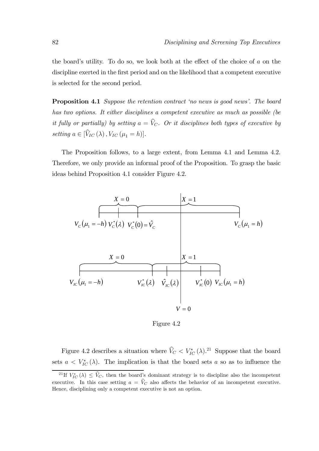the board's utility. To do so, we look both at the effect of the choice of a on the discipline exerted in the first period and on the likelihood that a competent executive is selected for the second period.

**Proposition 4.1** Suppose the retention contract 'no news is good news'. The board has two options. It either disciplines a competent executive as much as possible (be it fully or partially) by setting  $a = \hat{V}_C$ . Or it disciplines both types of executive by setting  $a \in [\hat{V}_{IC}(\lambda), V_{IC}(\mu_1 = h)].$ 

The Proposition follows, to a large extent, from Lemma 4.1 and Lemma 4.2. Therefore, we only provide an informal proof of the Proposition. To grasp the basic ideas behind Proposition 4.1 consider Figure 4.2.



Figure 4.2

Figure 4.2 describes a situation where  $\hat{V}_C < V^*_{IC}(\lambda)$ .<sup>21</sup> Suppose that the board sets  $a < V_{IC}^*(\lambda)$ . The implication is that the board sets a so as to influence the

<sup>&</sup>lt;sup>21</sup>If  $V^*_{IC}(\lambda) \leq \hat{V}_C$ , then the board's dominant strategy is to discipline also the incompetent executive. In this case setting  $a = \hat{V}_C$  also affects the behavior of an incompetent executive. Hence, disciplining only a competent executive is not an option.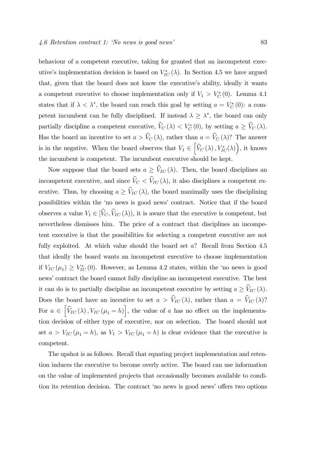behaviour of a competent executive, taking for granted that an incompetent executive's implementation decision is based on  $V^*_{IC}(\lambda)$ . In Section 4.5 we have argued that, given that the board does not know the executive's ability, ideally it wants a competent executive to choose implementation only if  $V_1 > V_C^*(0)$ . Lemma 4.1 states that if  $\lambda < \lambda^*$ , the board can reach this goal by setting  $a = V_C^*(0)$ : a competent incumbent can be fully disciplined. If instead  $\lambda \geq \lambda^*$ , the board can only partially discipline a competent executive,  $V_C(\lambda) < V_C^*(0)$ , by setting  $a \ge V_C(\lambda)$ . Has the board an incentive to set  $a > \widehat{V}_C(\lambda)$ , rather than  $a = \widehat{V}_C(\lambda)$ ? The answer is in the negative. When the board observes that  $V_1 \in \left[ \widehat{V}_C(\lambda), V^*_{IC}(\lambda) \right)$ , it knows the incumbent is competent. The incumbent executive should be kept.

Now suppose that the board sets  $a \geq \widehat{V}_{IC}(\lambda)$ . Then, the board disciplines an incompetent executive, and since  $\hat{V}_C < \hat{V}_{IC}(\lambda)$ , it also disciplines a competent executive. Thus, by choosing  $a \geq \hat{V}_{IC}(\lambda)$ , the board maximally uses the disciplining possibilities within the 'no news is good news' contract. Notice that if the board observes a value  $V_1 \in [\hat{V}_C, \hat{V}_{IC}(\lambda))$ , it is aware that the executive is competent, but nevertheless dismisses him. The price of a contract that disciplines an incompetent executive is that the possibilities for selecting a competent executive are not fully exploited. At which value should the board set  $a$ ? Recall from Section 4.5 that ideally the board wants an incompetent executive to choose implementation if  $V_{IC}(\mu_1) \geq V_{IC}^*(0)$ . However, as Lemma 4.2 states, within the 'no news is good news' contract the board cannot fully discipline an incompetent executive. The best it can do is to partially discipline an incompetent executive by setting  $a \geq \widehat{V}_{IC}(\lambda)$ . Does the board have an incentive to set  $a > \hat{V}_{IC}(\lambda)$ , rather than  $a = \hat{V}_{IC}(\lambda)$ ? For  $a \in \left[ \widehat{V}_{IC}(\lambda), V_{IC}(\mu_1 = h) \right]$ , the value of a has no effect on the implementation decision of either type of executive, nor on selection. The board should not set  $a > V_{IC} (\mu_1 = h)$ , as  $V_1 > V_{IC} (\mu_1 = h)$  is clear evidence that the executive is competent.

The upshot is as follows. Recall that equating project implementation and retention induces the executive to become overly active. The board can use information on the value of implemented projects that occasionally becomes available to condition its retention decision. The contract 'no news is good news' offers two options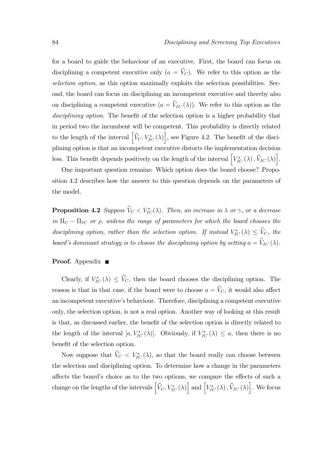for a board to guide the behaviour of an executive. First, the board can focus on disciplining a competent executive only  $(a = \hat{V}_C)$ . We refer to this option as the selection option, as this option maximally exploits the selection possibilities. Second, the board can focus on disciplining an incompetent executive and thereby also on disciplining a competent executive  $(a = \hat{V}_{IC}(\lambda))$ . We refer to this option as the disciplining option. The benefit of the selection option is a higher probability that in period two the incumbent will be competent. This probability is directly related to the length of the interval  $\left[\hat{V}_C, V_{IC}^*(\lambda)\right]$ , see Figure 4.2. The benefit of the disciplining option is that an incompetent executive distorts the implementation decision less. This benefit depends positively on the length of the interval  $\left[ V_{IC}^*(\lambda), \hat{V}_{IC}(\lambda) \right]$ .

One important question remains: Which option does the board choose? Proposition 4.2 describes how the answer to this question depends on the parameters of the model.

**Proposition 4.2** Suppose  $V_C < V^*_{IC}(\lambda)$ . Then, an increase in  $\lambda$  or  $\gamma$ , or a decrease in  $\Pi_C - \Pi_{IC}$  or  $\rho$ , widens the range of parameters for which the board chooses the disciplining option, rather than the selection option. If instead  $V_{IC}^*(\lambda) \leq V_C$ , the board's dominant strategy is to choose the disciplining option by setting  $a = \widehat{V}_{IC}(\lambda)$ .

#### **Proof.** Appendix ■

Clearly, if  $V^*_{IC}(\lambda) \leq V_C$ , then the board chooses the disciplining option. The reason is that in that case, if the board were to choose  $a = \hat{V}_C$ , it would also affect an incompetent executive's behaviour. Therefore, disciplining a competent executive only, the selection option, is not a real option. Another way of looking at this result is that, as discussed earlier, the benefit of the selection option is directly related to the length of the interval  $[a, V^*_{IC}(\lambda)]$ . Obviously, if  $V^*_{IC}(\lambda) \leq a$ , then there is no benefit of the selection option.

Now suppose that  $V_C < V^*_{IC}(\lambda)$ , so that the board really can choose between the selection and disciplining option. To determine how a change in the parameters affects the board's choice as to the two options, we compare the effects of such a change on the lengths of the intervals  $\left[\widehat{V}_C, V_{IC}^*(\lambda)\right]$  and  $\left[V_{IC}^*(\lambda), \widehat{V}_{IC}(\lambda)\right]$ . We focus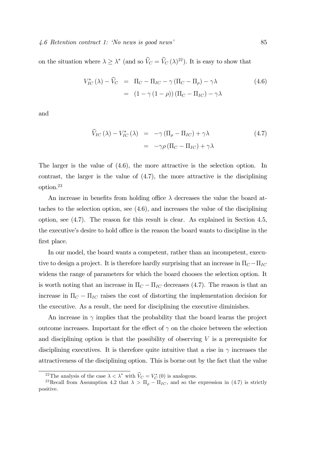on the situation where  $\lambda \geq \lambda^*$  (and so  $\widehat{V}_C = \widehat{V}_C (\lambda)^{22}$ ). It is easy to show that

$$
V_{IC}^*(\lambda) - \dot{V}_C = \Pi_C - \Pi_{IC} - \gamma (\Pi_C - \Pi_\rho) - \gamma \lambda
$$
\n
$$
= (1 - \gamma (1 - \rho)) (\Pi_C - \Pi_{IC}) - \gamma \lambda
$$
\n(4.6)

and

$$
\widehat{V}_{IC}(\lambda) - V_{IC}^*(\lambda) = -\gamma (\Pi_\rho - \Pi_{IC}) + \gamma \lambda \qquad (4.7)
$$
\n
$$
= -\gamma \rho (\Pi_C - \Pi_{IC}) + \gamma \lambda
$$

The larger is the value of (4.6), the more attractive is the selection option. In contrast, the larger is the value of  $(4.7)$ , the more attractive is the disciplining option.23

An increase in benefits from holding office  $\lambda$  decreases the value the board attaches to the selection option, see (4.6), and increases the value of the disciplining option, see (4.7). The reason for this result is clear. As explained in Section 4.5, the executive's desire to hold office is the reason the board wants to discipline in the first place.

In our model, the board wants a competent, rather than an incompetent, executive to design a project. It is therefore hardly surprising that an increase in  $\Pi_C-\Pi_{IC}$ widens the range of parameters for which the board chooses the selection option. It is worth noting that an increase in  $\Pi_C - \Pi_{IC}$  decreases (4.7). The reason is that an increase in  $\Pi_C - \Pi_{IC}$  raises the cost of distorting the implementation decision for the executive. As a result, the need for disciplining the executive diminishes.

An increase in  $\gamma$  implies that the probability that the board learns the project outcome increases. Important for the effect of  $\gamma$  on the choice between the selection and disciplining option is that the possibility of observing  $V$  is a prerequisite for disciplining executives. It is therefore quite intuitive that a rise in  $\gamma$  increases the attractiveness of the disciplining option. This is borne out by the fact that the value

<sup>&</sup>lt;sup>22</sup>The analysis of the case  $\lambda < \lambda^*$  with  $\hat{V}_C = V_C^*(0)$  is analogous.

<sup>&</sup>lt;sup>23</sup>Recall from Assumption 4.2 that  $\lambda > \Pi_{\rho} - \Pi_{IC}$ , and so the expression in (4.7) is strictly positive.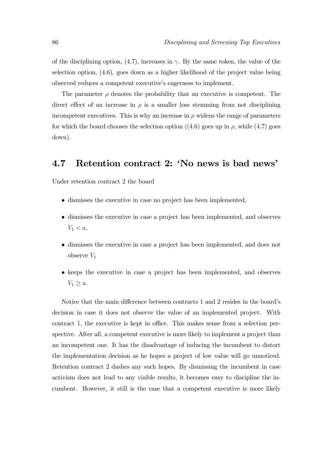of the disciplining option, (4.7), increases in  $\gamma$ . By the same token, the value of the selection option, (4.6), goes down as a higher likelihood of the project value being observed reduces a competent executive's eagerness to implement.

The parameter  $\rho$  denotes the probability that an executive is competent. The direct effect of an increase in  $\rho$  is a smaller loss stemming from not disciplining incompetent executives. This is why an increase in  $\rho$  widens the range of parameters for which the board chooses the selection option  $((4.6)$  goes up in  $\rho$ , while (4.7) goes down).

## 4.7 Retention contract 2: 'No news is bad news'

Under retention contract 2 the board

- dismisses the executive in case no project has been implemented,
- dismisses the executive in case a project has been implemented, and observes  $V_1 < a$ ,
- dismisses the executive in case a project has been implemented, and does not observe  $V_1$
- keeps the executive in case a project has been implemented, and observes  $V_1 \geq a$ .

Notice that the main difference between contracts 1 and 2 resides in the board's decision in case it does not observe the value of an implemented project. With contract 1, the executive is kept in office. This makes sense from a selection perspective. After all, a competent executive is more likely to implement a project than an incompetent one. It has the disadvantage of inducing the incumbent to distort the implementation decision as he hopes a project of low value will go unnoticed. Retention contract 2 dashes any such hopes. By dismissing the incumbent in case activism does not lead to any visible results, it becomes easy to discipline the incumbent. However, it still is the case that a competent executive is more likely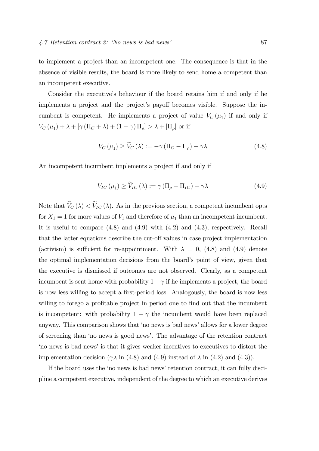to implement a project than an incompetent one. The consequence is that in the absence of visible results, the board is more likely to send home a competent than an incompetent executive.

Consider the executive's behaviour if the board retains him if and only if he implements a project and the project's payoff becomes visible. Suppose the incumbent is competent. He implements a project of value  $V_C(\mu_1)$  if and only if  $V_C(\mu_1) + \lambda + [\gamma (\Pi_C + \lambda) + (1 - \gamma) \Pi_\rho] > \lambda + [\Pi_\rho]$  or if

$$
V_C(\mu_1) \ge \tilde{V}_C(\lambda) := -\gamma \left(\Pi_C - \Pi_\rho\right) - \gamma \lambda \tag{4.8}
$$

An incompetent incumbent implements a project if and only if

$$
V_{IC}(\mu_1) \ge \widetilde{V}_{IC}(\lambda) := \gamma \left(\Pi_\rho - \Pi_{IC}\right) - \gamma \lambda \tag{4.9}
$$

Note that  $\widetilde{V}_C(\lambda) < \widetilde{V}_{IC}(\lambda)$ . As in the previous section, a competent incumbent opts for  $X_1 = 1$  for more values of  $V_1$  and therefore of  $\mu_1$  than an incompetent incumbent. It is useful to compare (4.8) and (4.9) with (4.2) and (4.3), respectively. Recall that the latter equations describe the cut-off values in case project implementation (activism) is sufficient for re-appointment. With  $\lambda = 0$ , (4.8) and (4.9) denote the optimal implementation decisions from the board's point of view, given that the executive is dismissed if outcomes are not observed. Clearly, as a competent incumbent is sent home with probability  $1-\gamma$  if he implements a project, the board is now less willing to accept a first-period loss. Analogously, the board is now less willing to forego a profitable project in period one to find out that the incumbent is incompetent: with probability  $1 - \gamma$  the incumbent would have been replaced anyway. This comparison shows that 'no news is bad news' allows for a lower degree of screening than 'no news is good news'. The advantage of the retention contract 'no news is bad news' is that it gives weaker incentives to executives to distort the implementation decision ( $\gamma \lambda$  in (4.8) and (4.9) instead of  $\lambda$  in (4.2) and (4.3)).

If the board uses the 'no news is bad news' retention contract, it can fully discipline a competent executive, independent of the degree to which an executive derives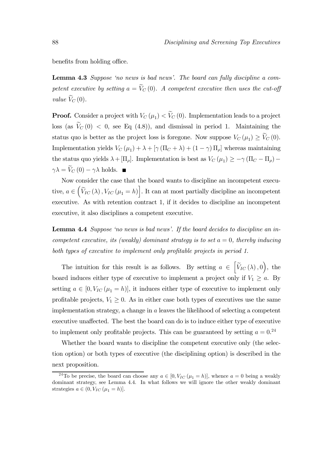benefits from holding office.

Lemma 4.3 Suppose 'no news is bad news'. The board can fully discipline a competent executive by setting  $a = \tilde{V}_C(0)$ . A competent executive then uses the cut-off value  $V_C(0)$ .

**Proof.** Consider a project with  $V_C(\mu_1) < \widetilde{V}_C(0)$ . Implementation leads to a project loss (as  $V_C(0) < 0$ , see Eq (4.8)), and dismissal in period 1. Maintaining the status quo is better as the project loss is foregone. Now suppose  $V_C(\mu_1) \ge \tilde{V}_C(0)$ . Implementation yields  $V_C(\mu_1) + \lambda + [\gamma(\Pi_C + \lambda) + (1 - \gamma)\Pi_\rho]$  whereas maintaining the status quo yields  $\lambda + [\Pi_\rho]$ . Implementation is best as  $V_C(\mu_1) \ge -\gamma (\Pi_C - \Pi_\rho)$  $\gamma \lambda = \widetilde{V}_C(0) - \gamma \lambda$  holds.

Now consider the case that the board wants to discipline an incompetent executive,  $a \in \left(\widetilde{V}_{IC}(\lambda), V_{IC}(\mu_1 = h)\right]$ . It can at most partially discipline an incompetent executive. As with retention contract 1, if it decides to discipline an incompetent executive, it also disciplines a competent executive.

**Lemma 4.4** Suppose 'no news is bad news'. If the board decides to discipline an incompetent executive, its (weakly) dominant strategy is to set  $a = 0$ , thereby inducing both types of executive to implement only profitable projects in period 1.

The intuition for this result is as follows. By setting  $a \in \left[ \widetilde{V}_{IC}(\lambda), 0 \right)$ , the board induces either type of executive to implement a project only if  $V_1 \geq a$ . By setting  $a \in [0, V_{IC}(\mu_1 = h)]$ , it induces either type of executive to implement only profitable projects,  $V_1 \geq 0$ . As in either case both types of executives use the same implementation strategy, a change in a leaves the likelihood of selecting a competent executive unaffected. The best the board can do is to induce either type of executive to implement only profitable projects. This can be guaranteed by setting  $a = 0.^{24}$ 

Whether the board wants to discipline the competent executive only (the selection option) or both types of executive (the disciplining option) is described in the next proposition.

<sup>&</sup>lt;sup>24</sup>To be precise, the board can choose any  $a \in [0, V_{IC} (\mu_1 = h)]$ , whence  $a = 0$  being a weakly dominant strategy, see Lemma 4.4. In what follows we will ignore the other weakly dominant strategies  $a \in (0, V_{IC} (\mu_1 = h)).$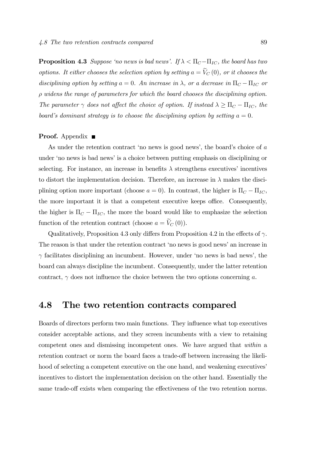**Proposition 4.3** Suppose 'no news is bad news'. If  $\lambda < \Pi_C - \Pi_{IC}$ , the board has two options. It either chooses the selection option by setting  $a = \widetilde{V}_C(0)$ , or it chooses the disciplining option by setting  $a = 0$ . An increase in  $\lambda$ , or a decrease in  $\Pi_C - \Pi_{IC}$  or ρ widens the range of parameters for which the board chooses the disciplining option. The parameter  $\gamma$  does not affect the choice of option. If instead  $\lambda \geq \Pi_C - \Pi_{IC}$ , the board's dominant strategy is to choose the disciplining option by setting  $a = 0$ .

#### Proof. Appendix ■

As under the retention contract 'no news is good news', the board's choice of a under 'no news is bad news' is a choice between putting emphasis on disciplining or selecting. For instance, an increase in benefits  $\lambda$  strengthens executives' incentives to distort the implementation decision. Therefore, an increase in  $\lambda$  makes the disciplining option more important (choose  $a = 0$ ). In contrast, the higher is  $\Pi_C - \Pi_{IC}$ , the more important it is that a competent executive keeps office. Consequently, the higher is  $\Pi_C - \Pi_{IC}$ , the more the board would like to emphasize the selection function of the retention contract (choose  $a = V_C(0)$ ).

Qualitatively, Proposition 4.3 only differs from Proposition 4.2 in the effects of  $\gamma$ . The reason is that under the retention contract 'no news is good news' an increase in  $\gamma$  facilitates disciplining an incumbent. However, under 'no news is bad news', the board can always discipline the incumbent. Consequently, under the latter retention contract,  $\gamma$  does not influence the choice between the two options concerning a.

## 4.8 The two retention contracts compared

Boards of directors perform two main functions. They influence what top executives consider acceptable actions, and they screen incumbents with a view to retaining competent ones and dismissing incompetent ones. We have argued that within a retention contract or norm the board faces a trade-off between increasing the likelihood of selecting a competent executive on the one hand, and weakening executives' incentives to distort the implementation decision on the other hand. Essentially the same trade-off exists when comparing the effectiveness of the two retention norms.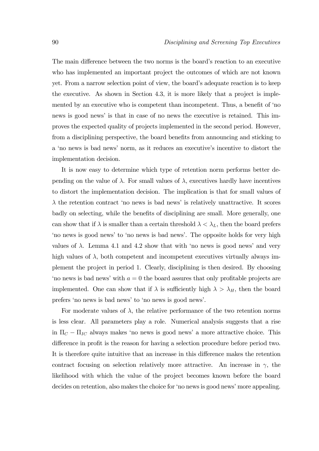The main difference between the two norms is the board's reaction to an executive who has implemented an important project the outcomes of which are not known yet. From a narrow selection point of view, the board's adequate reaction is to keep the executive. As shown in Section 4.3, it is more likely that a project is implemented by an executive who is competent than incompetent. Thus, a benefit of 'no news is good news' is that in case of no news the executive is retained. This improves the expected quality of projects implemented in the second period. However, from a disciplining perspective, the board benefits from announcing and sticking to a 'no news is bad news' norm, as it reduces an executive's incentive to distort the implementation decision.

It is now easy to determine which type of retention norm performs better depending on the value of  $\lambda$ . For small values of  $\lambda$ , executives hardly have incentives to distort the implementation decision. The implication is that for small values of  $\lambda$  the retention contract 'no news is bad news' is relatively unattractive. It scores badly on selecting, while the benefits of disciplining are small. More generally, one can show that if  $\lambda$  is smaller than a certain threshold  $\lambda < \lambda_L$ , then the board prefers 'no news is good news' to 'no news is bad news'. The opposite holds for very high values of  $\lambda$ . Lemma 4.1 and 4.2 show that with 'no news is good news' and very high values of  $\lambda$ , both competent and incompetent executives virtually always implement the project in period 1. Clearly, disciplining is then desired. By choosing 'no news is bad news' with  $a = 0$  the board assures that only profitable projects are implemented. One can show that if  $\lambda$  is sufficiently high  $\lambda > \lambda_H$ , then the board prefers 'no news is bad news' to 'no news is good news'.

For moderate values of  $\lambda$ , the relative performance of the two retention norms is less clear. All parameters play a role. Numerical analysis suggests that a rise in  $\Pi_C - \Pi_{IC}$  always makes 'no news is good news' a more attractive choice. This difference in profit is the reason for having a selection procedure before period two. It is therefore quite intuitive that an increase in this difference makes the retention contract focusing on selection relatively more attractive. An increase in  $\gamma$ , the likelihood with which the value of the project becomes known before the board decides on retention, also makes the choice for 'no news is good news' more appealing.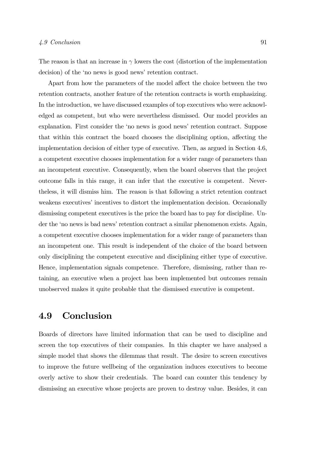#### 4.9 Conclusion 91

The reason is that an increase in  $\gamma$  lowers the cost (distortion of the implementation decision) of the 'no news is good news' retention contract.

Apart from how the parameters of the model affect the choice between the two retention contracts, another feature of the retention contracts is worth emphasizing. In the introduction, we have discussed examples of top executives who were acknowledged as competent, but who were nevertheless dismissed. Our model provides an explanation. First consider the 'no news is good news' retention contract. Suppose that within this contract the board chooses the disciplining option, affecting the implementation decision of either type of executive. Then, as argued in Section 4.6, a competent executive chooses implementation for a wider range of parameters than an incompetent executive. Consequently, when the board observes that the project outcome falls in this range, it can infer that the executive is competent. Nevertheless, it will dismiss him. The reason is that following a strict retention contract weakens executives' incentives to distort the implementation decision. Occasionally dismissing competent executives is the price the board has to pay for discipline. Under the 'no news is bad news' retention contract a similar phenomenon exists. Again, a competent executive chooses implementation for a wider range of parameters than an incompetent one. This result is independent of the choice of the board between only disciplining the competent executive and disciplining either type of executive. Hence, implementation signals competence. Therefore, dismissing, rather than retaining, an executive when a project has been implemented but outcomes remain unobserved makes it quite probable that the dismissed executive is competent.

## 4.9 Conclusion

Boards of directors have limited information that can be used to discipline and screen the top executives of their companies. In this chapter we have analysed a simple model that shows the dilemmas that result. The desire to screen executives to improve the future wellbeing of the organization induces executives to become overly active to show their credentials. The board can counter this tendency by dismissing an executive whose projects are proven to destroy value. Besides, it can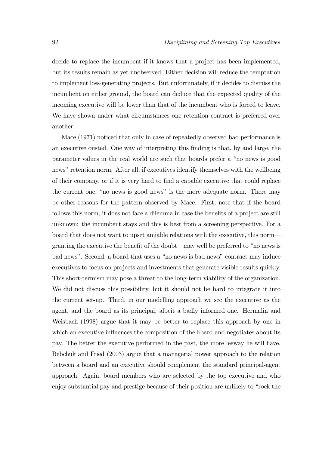decide to replace the incumbent if it knows that a project has been implemented, but its results remain as yet unobserved. Either decision will reduce the temptation to implement loss-generating projects. But unfortunately, if it decides to dismiss the incumbent on either ground, the board can deduce that the expected quality of the incoming executive will be lower than that of the incumbent who is forced to leave. We have shown under what circumstances one retention contract is preferred over another.

Mace (1971) noticed that only in case of repeatedly observed bad performance is an executive ousted. One way of interpreting this finding is that, by and large, the parameter values in the real world are such that boards prefer a "no news is good news" retention norm. After all, if executives identify themselves with the wellbeing of their company, or if it is very hard to find a capable executive that could replace the current one, "no news is good news" is the more adequate norm. There may be other reasons for the pattern observed by Mace. First, note that if the board follows this norm, it does not face a dilemma in case the benefits of a project are still unknown: the incumbent stays and this is best from a screening perspective. For a board that does not want to upset amiable relations with the executive, this norm– granting the executive the benefit of the doubt–may well be preferred to "no news is bad news". Second, a board that uses a "no news is bad news" contract may induce executives to focus on projects and investments that generate visible results quickly. This short-termism may pose a threat to the long-term viability of the organization. We did not discuss this possibility, but it should not be hard to integrate it into the current set-up. Third, in our modelling approach we see the executive as the agent, and the board as its principal, albeit a badly informed one. Hermalin and Weisbach (1998) argue that it may be better to replace this approach by one in which an executive influences the composition of the board and negotiates about its pay. The better the executive performed in the past, the more leeway he will have. Bebchuk and Fried (2003) argue that a managerial power approach to the relation between a board and an executive should complement the standard principal-agent approach. Again, board members who are selected by the top executive and who enjoy substantial pay and prestige because of their position are unlikely to "rock the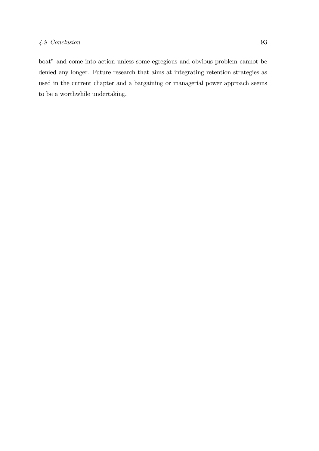boat" and come into action unless some egregious and obvious problem cannot be denied any longer. Future research that aims at integrating retention strategies as used in the current chapter and a bargaining or managerial power approach seems to be a worthwhile undertaking.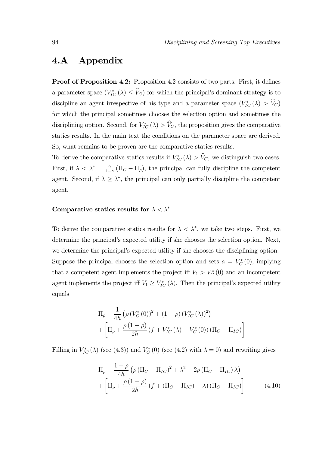## 4.A Appendix

Proof of Proposition 4.2: Proposition 4.2 consists of two parts. First, it defines a parameter space  $(V^*_{IC}(\lambda) \leq V_C)$  for which the principal's dominant strategy is to discipline an agent irrespective of his type and a parameter space  $(V_{IC}^*(\lambda) > V_C)$ for which the principal sometimes chooses the selection option and sometimes the disciplining option. Second, for  $V^*_{IC}(\lambda) > V_C$ , the proposition gives the comparative statics results. In the main text the conditions on the parameter space are derived. So, what remains to be proven are the comparative statics results.

To derive the comparative statics results if  $V^*_{IC}(\lambda) > V_C$ , we distinguish two cases. First, if  $\lambda < \lambda^* = \frac{\gamma}{1-\gamma} (\Pi_C - \Pi_\rho)$ , the principal can fully discipline the competent agent. Second, if  $\lambda \geq \lambda^*$ , the principal can only partially discipline the competent agent.

#### Comparative statics results for  $\lambda < \lambda^*$

To derive the comparative statics results for  $\lambda < \lambda^*$ , we take two steps. First, we determine the principal's expected utility if she chooses the selection option. Next, we determine the principal's expected utility if she chooses the disciplining option. Suppose the principal chooses the selection option and sets  $a = V_C^*(0)$ , implying that a competent agent implements the project iff  $V_1 > V_C^*(0)$  and an incompetent agent implements the project iff  $V_1 \geq V^*_{IC}(\lambda)$ . Then the principal's expected utility equals

$$
\Pi_{\rho} - \frac{1}{4h} \left( \rho \left( V_C^*(0) \right)^2 + (1 - \rho) \left( V_{IC}^*(\lambda) \right)^2 \right) \n+ \left[ \Pi_{\rho} + \frac{\rho (1 - \rho)}{2h} \left( f + V_{IC}^*(\lambda) - V_C^*(0) \right) \left( \Pi_C - \Pi_{IC} \right) \right]
$$

Filling in  $V_{IC}^*(\lambda)$  (see (4.3)) and  $V_C^*(0)$  (see (4.2) with  $\lambda = 0$ ) and rewriting gives

$$
\Pi_{\rho} - \frac{1-\rho}{4h} \left( \rho \left( \Pi_{C} - \Pi_{IC} \right)^{2} + \lambda^{2} - 2\rho \left( \Pi_{C} - \Pi_{IC} \right) \lambda \right)
$$

$$
+ \left[ \Pi_{\rho} + \frac{\rho \left( 1-\rho \right)}{2h} \left( f + \left( \Pi_{C} - \Pi_{IC} \right) - \lambda \right) \left( \Pi_{C} - \Pi_{IC} \right) \right]
$$
(4.10)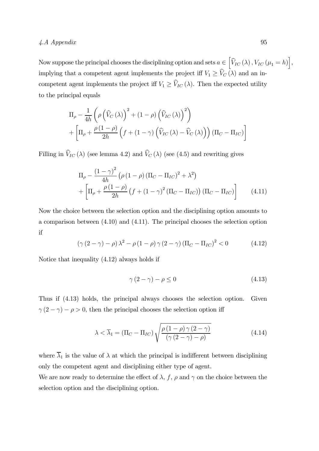#### 4.A Appendix 95

Now suppose the principal chooses the disciplining option and sets  $a \in \left[ \widehat{V}_{IC}(\lambda), V_{IC}(\mu_1 = h) \right]$ , implying that a competent agent implements the project iff  $V_1 \geq \hat{V}_C(\lambda)$  and an incompetent agent implements the project iff  $V_1 \geq \widehat{V}_{IC}(\lambda)$ . Then the expected utility to the principal equals

$$
\Pi_{\rho} - \frac{1}{4h} \left( \rho \left( \widehat{V}_{C} \left( \lambda \right) \right)^{2} + (1 - \rho) \left( \widehat{V}_{IC} \left( \lambda \right) \right)^{2} \right) \n+ \left[ \Pi_{\rho} + \frac{\rho \left( 1 - \rho \right)}{2h} \left( f + (1 - \gamma) \left( \widehat{V}_{IC} \left( \lambda \right) - \widehat{V}_{C} \left( \lambda \right) \right) \right) \left( \Pi_{C} - \Pi_{IC} \right) \right]
$$

Filling in  $\widehat{V}_{IC}(\lambda)$  (see lemma 4.2) and  $\widehat{V}_C(\lambda)$  (see (4.5) and rewriting gives

$$
\Pi_{\rho} - \frac{(1-\gamma)^2}{4h} \left( \rho \left(1-\rho\right) \left( \Pi_C - \Pi_{IC} \right)^2 + \lambda^2 \right) \n+ \left[ \Pi_{\rho} + \frac{\rho \left(1-\rho\right)}{2h} \left( f + \left(1-\gamma\right)^2 \left( \Pi_C - \Pi_{IC} \right) \right) \left( \Pi_C - \Pi_{IC} \right) \right]
$$
\n(4.11)

Now the choice between the selection option and the disciplining option amounts to a comparison between (4.10) and (4.11). The principal chooses the selection option if

$$
(\gamma (2 - \gamma) - \rho) \lambda^2 - \rho (1 - \rho) \gamma (2 - \gamma) (\Pi_C - \Pi_{IC})^2 < 0
$$
 (4.12)

Notice that inequality (4.12) always holds if

$$
\gamma (2 - \gamma) - \rho \le 0 \tag{4.13}
$$

Thus if (4.13) holds, the principal always chooses the selection option. Given  $\gamma(2-\gamma) - \rho > 0$ , then the principal chooses the selection option iff

$$
\lambda < \overline{\lambda}_1 = (\Pi_C - \Pi_{IC}) \sqrt{\frac{\rho \left(1 - \rho\right) \gamma \left(2 - \gamma\right)}{\left(\gamma \left(2 - \gamma\right) - \rho\right)}}\tag{4.14}
$$

where  $\overline{\lambda}_1$  is the value of  $\lambda$  at which the principal is indifferent between disciplining only the competent agent and disciplining either type of agent.

We are now ready to determine the effect of  $\lambda$ , f,  $\rho$  and  $\gamma$  on the choice between the selection option and the disciplining option.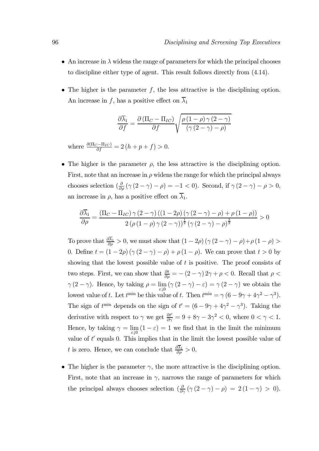- An increase in  $\lambda$  widens the range of parameters for which the principal chooses to discipline either type of agent. This result follows directly from (4.14).
- The higher is the parameter  $f$ , the less attractive is the disciplining option. An increase in f, has a positive effect on  $\lambda_1$

$$
\frac{\partial \overline{\lambda}_1}{\partial f} = \frac{\partial (\Pi_C - \Pi_{IC})}{\partial f} \sqrt{\frac{\rho (1 - \rho) \gamma (2 - \gamma)}{(\gamma (2 - \gamma) - \rho)}}
$$

where  $\frac{\partial(\Pi_C - \Pi_{IC})}{\partial f} = 2(h + p + f) > 0.$ 

• The higher is the parameter  $\rho$ , the less attractive is the disciplining option. First, note that an increase in  $\rho$  widens the range for which the principal always chooses selection  $\left(\frac{\partial}{\partial \rho}(\gamma(2-\gamma)-\rho)=-1<0\right)$ . Second, if  $\gamma(2-\gamma)-\rho>0$ , an increase in  $\rho$ , has a positive effect on  $\overline{\lambda}_1$ .

$$
\frac{\partial \overline{\lambda}_1}{\partial \rho} = \frac{\left(\Pi_C - \Pi_{IC}\right) \gamma \left(2 - \gamma\right) \left(\left(1 - 2\rho\right) \left(\gamma \left(2 - \gamma\right) - \rho\right) + \rho \left(1 - \rho\right)\right)}{2 \left(\rho \left(1 - \rho\right) \gamma \left(2 - \gamma\right)\right)^{\frac{1}{2}} \left(\gamma \left(2 - \gamma\right) - \rho\right)^{\frac{3}{2}}} > 0
$$

To prove that  $\frac{\partial \lambda_1}{\partial \rho} > 0$ , we must show that  $(1 - 2\rho) (\gamma (2 - \gamma) - \rho) + \rho (1 - \rho) >$ 0. Define  $t = (1 - 2\rho) (\gamma (2 - \gamma) - \rho) + \rho (1 - \rho)$ . We can prove that  $t > 0$  by showing that the lowest possible value of  $t$  is positive. The proof consists of two steps. First, we can show that  $\frac{\partial t}{\partial \rho} = -(2 - \gamma) 2\gamma + \rho < 0$ . Recall that  $\rho <$  $\gamma(2-\gamma)$ . Hence, by taking  $\rho = \lim_{\varepsilon \downarrow 0} (\gamma(2-\gamma) - \varepsilon) = \gamma(2-\gamma)$  we obtain the lowest value of t. Let  $t^{\min}$  be this value of t. Then  $t^{\min} = \gamma (6 - 9\gamma + 4\gamma^2 - \gamma^3)$ . The sign of  $t^{\min}$  depends on the sign of  $t' = (6 - 9\gamma + 4\gamma^2 - \gamma^3)$ . Taking the derivative with respect to  $\gamma$  we get  $\frac{\partial t'}{\partial \gamma} = 9 + 8\gamma - 3\gamma^2 < 0$ , where  $0 < \gamma < 1$ . Hence, by taking  $\gamma = \lim_{\varepsilon \downarrow 0} (1 - \varepsilon) = 1$  we find that in the limit the minimum value of  $t'$  equals 0. This implies that in the limit the lowest possible value of t is zero. Hence, we can conclude that  $\frac{\partial \lambda_1}{\partial \rho} > 0$ .

• The higher is the parameter  $\gamma$ , the more attractive is the disciplining option. First, note that an increase in  $\gamma$ , narrows the range of parameters for which the principal always chooses selection  $\left(\frac{\partial}{\partial \gamma}(\gamma(2-\gamma)-\rho)\right) = 2(1-\gamma) > 0$ .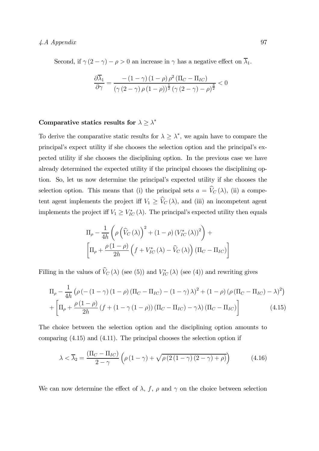#### 4.A Appendix 97

Second, if  $\gamma (2 - \gamma) - \rho > 0$  an increase in  $\gamma$  has a negative effect on  $\overline{\lambda}_1$ .

$$
\frac{\partial \overline{\lambda}_1}{\partial \gamma} = \frac{-\left(1-\gamma\right)\left(1-\rho\right)\rho^2 \left(\Pi_C - \Pi_{IC}\right)}{\left(\gamma\left(2-\gamma\right)\rho\left(1-\rho\right)\right)^{\frac{1}{2}} \left(\gamma\left(2-\gamma\right)-\rho\right)^{\frac{3}{2}}} < 0
$$

### Comparative statics results for  $\lambda \geq \lambda^*$

To derive the comparative static results for  $\lambda \geq \lambda^*$ , we again have to compare the principal's expect utility if she chooses the selection option and the principal's expected utility if she chooses the disciplining option. In the previous case we have already determined the expected utility if the principal chooses the disciplining option. So, let us now determine the principal's expected utility if she chooses the selection option. This means that (i) the principal sets  $a = \hat{V}_C(\lambda)$ , (ii) a competent agent implements the project iff  $V_1 \geq \hat{V}_C(\lambda)$ , and (iii) an incompetent agent implements the project iff  $V_1 \geq V^*_{IC}(\lambda)$ . The principal's expected utility then equals

$$
\Pi_{\rho} - \frac{1}{4h} \left( \rho \left( \widehat{V}_{C} \left( \lambda \right) \right)^{2} + (1 - \rho) \left( V_{IC}^{*} \left( \lambda \right) \right)^{2} \right) + \left[ \Pi_{\rho} + \frac{\rho \left( 1 - \rho \right)}{2h} \left( f + V_{IC}^{*} \left( \lambda \right) - \widehat{V}_{C} \left( \lambda \right) \right) \left( \Pi_{C} - \Pi_{IC} \right) \right]
$$

Filling in the values of  $V_C(\lambda)$  (see (5)) and  $V_{IC}^*(\lambda)$  (see (4)) and rewriting gives

$$
\Pi_{\rho} - \frac{1}{4h} \left( \rho \left( -\left( 1 - \gamma \right) \left( 1 - \rho \right) \left( \Pi_{C} - \Pi_{IC} \right) - \left( 1 - \gamma \right) \lambda \right)^{2} + \left( 1 - \rho \right) \left( \rho \left( \Pi_{C} - \Pi_{IC} \right) - \lambda \right)^{2} \right) + \left[ \Pi_{\rho} + \frac{\rho \left( 1 - \rho \right)}{2h} \left( f + \left( 1 - \gamma \left( 1 - \rho \right) \right) \left( \Pi_{C} - \Pi_{IC} \right) - \gamma \lambda \right) \left( \Pi_{C} - \Pi_{IC} \right) \right]
$$
(4.15)

The choice between the selection option and the disciplining option amounts to comparing (4.15) and (4.11). The principal chooses the selection option if

$$
\lambda < \overline{\lambda}_2 = \frac{\left(\Pi_C - \Pi_{IC}\right)}{2 - \gamma} \left(\rho \left(1 - \gamma\right) + \sqrt{\rho \left(2\left(1 - \gamma\right)\left(2 - \gamma\right) + \rho\right)}\right) \tag{4.16}
$$

We can now determine the effect of  $\lambda$ ,  $f$ ,  $\rho$  and  $\gamma$  on the choice between selection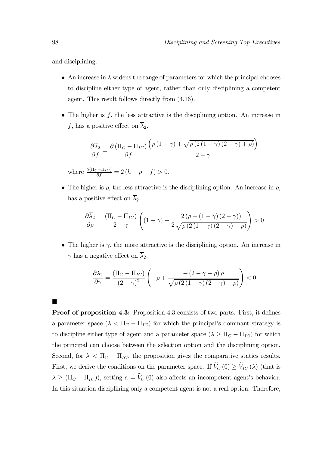and disciplining.

- An increase in  $\lambda$  widens the range of parameters for which the principal chooses to discipline either type of agent, rather than only disciplining a competent agent. This result follows directly from (4.16).
- The higher is  $f$ , the less attractive is the disciplining option. An increase in f, has a positive effect on  $\overline{\lambda}_2$ .

$$
\frac{\partial \overline{\lambda}_{2}}{\partial f} = \frac{\partial (\Pi_{C} - \Pi_{IC})}{\partial f} \frac{\left(\rho (1 - \gamma) + \sqrt{\rho (2(1 - \gamma) (2 - \gamma) + \rho)}\right)}{2 - \gamma}
$$

where  $\frac{\partial(\Pi_C - \Pi_{IC})}{\partial f} = 2(h + p + f) > 0.$ 

• The higher is  $\rho$ , the less attractive is the disciplining option. An increase in  $\rho$ , has a positive effect on  $\overline{\lambda}_2$ .

$$
\frac{\partial \overline{\lambda}_2}{\partial \rho} = \frac{\left(\Pi_C - \Pi_{IC}\right)}{2 - \gamma} \left( \left(1 - \gamma\right) + \frac{1}{2} \frac{2\left(\rho + \left(1 - \gamma\right)\left(2 - \gamma\right)\right)}{\sqrt{\rho\left(2\left(1 - \gamma\right)\left(2 - \gamma\right) + \rho\right)}} \right) > 0
$$

• The higher is  $\gamma$ , the more attractive is the disciplining option. An increase in  $\gamma$  has a negative effect on  $\overline{\lambda}_2$ .

$$
\frac{\partial \overline{\lambda}_2}{\partial \gamma} = \frac{\left(\Pi_C - \Pi_{IC}\right)}{\left(2 - \gamma\right)^2} \left( -\rho + \frac{-\left(2 - \gamma - \rho\right)\rho}{\sqrt{\rho\left(2\left(1 - \gamma\right)\left(2 - \gamma\right) + \rho\right)}}\right) < 0
$$

Proof of proposition 4.3: Proposition 4.3 consists of two parts. First, it defines a parameter space  $(\lambda < \Pi_C - \Pi_{IC})$  for which the principal's dominant strategy is to discipline either type of agent and a parameter space  $(\lambda \geq \Pi_C - \Pi_{IC})$  for which the principal can choose between the selection option and the disciplining option. Second, for  $\lambda < \Pi_C - \Pi_{IC}$ , the proposition gives the comparative statics results. First, we derive the conditions on the parameter space. If  $\tilde{V}_C(0) \geq \tilde{V}_{IC}(\lambda)$  (that is  $\lambda \geq (\Pi_C - \Pi_{IC})$ , setting  $a = \tilde{V}_C(0)$  also affects an incompetent agent's behavior. In this situation disciplining only a competent agent is not a real option. Therefore,

 $\blacksquare$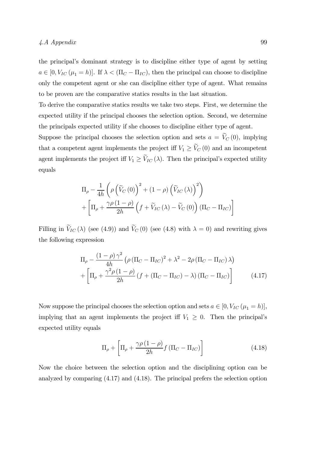the principal's dominant strategy is to discipline either type of agent by setting  $a \in [0, V_{IC} (\mu_1 = h)].$  If  $\lambda < (\Pi_C - \Pi_{IC}),$  then the principal can choose to discipline only the competent agent or she can discipline either type of agent. What remains to be proven are the comparative statics results in the last situation.

To derive the comparative statics results we take two steps. First, we determine the expected utility if the principal chooses the selection option. Second, we determine the principals expected utility if she chooses to discipline either type of agent.

Suppose the principal chooses the selection option and sets  $a = \tilde{V}_C(0)$ , implying that a competent agent implements the project iff  $V_1 \geq \widetilde{V}_C(0)$  and an incompetent agent implements the project iff  $V_1 \geq \tilde{V}_{IC}(\lambda)$ . Then the principal's expected utility equals

$$
\Pi_{\rho} - \frac{1}{4h} \left( \rho \left( \widetilde{V}_{C} \left( 0 \right) \right)^{2} + (1 - \rho) \left( \widetilde{V}_{IC} \left( \lambda \right) \right)^{2} \right) \n+ \left[ \Pi_{\rho} + \frac{\gamma \rho \left( 1 - \rho \right)}{2h} \left( f + \widetilde{V}_{IC} \left( \lambda \right) - \widetilde{V}_{C} \left( 0 \right) \right) \left( \Pi_{C} - \Pi_{IC} \right) \right]
$$

Filling in  $\tilde{V}_{IC}(\lambda)$  (see (4.9)) and  $\tilde{V}_C(0)$  (see (4.8) with  $\lambda = 0$ ) and rewriting gives the following expression

$$
\Pi_{\rho} - \frac{(1-\rho)\gamma^2}{4h} \left( \rho \left( \Pi_C - \Pi_{IC} \right)^2 + \lambda^2 - 2\rho \left( \Pi_C - \Pi_{IC} \right) \lambda \right)
$$

$$
+ \left[ \Pi_{\rho} + \frac{\gamma^2 \rho \left( 1 - \rho \right)}{2h} \left( f + \left( \Pi_C - \Pi_{IC} \right) - \lambda \right) \left( \Pi_C - \Pi_{IC} \right) \right] \tag{4.17}
$$

Now suppose the principal chooses the selection option and sets  $a \in [0, V_{IC} (\mu_1 = h)],$ implying that an agent implements the project iff  $V_1 \geq 0$ . Then the principal's expected utility equals

$$
\Pi_{\rho} + \left[ \Pi_{\rho} + \frac{\gamma \rho (1 - \rho)}{2h} f (\Pi_C - \Pi_{IC}) \right]
$$
\n(4.18)

Now the choice between the selection option and the disciplining option can be analyzed by comparing (4.17) and (4.18). The principal prefers the selection option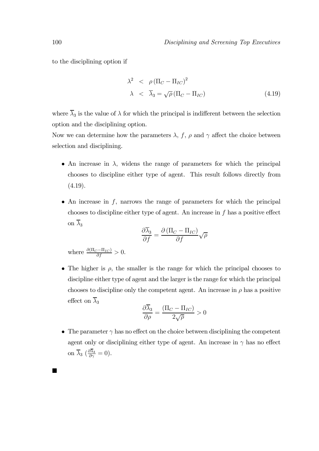to the disciplining option if

$$
\lambda^2 < \rho \left( \Pi_C - \Pi_{IC} \right)^2
$$
\n
$$
\lambda < \overline{\lambda}_3 = \sqrt{\rho} \left( \Pi_C - \Pi_{IC} \right) \tag{4.19}
$$

where  $\overline{\lambda}_3$  is the value of  $\lambda$  for which the principal is indifferent between the selection option and the disciplining option.

Now we can determine how the parameters  $\lambda$ , f,  $\rho$  and  $\gamma$  affect the choice between selection and disciplining.

- An increase in  $\lambda$ , widens the range of parameters for which the principal chooses to discipline either type of agent. This result follows directly from  $(4.19).$
- An increase in  $f$ , narrows the range of parameters for which the principal chooses to discipline either type of agent. An increase in  $f$  has a positive effect on  $\overline{\lambda}_3$

$$
\frac{\partial \overline{\lambda}_3}{\partial f} = \frac{\partial \left( \Pi_C - \Pi_{IC} \right)}{\partial f} \sqrt{\rho}
$$

where  $\frac{\partial(\Pi_C - \Pi_{IC})}{\partial f} > 0$ .

¥

• The higher is  $\rho$ , the smaller is the range for which the principal chooses to discipline either type of agent and the larger is the range for which the principal chooses to discipline only the competent agent. An increase in  $\rho$  has a positive effect on  $\overline{\lambda}_3$ 

$$
\frac{\partial \overline{\lambda}_3}{\partial \rho} = \frac{(\Pi_C - \Pi_{IC})}{2\sqrt{\rho}} > 0
$$

• The parameter  $\gamma$  has no effect on the choice between disciplining the competent agent only or disciplining either type of agent. An increase in  $\gamma$  has no effect on  $\overline{\lambda}_3 \left( \frac{\partial \lambda_3}{\partial \gamma} = 0 \right)$ .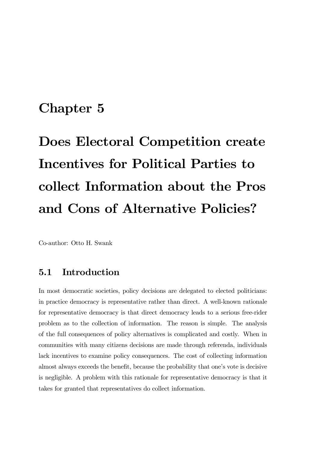## Chapter 5

# Does Electoral Competition create Incentives for Political Parties to collect Information about the Pros and Cons of Alternative Policies?

Co-author: Otto H. Swank

## 5.1 Introduction

In most democratic societies, policy decisions are delegated to elected politicians: in practice democracy is representative rather than direct. A well-known rationale for representative democracy is that direct democracy leads to a serious free-rider problem as to the collection of information. The reason is simple. The analysis of the full consequences of policy alternatives is complicated and costly. When in communities with many citizens decisions are made through referenda, individuals lack incentives to examine policy consequences. The cost of collecting information almost always exceeds the benefit, because the probability that one's vote is decisive is negligible. A problem with this rationale for representative democracy is that it takes for granted that representatives do collect information.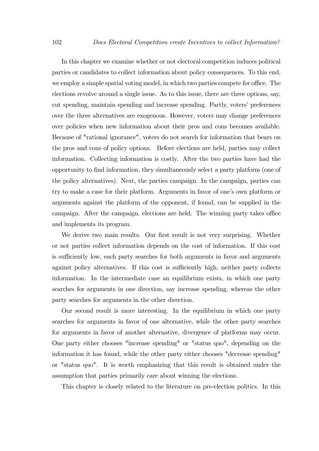In this chapter we examine whether or not electoral competition induces political parties or candidates to collect information about policy consequences. To this end, we employ a simple spatial voting model, in which two parties compete for office. The elections revolve around a single issue. As to this issue, there are three options, say, cut spending, maintain spending and increase spending. Partly, voters' preferences over the three alternatives are exogenous. However, voters may change preferences over policies when new information about their pros and cons becomes available. Because of "rational ignorance", voters do not search for information that bears on the pros and cons of policy options. Before elections are held, parties may collect information. Collecting information is costly. After the two parties have had the opportunity to find information, they simultaneously select a party platform (one of the policy alternatives). Next, the parties campaign. In the campaign, parties can try to make a case for their platform. Arguments in favor of one's own platform or arguments against the platform of the opponent, if found, can be supplied in the campaign. After the campaign, elections are held. The winning party takes office and implements its program.

We derive two main results. Our first result is not very surprising. Whether or not parties collect information depends on the cost of information. If this cost is sufficiently low, each party searches for both arguments in favor and arguments against policy alternatives. If this cost is sufficiently high, neither party collects information. In the intermediate case an equilibrium exists, in which one party searches for arguments in one direction, say increase spending, whereas the other party searches for arguments in the other direction.

Our second result is more interesting. In the equilibrium in which one party searches for arguments in favor of one alternative, while the other party searches for arguments in favor of another alternative, divergence of platforms may occur. One party either chooses "increase spending" or "status quo", depending on the information it has found, while the other party either chooses "decrease spending" or "status quo". It is worth emphasizing that this result is obtained under the assumption that parties primarily care about winning the elections.

This chapter is closely related to the literature on pre-election politics. In this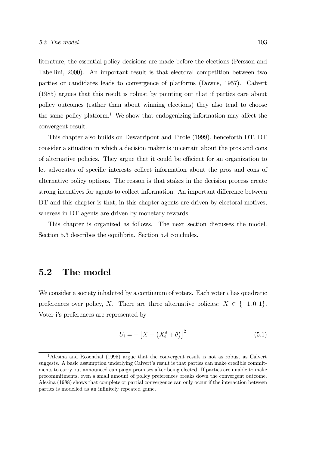literature, the essential policy decisions are made before the elections (Persson and Tabellini, 2000). An important result is that electoral competition between two parties or candidates leads to convergence of platforms (Downs, 1957). Calvert (1985) argues that this result is robust by pointing out that if parties care about policy outcomes (rather than about winning elections) they also tend to choose the same policy platform.<sup>1</sup> We show that endogenizing information may affect the convergent result.

This chapter also builds on Dewatripont and Tirole (1999), henceforth DT. DT consider a situation in which a decision maker is uncertain about the pros and cons of alternative policies. They argue that it could be efficient for an organization to let advocates of specific interests collect information about the pros and cons of alternative policy options. The reason is that stakes in the decision process create strong incentives for agents to collect information. An important difference between DT and this chapter is that, in this chapter agents are driven by electoral motives, whereas in DT agents are driven by monetary rewards.

This chapter is organized as follows. The next section discusses the model. Section 5.3 describes the equilibria. Section 5.4 concludes.

### 5.2 The model

We consider a society inhabited by a continuum of voters. Each voter  $i$  has quadratic preferences over policy, X. There are three alternative policies:  $X \in \{-1, 0, 1\}$ . Voter i's preferences are represented by

$$
U_i = -\left[X - \left(X_i^d + \theta\right)\right]^2\tag{5.1}
$$

<sup>1</sup>Alesina and Rosenthal (1995) argue that the convergent result is not as robust as Calvert suggests. A basic assumption underlying Calvert's result is that parties can make credible commitments to carry out announced campaign promises after being elected. If parties are unable to make precommitments, even a small amount of policy preferences breaks down the convergent outcome. Alesina (1988) shows that complete or partial convergence can only occur if the interaction between parties is modelled as an infinitely repeated game.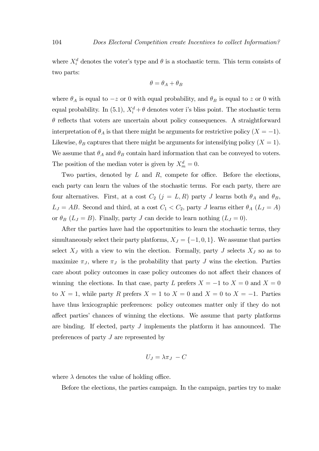where  $X_i^d$  denotes the voter's type and  $\theta$  is a stochastic term. This term consists of two parts:

$$
\theta = \theta_A + \theta_B
$$

where  $\theta_A$  is equal to  $-z$  or 0 with equal probability, and  $\theta_B$  is equal to z or 0 with equal probability. In (5.1),  $X_i^d + \theta$  denotes voter i's bliss point. The stochastic term  $\theta$  reflects that voters are uncertain about policy consequences. A straightforward interpretation of  $\theta_A$  is that there might be arguments for restrictive policy  $(X = -1)$ . Likewise,  $\theta_B$  captures that there might be arguments for intensifying policy  $(X = 1)$ . We assume that  $\theta_A$  and  $\theta_B$  contain hard information that can be conveyed to voters. The position of the median voter is given by  $X_m^d = 0$ .

Two parties, denoted by  $L$  and  $R$ , compete for office. Before the elections, each party can learn the values of the stochastic terms. For each party, there are four alternatives. First, at a cost  $C_2$   $(j = L, R)$  party J learns both  $\theta_A$  and  $\theta_B$ ,  $L_J = AB$ . Second and third, at a cost  $C_1 < C_2$ , party J learns either  $\theta_A$  ( $L_J = A$ ) or  $\theta_B$  ( $L_J = B$ ). Finally, party J can decide to learn nothing ( $L_J = 0$ ).

After the parties have had the opportunities to learn the stochastic terms, they simultaneously select their party platforms,  $X_J = \{-1, 0, 1\}$ . We assume that parties select  $X_J$  with a view to win the election. Formally, party J selects  $X_J$  so as to maximize  $\pi_J$ , where  $\pi_J$  is the probability that party J wins the election. Parties care about policy outcomes in case policy outcomes do not affect their chances of winning the elections. In that case, party L prefers  $X = -1$  to  $X = 0$  and  $X = 0$ to  $X = 1$ , while party R prefers  $X = 1$  to  $X = 0$  and  $X = 0$  to  $X = -1$ . Parties have thus lexicographic preferences: policy outcomes matter only if they do not affect parties' chances of winning the elections. We assume that party platforms are binding. If elected, party J implements the platform it has announced. The preferences of party J are represented by

$$
U_J = \lambda \pi_J - C
$$

where  $\lambda$  denotes the value of holding office.

Before the elections, the parties campaign. In the campaign, parties try to make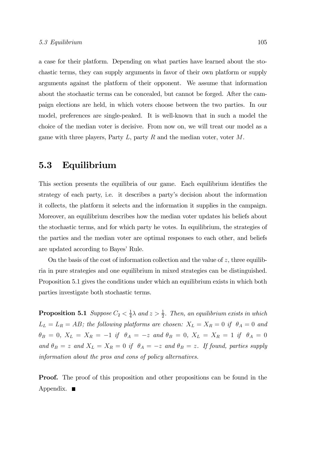a case for their platform. Depending on what parties have learned about the stochastic terms, they can supply arguments in favor of their own platform or supply arguments against the platform of their opponent. We assume that information about the stochastic terms can be concealed, but cannot be forged. After the campaign elections are held, in which voters choose between the two parties. In our model, preferences are single-peaked. It is well-known that in such a model the choice of the median voter is decisive. From now on, we will treat our model as a game with three players, Party  $L$ , party  $R$  and the median voter, voter  $M$ .

## 5.3 Equilibrium

This section presents the equilibria of our game. Each equilibrium identifies the strategy of each party, i.e. it describes a party's decision about the information it collects, the platform it selects and the information it supplies in the campaign. Moreover, an equilibrium describes how the median voter updates his beliefs about the stochastic terms, and for which party he votes. In equilibrium, the strategies of the parties and the median voter are optimal responses to each other, and beliefs are updated according to Bayes' Rule.

On the basis of the cost of information collection and the value of  $z$ , three equilibria in pure strategies and one equilibrium in mixed strategies can be distinguished. Proposition 5.1 gives the conditions under which an equilibrium exists in which both parties investigate both stochastic terms.

**Proposition 5.1** Suppose  $C_2 < \frac{1}{4}\lambda$  and  $z > \frac{1}{2}$ . Then, an equilibrium exists in which  $L_L = L_R = AB$ ; the following platforms are chosen:  $X_L = X_R = 0$  if  $\theta_A = 0$  and  $\theta_B = 0, X_L = X_R = -1$  if  $\theta_A = -z$  and  $\theta_B = 0, X_L = X_R = 1$  if  $\theta_A = 0$ and  $\theta_B = z$  and  $X_L = X_R = 0$  if  $\theta_A = -z$  and  $\theta_B = z$ . If found, parties supply information about the pros and cons of policy alternatives.

**Proof.** The proof of this proposition and other propositions can be found in the Appendix.  $\blacksquare$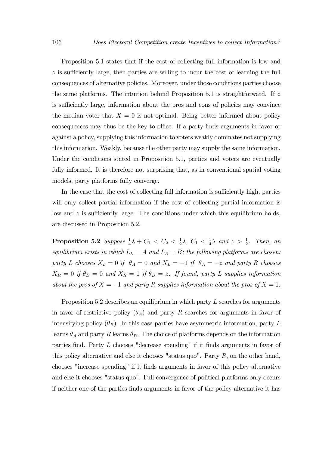Proposition 5.1 states that if the cost of collecting full information is low and  $z$  is sufficiently large, then parties are willing to incur the cost of learning the full consequences of alternative policies. Moreover, under those conditions parties choose the same platforms. The intuition behind Proposition 5.1 is straightforward. If  $z$ is sufficiently large, information about the pros and cons of policies may convince the median voter that  $X = 0$  is not optimal. Being better informed about policy consequences may thus be the key to office. If a party finds arguments in favor or against a policy, supplying this information to voters weakly dominates not supplying this information. Weakly, because the other party may supply the same information. Under the conditions stated in Proposition 5.1, parties and voters are eventually fully informed. It is therefore not surprising that, as in conventional spatial voting models, party platforms fully converge.

In the case that the cost of collecting full information is sufficiently high, parties will only collect partial information if the cost of collecting partial information is low and  $z$  is sufficiently large. The conditions under which this equilibrium holds, are discussed in Proposition 5.2.

**Proposition 5.2** Suppose  $\frac{1}{4}\lambda + C_1 < C_2 < \frac{1}{2}\lambda$ ,  $C_1 < \frac{1}{4}\lambda$  and  $z > \frac{1}{2}$ . Then, an equilibrium exists in which  $L_L = A$  and  $L_R = B$ ; the following platforms are chosen: party L chooses  $X_L = 0$  if  $\theta_A = 0$  and  $X_L = -1$  if  $\theta_A = -z$  and party R chooses  $X_R = 0$  if  $\theta_B = 0$  and  $X_R = 1$  if  $\theta_B = z$ . If found, party L supplies information about the pros of  $X = -1$  and party R supplies information about the pros of  $X = 1$ .

Proposition 5.2 describes an equilibrium in which party L searches for arguments in favor of restrictive policy  $(\theta_A)$  and party R searches for arguments in favor of intensifying policy  $(\theta_B)$ . In this case parties have asymmetric information, party L learns  $\theta_A$  and party R learns  $\theta_B$ . The choice of platforms depends on the information parties find. Party L chooses "decrease spending" if it finds arguments in favor of this policy alternative and else it chooses "status quo". Party  $R$ , on the other hand, chooses "increase spending" if it finds arguments in favor of this policy alternative and else it chooses "status quo". Full convergence of political platforms only occurs if neither one of the parties finds arguments in favor of the policy alternative it has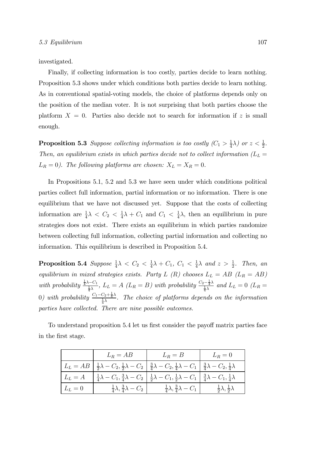investigated.

Finally, if collecting information is too costly, parties decide to learn nothing. Proposition 5.3 shows under which conditions both parties decide to learn nothing. As in conventional spatial-voting models, the choice of platforms depends only on the position of the median voter. It is not surprising that both parties choose the platform  $X = 0$ . Parties also decide not to search for information if z is small enough.

**Proposition 5.3** Suppose collecting information is too costly  $(C_1 > \frac{1}{4}\lambda)$  or  $z < \frac{1}{2}$ . Then, an equilibrium exists in which parties decide not to collect information ( $L_L$  =  $L_R = 0$ ). The following platforms are chosen:  $X_L = X_R = 0$ .

In Propositions 5.1, 5.2 and 5.3 we have seen under which conditions political parties collect full information, partial information or no information. There is one equilibrium that we have not discussed yet. Suppose that the costs of collecting information are  $\frac{1}{4}\lambda < C_2 < \frac{1}{4}\lambda + C_1$  and  $C_1 < \frac{1}{4}\lambda$ , then an equilibrium in pure strategies does not exist. There exists an equilibrium in which parties randomize between collecting full information, collecting partial information and collecting no information. This equilibrium is described in Proposition 5.4.

**Proposition 5.4** Suppose  $\frac{1}{4}\lambda < C_2 < \frac{1}{4}\lambda + C_1$ ,  $C_1 < \frac{1}{4}\lambda$  and  $z > \frac{1}{2}$ . Then, an equilibrium in mixed strategies exists. Party L (R) chooses  $L_L = AB$  ( $L_R = AB$ ) with probability  $\frac{\frac{1}{4}\lambda-C_1}{\frac{1}{4}\lambda}$ ,  $L_L = A$  ( $L_R = B$ ) with probability  $\frac{C_2-\frac{1}{4}\lambda}{\frac{1}{4}\lambda}$  and  $L_L = 0$  ( $L_R =$ 0) with probability  $\frac{C_1-C_2+\frac{1}{4}\lambda}{\frac{1}{4}\lambda}$ . The choice of platforms depends on the information parties have collected. There are nine possible outcomes.

To understand proposition 5.4 let us first consider the payoff matrix parties face in the first stage.

|           |                                                                                                                                                                                                                                                                         | $L_R = AB$ $L_R = B$ $L_R = 0$ |  |
|-----------|-------------------------------------------------------------------------------------------------------------------------------------------------------------------------------------------------------------------------------------------------------------------------|--------------------------------|--|
|           | $L_L = AB \left[ \frac{1}{2}\lambda - C_2, \frac{1}{2}\lambda - C_2 \right] \frac{3}{4}\lambda - C_2, \frac{1}{4}\lambda - C_1 \left[ \frac{3}{4}\lambda - C_2, \frac{1}{4}\lambda \right]$                                                                             |                                |  |
| $L_L = A$ | $\frac{1}{4}\lambda -C_1, \frac{3}{4}\lambda -C_2 \left[\frac{1}{2}\lambda -C_1, \frac{1}{2}\lambda -C_1\right] \frac{3}{4}\lambda -C_1, \frac{1}{4}\lambda$                                                                                                            |                                |  |
| $L_L=0$   | $\left[\begin{array}{cc} \frac{1}{4}\lambda, \frac{3}{4}\lambda - C_2 \end{array}\right]$ $\left[\begin{array}{cc} \frac{1}{4}\lambda, \frac{3}{4}\lambda - C_1 \end{array}\right]$ $\left[\begin{array}{cc} \frac{1}{2}\lambda, \frac{1}{2}\lambda \end{array}\right]$ |                                |  |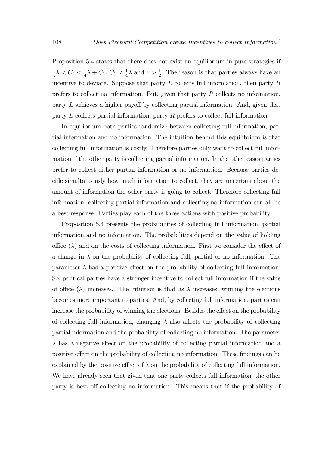Proposition 5.4 states that there does not exist an equilibrium in pure strategies if  $\frac{1}{4}\lambda < C_2 < \frac{1}{4}\lambda + C_1$ ,  $C_1 < \frac{1}{4}\lambda$  and  $z > \frac{1}{2}$ . The reason is that parties always have an incentive to deviate. Suppose that party  $L$  collects full information, then party  $R$ prefers to collect no information. But, given that party  $R$  collects no information, party L achieves a higher payoff by collecting partial information. And, given that party L collects partial information, party R prefers to collect full information.

In equilibrium both parties randomize between collecting full information, partial information and no information. The intuition behind this equilibrium is that collecting full information is costly. Therefore parties only want to collect full information if the other party is collecting partial information. In the other cases parties prefer to collect either partial information or no information. Because parties decide simultaneously how much information to collect, they are uncertain about the amount of information the other party is going to collect. Therefore collecting full information, collecting partial information and collecting no information can all be a best response. Parties play each of the three actions with positive probability.

Proposition 5.4 presents the probabilities of collecting full information, partial information and no information. The probabilities depend on the value of holding office  $(\lambda)$  and on the costs of collecting information. First we consider the effect of a change in  $\lambda$  on the probability of collecting full, partial or no information. The parameter  $\lambda$  has a positive effect on the probability of collecting full information. So, political parties have a stronger incentive to collect full information if the value of office  $(\lambda)$  increases. The intuition is that as  $\lambda$  increases, winning the elections becomes more important to parties. And, by collecting full information, parties can increase the probability of winning the elections. Besides the effect on the probability of collecting full information, changing  $\lambda$  also affects the probability of collecting partial information and the probability of collecting no information. The parameter  $\lambda$  has a negative effect on the probability of collecting partial information and a positive effect on the probability of collecting no information. These findings can be explained by the positive effect of  $\lambda$  on the probability of collecting full information. We have already seen that given that one party collects full information, the other party is best off collecting no information. This means that if the probability of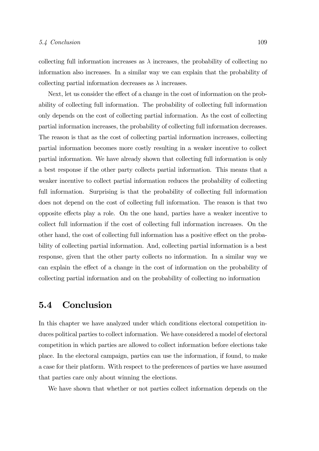#### 5.4 Conclusion 109

collecting full information increases as  $\lambda$  increases, the probability of collecting no information also increases. In a similar way we can explain that the probability of collecting partial information decreases as  $\lambda$  increases.

Next, let us consider the effect of a change in the cost of information on the probability of collecting full information. The probability of collecting full information only depends on the cost of collecting partial information. As the cost of collecting partial information increases, the probability of collecting full information decreases. The reason is that as the cost of collecting partial information increases, collecting partial information becomes more costly resulting in a weaker incentive to collect partial information. We have already shown that collecting full information is only a best response if the other party collects partial information. This means that a weaker incentive to collect partial information reduces the probability of collecting full information. Surprising is that the probability of collecting full information does not depend on the cost of collecting full information. The reason is that two opposite effects play a role. On the one hand, parties have a weaker incentive to collect full information if the cost of collecting full information increases. On the other hand, the cost of collecting full information has a positive effect on the probability of collecting partial information. And, collecting partial information is a best response, given that the other party collects no information. In a similar way we can explain the effect of a change in the cost of information on the probability of collecting partial information and on the probability of collecting no information

## 5.4 Conclusion

In this chapter we have analyzed under which conditions electoral competition induces political parties to collect information. We have considered a model of electoral competition in which parties are allowed to collect information before elections take place. In the electoral campaign, parties can use the information, if found, to make a case for their platform. With respect to the preferences of parties we have assumed that parties care only about winning the elections.

We have shown that whether or not parties collect information depends on the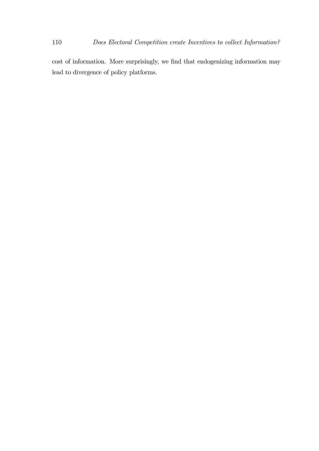cost of information. More surprisingly, we find that endogenizing information may lead to divergence of policy platforms.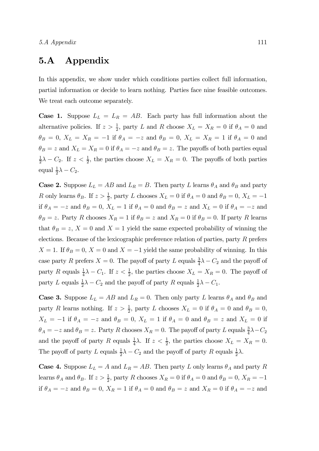## 5.A Appendix

In this appendix, we show under which conditions parties collect full information, partial information or decide to learn nothing. Parties face nine feasible outcomes. We treat each outcome separately.

**Case 1.** Suppose  $L_L = L_R = AB$ . Each party has full information about the alternative policies. If  $z > \frac{1}{2}$ , party L and R choose  $X_L = X_R = 0$  if  $\theta_A = 0$  and  $\theta_B = 0$ ,  $X_L = X_R = -1$  if  $\theta_A = -z$  and  $\theta_B = 0$ ,  $X_L = X_R = 1$  if  $\theta_A = 0$  and  $\theta_B = z$  and  $X_L = X_R = 0$  if  $\theta_A = -z$  and  $\theta_B = z$ . The payoffs of both parties equal  $\frac{1}{2}\lambda - C_2$ . If  $z < \frac{1}{2}$ , the parties choose  $X_L = X_R = 0$ . The payoffs of both parties equal  $\frac{1}{2}\lambda - C_2$ .

**Case 2.** Suppose  $L_L = AB$  and  $L_R = B$ . Then party L learns  $\theta_A$  and  $\theta_B$  and party R only learns  $\theta_B$ . If  $z > \frac{1}{2}$ , party L chooses  $X_L = 0$  if  $\theta_A = 0$  and  $\theta_B = 0$ ,  $X_L = -1$ if  $\theta_A = -z$  and  $\theta_B = 0$ ,  $X_L = 1$  if  $\theta_A = 0$  and  $\theta_B = z$  and  $X_L = 0$  if  $\theta_A = -z$  and  $\theta_B = z$ . Party R chooses  $X_R = 1$  if  $\theta_B = z$  and  $X_R = 0$  if  $\theta_B = 0$ . If party R learns that  $\theta_B = z$ ,  $X = 0$  and  $X = 1$  yield the same expected probability of winning the elections. Because of the lexicographic preference relation of parties, party R prefers  $X = 1$ . If  $\theta_B = 0$ ,  $X = 0$  and  $X = -1$  yield the same probability of winning. In this case party R prefers  $X = 0$ . The payoff of party L equals  $\frac{3}{4}\lambda - C_2$  and the payoff of party R equals  $\frac{1}{4}\lambda - C_1$ . If  $z < \frac{1}{2}$ , the parties choose  $X_L = X_R = 0$ . The payoff of party L equals  $\frac{1}{2}\lambda - C_2$  and the payoff of party R equals  $\frac{1}{2}\lambda - C_1$ .

**Case 3.** Suppose  $L_L = AB$  and  $L_R = 0$ . Then only party L learns  $\theta_A$  and  $\theta_B$  and party R learns nothing. If  $z > \frac{1}{2}$ , party L chooses  $X_L = 0$  if  $\theta_A = 0$  and  $\theta_B = 0$ ,  $X_L = -1$  if  $\theta_A = -z$  and  $\theta_B = 0$ ,  $X_L = 1$  if  $\theta_A = 0$  and  $\theta_B = z$  and  $X_L = 0$  if  $\theta_A = -z$  and  $\theta_B = z$ . Party R chooses  $X_R = 0$ . The payoff of party L equals  $\frac{3}{4}\lambda - C_2$ and the payoff of party R equals  $\frac{1}{4}\lambda$ . If  $z < \frac{1}{2}$ , the parties choose  $X_L = X_R = 0$ . The payoff of party L equals  $\frac{1}{2}\lambda - C_2$  and the payoff of party R equals  $\frac{1}{2}\lambda$ .

**Case 4.** Suppose  $L_L = A$  and  $L_R = AB$ . Then party L only learns  $\theta_A$  and party R learns  $\theta_A$  and  $\theta_B$ . If  $z > \frac{1}{2}$ , party R chooses  $X_R = 0$  if  $\theta_A = 0$  and  $\theta_B = 0$ ,  $X_R = -1$ if  $\theta_A = -z$  and  $\theta_B = 0$ ,  $X_R = 1$  if  $\theta_A = 0$  and  $\theta_B = z$  and  $X_R = 0$  if  $\theta_A = -z$  and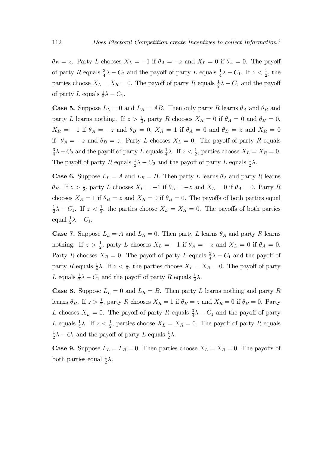$\theta_B = z$ . Party L chooses  $X_L = -1$  if  $\theta_A = -z$  and  $X_L = 0$  if  $\theta_A = 0$ . The payoff of party R equals  $\frac{3}{4}\lambda - C_2$  and the payoff of party L equals  $\frac{1}{4}\lambda - C_1$ . If  $z < \frac{1}{2}$ , the parties choose  $X_L = X_R = 0$ . The payoff of party R equals  $\frac{1}{2}\lambda - C_2$  and the payoff of party L equals  $\frac{1}{2}\lambda - C_1$ .

**Case 5.** Suppose  $L_L = 0$  and  $L_R = AB$ . Then only party R learns  $\theta_A$  and  $\theta_B$  and party L learns nothing. If  $z > \frac{1}{2}$ , party R chooses  $X_R = 0$  if  $\theta_A = 0$  and  $\theta_B = 0$ ,  $X_R = -1$  if  $\theta_A = -z$  and  $\theta_B = 0$ ,  $X_R = 1$  if  $\theta_A = 0$  and  $\theta_B = z$  and  $X_R = 0$ if  $\theta_A = -z$  and  $\theta_B = z$ . Party L chooses  $X_L = 0$ . The payoff of party R equals  $\frac{3}{4}\lambda - C_2$  and the payoff of party L equals  $\frac{1}{4}\lambda$ . If  $z < \frac{1}{2}$ , parties choose  $X_L = X_R = 0$ . The payoff of party R equals  $\frac{1}{2}\lambda - C_2$  and the payoff of party L equals  $\frac{1}{2}\lambda$ .

**Case 6.** Suppose  $L_L = A$  and  $L_R = B$ . Then party L learns  $\theta_A$  and party R learns  $\theta_B$ . If  $z > \frac{1}{2}$ , party L chooses  $X_L = -1$  if  $\theta_A = -z$  and  $X_L = 0$  if  $\theta_A = 0$ . Party R chooses  $X_R = 1$  if  $\theta_B = z$  and  $X_R = 0$  if  $\theta_B = 0$ . The payoffs of both parties equal  $\frac{1}{2}\lambda - C_1$ . If  $z < \frac{1}{2}$ , the parties choose  $X_L = X_R = 0$ . The payoffs of both parties equal  $\frac{1}{2}\lambda - C_1$ .

**Case 7.** Suppose  $L_L = A$  and  $L_R = 0$ . Then party L learns  $\theta_A$  and party R learns nothing. If  $z > \frac{1}{2}$ , party L chooses  $X_L = -1$  if  $\theta_A = -z$  and  $X_L = 0$  if  $\theta_A = 0$ . Party R chooses  $X_R = 0$ . The payoff of party L equals  $\frac{3}{4}\lambda - C_1$  and the payoff of party R equals  $\frac{1}{4}\lambda$ . If  $z < \frac{1}{2}$ , the parties choose  $X_L = X_R = 0$ . The payoff of party L equals  $\frac{1}{2}\lambda - C_1$  and the payoff of party R equals  $\frac{1}{2}\lambda$ .

**Case 8.** Suppose  $L_L = 0$  and  $L_R = B$ . Then party L learns nothing and party R learns  $\theta_B$ . If  $z > \frac{1}{2}$ , party R chooses  $X_R = 1$  if  $\theta_B = z$  and  $X_R = 0$  if  $\theta_B = 0$ . Party L chooses  $X_L = 0$ . The payoff of party R equals  $\frac{3}{4}\lambda - C_1$  and the payoff of party L equals  $\frac{1}{4}\lambda$ . If  $z < \frac{1}{2}$ , parties choose  $X_L = X_R = 0$ . The payoff of party R equals  $\frac{1}{2}\lambda - C_1$  and the payoff of party L equals  $\frac{1}{2}\lambda$ .

**Case 9.** Suppose  $L_L = L_R = 0$ . Then parties choose  $X_L = X_R = 0$ . The payoffs of both parties equal  $\frac{1}{2}\lambda$ .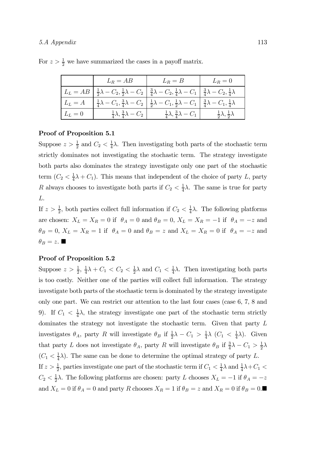#### 5.A Appendix 113

|           | $L_R = AB$                                                                                                                                                                                  | $L_R = B$ $L_R = 0$ |  |
|-----------|---------------------------------------------------------------------------------------------------------------------------------------------------------------------------------------------|---------------------|--|
|           | $L_L = AB \left[ \frac{1}{2}\lambda - C_2, \frac{1}{2}\lambda - C_2 \right] \frac{3}{4}\lambda - C_2, \frac{1}{4}\lambda - C_1 \left[ \frac{3}{4}\lambda - C_2, \frac{1}{4}\lambda \right]$ |                     |  |
| $L_L = A$ | $\frac{1}{4}\lambda -C_1, \frac{3}{4}\lambda -C_2 \left[\frac{1}{2}\lambda -C_1, \frac{1}{2}\lambda -C_1\right] \frac{3}{4}\lambda -C_1, \frac{1}{4}\lambda$                                |                     |  |
| $L_L=0$   | $\frac{1}{4}\lambda, \frac{3}{4}\lambda - C_2$ $\frac{1}{4}\lambda, \frac{3}{4}\lambda - C_1$ $\frac{1}{2}\lambda, \frac{1}{2}\lambda$                                                      |                     |  |

For  $z > \frac{1}{2}$  we have summarized the cases in a payoff matrix.

#### Proof of Proposition 5.1

Suppose  $z > \frac{1}{2}$  and  $C_2 < \frac{1}{4}\lambda$ . Then investigating both parts of the stochastic term strictly dominates not investigating the stochastic term. The strategy investigate both parts also dominates the strategy investigate only one part of the stochastic term  $(C_2 < \frac{1}{4}\lambda + C_1)$ . This means that independent of the choice of party L, party R always chooses to investigate both parts if  $C_2 < \frac{1}{4}\lambda$ . The same is true for party L.

If  $z > \frac{1}{2}$ , both parties collect full information if  $C_2 < \frac{1}{4}\lambda$ . The following platforms are chosen:  $X_L = X_R = 0$  if  $\theta_A = 0$  and  $\theta_B = 0$ ,  $X_L = X_R = -1$  if  $\theta_A = -z$  and  $\theta_B = 0$ ,  $X_L = X_R = 1$  if  $\theta_A = 0$  and  $\theta_B = z$  and  $X_L = X_R = 0$  if  $\theta_A = -z$  and  $\theta_B = z. \blacksquare$ 

#### Proof of Proposition 5.2

Suppose  $z > \frac{1}{2}$ ,  $\frac{1}{4}\lambda + C_1 < C_2 < \frac{1}{2}\lambda$  and  $C_1 < \frac{1}{4}\lambda$ . Then investigating both parts is too costly. Neither one of the parties will collect full information. The strategy investigate both parts of the stochastic term is dominated by the strategy investigate only one part. We can restrict our attention to the last four cases (case 6, 7, 8 and 9). If  $C_1 < \frac{1}{4}\lambda$ , the strategy investigate one part of the stochastic term strictly dominates the strategy not investigate the stochastic term. Given that party L investigates  $\theta_A$ , party R will investigate  $\theta_B$  if  $\frac{1}{2}\lambda - C_1 > \frac{1}{4}\lambda$  ( $C_1 < \frac{1}{4}\lambda$ ). Given that party L does not investigate  $\theta_A$ , party R will investigate  $\theta_B$  if  $\frac{3}{4}\lambda - C_1 > \frac{1}{2}\lambda$  $(C_1 < \frac{1}{4}\lambda)$ . The same can be done to determine the optimal strategy of party L. If  $z > \frac{1}{2}$ , parties investigate one part of the stochastic term if  $C_1 < \frac{1}{4}\lambda$  and  $\frac{1}{4}\lambda + C_1 <$  $C_2 < \frac{1}{2}\lambda$ . The following platforms are chosen: party L chooses  $X_L = -1$  if  $\theta_A = -z$ and  $X_L = 0$  if  $\theta_A = 0$  and party R chooses  $X_R = 1$  if  $\theta_B = z$  and  $X_R = 0$  if  $\theta_B = 0$ .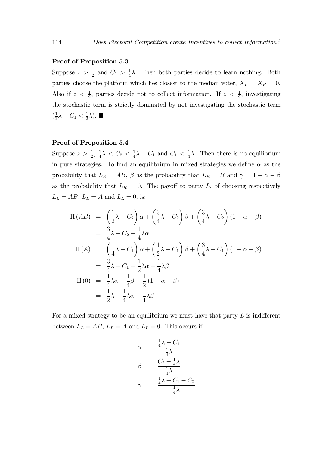#### Proof of Proposition 5.3

Suppose  $z > \frac{1}{2}$  and  $C_1 > \frac{1}{4}\lambda$ . Then both parties decide to learn nothing. Both parties choose the platform which lies closest to the median voter,  $X_L = X_R = 0$ . Also if  $z < \frac{1}{2}$ , parties decide not to collect information. If  $z < \frac{1}{2}$ , investigating the stochastic term is strictly dominated by not investigating the stochastic term  $(\frac{1}{2}\lambda - C_1 < \frac{1}{2}\lambda)$ .

#### Proof of Proposition 5.4

Suppose  $z > \frac{1}{2}$ ,  $\frac{1}{4}\lambda < C_2 < \frac{1}{4}\lambda + C_1$  and  $C_1 < \frac{1}{4}\lambda$ . Then there is no equilibrium in pure strategies. To find an equilibrium in mixed strategies we define  $\alpha$  as the probability that  $L_R = AB$ ,  $\beta$  as the probability that  $L_R = B$  and  $\gamma = 1 - \alpha - \beta$ as the probability that  $L_R = 0$ . The payoff to party L, of choosing respectively  $L<sub>L</sub> = AB$ ,  $L<sub>L</sub> = A$  and  $L<sub>L</sub> = 0$ , is:

$$
\Pi(AB) = \left(\frac{1}{2}\lambda - C_2\right)\alpha + \left(\frac{3}{4}\lambda - C_2\right)\beta + \left(\frac{3}{4}\lambda - C_2\right)(1 - \alpha - \beta)
$$
  
\n
$$
= \frac{3}{4}\lambda - C_2 - \frac{1}{4}\lambda\alpha
$$
  
\n
$$
\Pi(A) = \left(\frac{1}{4}\lambda - C_1\right)\alpha + \left(\frac{1}{2}\lambda - C_1\right)\beta + \left(\frac{3}{4}\lambda - C_1\right)(1 - \alpha - \beta)
$$
  
\n
$$
= \frac{3}{4}\lambda - C_1 - \frac{1}{2}\lambda\alpha - \frac{1}{4}\lambda\beta
$$
  
\n
$$
\Pi(0) = \frac{1}{4}\lambda\alpha + \frac{1}{4}\beta - \frac{1}{2}(1 - \alpha - \beta)
$$
  
\n
$$
= \frac{1}{2}\lambda - \frac{1}{4}\lambda\alpha - \frac{1}{4}\lambda\beta
$$

For a mixed strategy to be an equilibrium we must have that party  $L$  is indifferent between  $L_L = AB$ ,  $L_L = A$  and  $L_L = 0$ . This occurs if:

$$
\alpha = \frac{\frac{1}{4}\lambda - C_1}{\frac{1}{4}\lambda}
$$

$$
\beta = \frac{C_2 - \frac{1}{4}\lambda}{\frac{1}{4}\lambda}
$$

$$
\gamma = \frac{\frac{1}{4}\lambda + C_1 - C_2}{\frac{1}{4}\lambda}
$$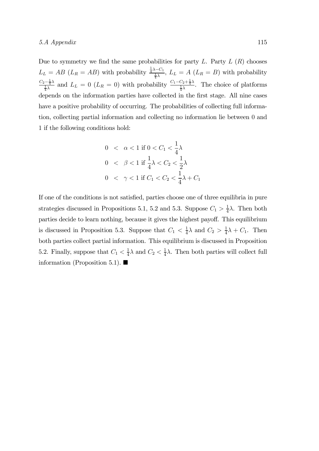Due to symmetry we find the same probabilities for party  $L$ . Party  $L(R)$  chooses  $L_L = AB$  ( $L_R = AB$ ) with probability  $\frac{\frac{1}{4}\lambda - C_1}{\frac{1}{4}\lambda}$ ,  $L_L = A$  ( $L_R = B$ ) with probability  $\frac{C_2-\frac{1}{4}\lambda}{\frac{1}{4}\lambda}$  and  $L_L = 0$  ( $L_R = 0$ ) with probability  $\frac{C_1-C_2+\frac{1}{4}\lambda}{\frac{1}{4}\lambda}$ . The choice of platforms depends on the information parties have collected in the first stage. All nine cases have a positive probability of occurring. The probabilities of collecting full information, collecting partial information and collecting no information lie between 0 and 1 if the following conditions hold:

$$
0 < \alpha < 1 \text{ if } 0 < C_1 < \frac{1}{4}\lambda
$$
  
\n
$$
0 < \beta < 1 \text{ if } \frac{1}{4}\lambda < C_2 < \frac{1}{2}\lambda
$$
  
\n
$$
0 < \gamma < 1 \text{ if } C_1 < C_2 < \frac{1}{4}\lambda + C_1
$$

If one of the conditions is not satisfied, parties choose one of three equilibria in pure strategies discussed in Propositions 5.1, 5.2 and 5.3. Suppose  $C_1 > \frac{1}{4}\lambda$ . Then both parties decide to learn nothing, because it gives the highest payoff. This equilibrium is discussed in Proposition 5.3. Suppose that  $C_1 < \frac{1}{4}\lambda$  and  $C_2 > \frac{1}{4}\lambda + C_1$ . Then both parties collect partial information. This equilibrium is discussed in Proposition 5.2. Finally, suppose that  $C_1 < \frac{1}{4}\lambda$  and  $C_2 < \frac{1}{4}\lambda$ . Then both parties will collect full information (Proposition 5.1).  $\blacksquare$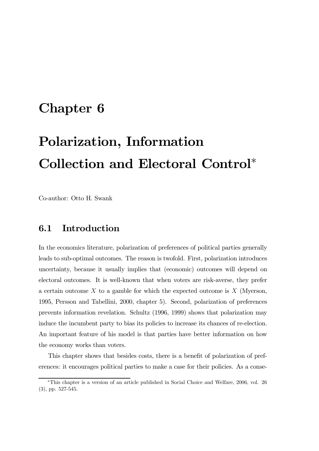## Chapter 6

# Polarization, Information Collection and Electoral Control∗

Co-author: Otto H. Swank

## 6.1 Introduction

In the economics literature, polarization of preferences of political parties generally leads to sub-optimal outcomes. The reason is twofold. First, polarization introduces uncertainty, because it usually implies that (economic) outcomes will depend on electoral outcomes. It is well-known that when voters are risk-averse, they prefer a certain outcome  $X$  to a gamble for which the expected outcome is  $X$  (Myerson, 1995, Persson and Tabellini, 2000, chapter 5). Second, polarization of preferences prevents information revelation. Schultz (1996, 1999) shows that polarization may induce the incumbent party to bias its policies to increase its chances of re-election. An important feature of his model is that parties have better information on how the economy works than voters.

This chapter shows that besides costs, there is a benefit of polarization of preferences: it encourages political parties to make a case for their policies. As a conse-

<sup>∗</sup>This chapter is a version of an article published in Social Choice and Welfare, 2006, vol. 26 (3), pp. 527-545.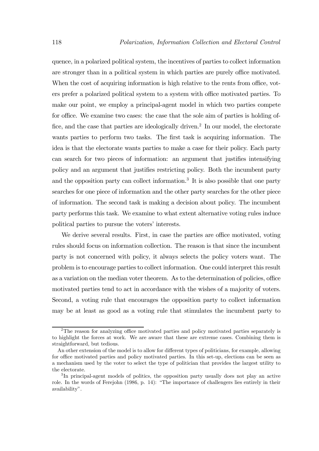quence, in a polarized political system, the incentives of parties to collect information are stronger than in a political system in which parties are purely office motivated. When the cost of acquiring information is high relative to the rents from office, voters prefer a polarized political system to a system with office motivated parties. To make our point, we employ a principal-agent model in which two parties compete for office. We examine two cases: the case that the sole aim of parties is holding office, and the case that parties are ideologically driven.<sup>2</sup> In our model, the electorate wants parties to perform two tasks. The first task is acquiring information. The idea is that the electorate wants parties to make a case for their policy. Each party can search for two pieces of information: an argument that justifies intensifying policy and an argument that justifies restricting policy. Both the incumbent party and the opposition party can collect information.<sup>3</sup> It is also possible that one party searches for one piece of information and the other party searches for the other piece of information. The second task is making a decision about policy. The incumbent party performs this task. We examine to what extent alternative voting rules induce political parties to pursue the voters' interests.

We derive several results. First, in case the parties are office motivated, voting rules should focus on information collection. The reason is that since the incumbent party is not concerned with policy, it always selects the policy voters want. The problem is to encourage parties to collect information. One could interpret this result as a variation on the median voter theorem. As to the determination of policies, office motivated parties tend to act in accordance with the wishes of a majority of voters. Second, a voting rule that encourages the opposition party to collect information may be at least as good as a voting rule that stimulates the incumbent party to

<sup>&</sup>lt;sup>2</sup>The reason for analyzing office motivated parties and policy motivated parties separately is to highlight the forces at work. We are aware that these are extreme cases. Combining them is straightforward, but tedious.

An other extension of the model is to allow for different types of politicians, for example, allowing for office motivated parties and policy motivated parties. In this set-up, elections can be seen as a mechanism used by the voter to select the type of politician that provides the largest utility to the electorate.

<sup>3</sup> In principal-agent models of politics, the opposition party usually does not play an active role. In the words of Ferejohn (1986, p. 14): "The importance of challengers lies entirely in their availability".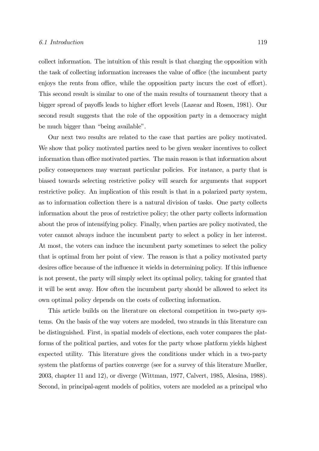collect information. The intuition of this result is that charging the opposition with the task of collecting information increases the value of office (the incumbent party enjoys the rents from office, while the opposition party incurs the cost of effort). This second result is similar to one of the main results of tournament theory that a bigger spread of payoffs leads to higher effort levels (Lazear and Rosen, 1981). Our second result suggests that the role of the opposition party in a democracy might be much bigger than "being available".

Our next two results are related to the case that parties are policy motivated. We show that policy motivated parties need to be given weaker incentives to collect information than office motivated parties. The main reason is that information about policy consequences may warrant particular policies. For instance, a party that is biased towards selecting restrictive policy will search for arguments that support restrictive policy. An implication of this result is that in a polarized party system, as to information collection there is a natural division of tasks. One party collects information about the pros of restrictive policy; the other party collects information about the pros of intensifying policy. Finally, when parties are policy motivated, the voter cannot always induce the incumbent party to select a policy in her interest. At most, the voters can induce the incumbent party sometimes to select the policy that is optimal from her point of view. The reason is that a policy motivated party desires office because of the influence it wields in determining policy. If this influence is not present, the party will simply select its optimal policy, taking for granted that it will be sent away. How often the incumbent party should be allowed to select its own optimal policy depends on the costs of collecting information.

This article builds on the literature on electoral competition in two-party systems. On the basis of the way voters are modeled, two strands in this literature can be distinguished. First, in spatial models of elections, each voter compares the platforms of the political parties, and votes for the party whose platform yields highest expected utility. This literature gives the conditions under which in a two-party system the platforms of parties converge (see for a survey of this literature Mueller, 2003, chapter 11 and 12), or diverge (Wittman, 1977, Calvert, 1985, Alesina, 1988). Second, in principal-agent models of politics, voters are modeled as a principal who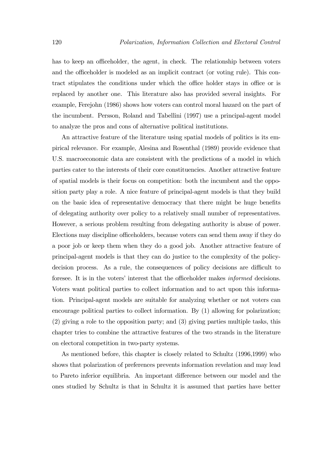has to keep an officeholder, the agent, in check. The relationship between voters and the officeholder is modeled as an implicit contract (or voting rule). This contract stipulates the conditions under which the office holder stays in office or is replaced by another one. This literature also has provided several insights. For example, Ferejohn (1986) shows how voters can control moral hazard on the part of the incumbent. Persson, Roland and Tabellini (1997) use a principal-agent model to analyze the pros and cons of alternative political institutions.

An attractive feature of the literature using spatial models of politics is its empirical relevance. For example, Alesina and Rosenthal (1989) provide evidence that U.S. macroeconomic data are consistent with the predictions of a model in which parties cater to the interests of their core constituencies. Another attractive feature of spatial models is their focus on competition: both the incumbent and the opposition party play a role. A nice feature of principal-agent models is that they build on the basic idea of representative democracy that there might be huge benefits of delegating authority over policy to a relatively small number of representatives. However, a serious problem resulting from delegating authority is abuse of power. Elections may discipline officeholders, because voters can send them away if they do a poor job or keep them when they do a good job. Another attractive feature of principal-agent models is that they can do justice to the complexity of the policydecision process. As a rule, the consequences of policy decisions are difficult to foresee. It is in the voters' interest that the officeholder makes *informed* decisions. Voters want political parties to collect information and to act upon this information. Principal-agent models are suitable for analyzing whether or not voters can encourage political parties to collect information. By (1) allowing for polarization; (2) giving a role to the opposition party; and (3) giving parties multiple tasks, this chapter tries to combine the attractive features of the two strands in the literature on electoral competition in two-party systems.

As mentioned before, this chapter is closely related to Schultz (1996,1999) who shows that polarization of preferences prevents information revelation and may lead to Pareto inferior equilibria. An important difference between our model and the ones studied by Schultz is that in Schultz it is assumed that parties have better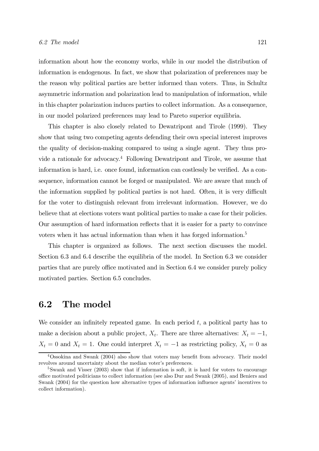information about how the economy works, while in our model the distribution of information is endogenous. In fact, we show that polarization of preferences may be the reason why political parties are better informed than voters. Thus, in Schultz asymmetric information and polarization lead to manipulation of information, while in this chapter polarization induces parties to collect information. As a consequence, in our model polarized preferences may lead to Pareto superior equilibria.

This chapter is also closely related to Dewatripont and Tirole (1999). They show that using two competing agents defending their own special interest improves the quality of decision-making compared to using a single agent. They thus provide a rationale for advocacy.4 Following Dewatripont and Tirole, we assume that information is hard, i.e. once found, information can costlessly be verified. As a consequence, information cannot be forged or manipulated. We are aware that much of the information supplied by political parties is not hard. Often, it is very difficult for the voter to distinguish relevant from irrelevant information. However, we do believe that at elections voters want political parties to make a case for their policies. Our assumption of hard information reflects that it is easier for a party to convince voters when it has actual information than when it has forged information.<sup>5</sup>

This chapter is organized as follows. The next section discusses the model. Section 6.3 and 6.4 describe the equilibria of the model. In Section 6.3 we consider parties that are purely office motivated and in Section 6.4 we consider purely policy motivated parties. Section 6.5 concludes.

## 6.2 The model

We consider an infinitely repeated game. In each period  $t$ , a political party has to make a decision about a public project,  $X_t$ . There are three alternatives:  $X_t = -1$ ,  $X_t = 0$  and  $X_t = 1$ . One could interpret  $X_t = -1$  as restricting policy,  $X_t = 0$  as

<sup>4</sup>Ossokina and Swank (2004) also show that voters may benefit from advocacy. Their model revolves around uncertainty about the median voter's preferences.

<sup>&</sup>lt;sup>5</sup>Swank and Visser (2003) show that if information is soft, it is hard for voters to encourage office motivated politicians to collect information (see also Dur and Swank (2005), and Beniers and Swank (2004) for the question how alternative types of information influence agents' incentives to collect information).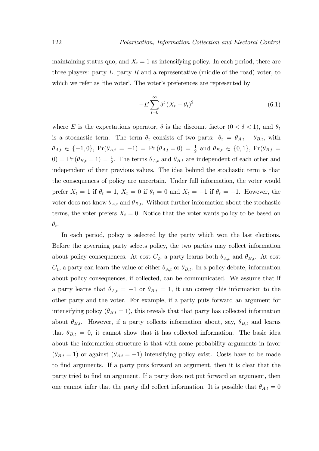maintaining status quo, and  $X_t = 1$  as intensifying policy. In each period, there are three players: party  $L$ , party  $R$  and a representative (middle of the road) voter, to which we refer as 'the voter'. The voter's preferences are represented by

$$
-E\sum_{t=0}^{\infty} \delta^t \left(X_t - \theta_t\right)^2 \tag{6.1}
$$

where E is the expectations operator,  $\delta$  is the discount factor  $(0 < \delta < 1)$ , and  $\theta_t$ is a stochastic term. The term  $\theta_t$  consists of two parts:  $\theta_t = \theta_{A,t} + \theta_{B,t}$ , with  $\theta_{A,t} \in \{-1,0\}, \; Pr(\theta_{A,t} = -1) = Pr(\theta_{A,t} = 0) = \frac{1}{2} \text{ and } \theta_{B,t} \in \{0,1\}, \; Pr(\theta_{B,t} = 0)$  $0) = Pr(\theta_{B,t} = 1) = \frac{1}{2}$ . The terms  $\theta_{A,t}$  and  $\theta_{B,t}$  are independent of each other and independent of their previous values. The idea behind the stochastic term is that the consequences of policy are uncertain. Under full information, the voter would prefer  $X_t = 1$  if  $\theta_t = 1$ ,  $X_t = 0$  if  $\theta_t = 0$  and  $X_t = -1$  if  $\theta_t = -1$ . However, the voter does not know  $\theta_{A,t}$  and  $\theta_{B,t}$ . Without further information about the stochastic terms, the voter prefers  $X_t = 0$ . Notice that the voter wants policy to be based on  $\theta_t$ .

In each period, policy is selected by the party which won the last elections. Before the governing party selects policy, the two parties may collect information about policy consequences. At cost  $C_2$ , a party learns both  $\theta_{A,t}$  and  $\theta_{B,t}$ . At cost  $C_1$ , a party can learn the value of either  $\theta_{A,t}$  or  $\theta_{B,t}$ . In a policy debate, information about policy consequences, if collected, can be communicated. We assume that if a party learns that  $\theta_{A,t} = -1$  or  $\theta_{B,t} = 1$ , it can convey this information to the other party and the voter. For example, if a party puts forward an argument for intensifying policy  $(\theta_{B,t} = 1)$ , this reveals that that party has collected information about  $\theta_{B,t}$ . However, if a party collects information about, say,  $\theta_{B,t}$  and learns that  $\theta_{B,t} = 0$ , it cannot show that it has collected information. The basic idea about the information structure is that with some probability arguments in favor  $(\theta_{B,t} = 1)$  or against  $(\theta_{A,t} = -1)$  intensifying policy exist. Costs have to be made to find arguments. If a party puts forward an argument, then it is clear that the party tried to find an argument. If a party does not put forward an argument, then one cannot infer that the party did collect information. It is possible that  $\theta_{A,t} = 0$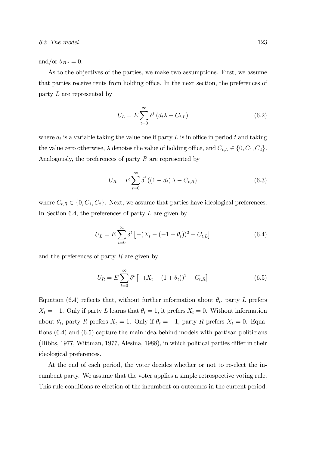#### 6.2 The model  $123$

and/or  $\theta_{B,t} = 0$ .

As to the objectives of the parties, we make two assumptions. First, we assume that parties receive rents from holding office. In the next section, the preferences of party L are represented by

$$
U_L = E \sum_{t=0}^{\infty} \delta^t \left( d_t \lambda - C_{t,L} \right) \tag{6.2}
$$

where  $d_t$  is a variable taking the value one if party L is in office in period t and taking the value zero otherwise,  $\lambda$  denotes the value of holding office, and  $C_{t,L} \in \{0, C_1, C_2\}$ . Analogously, the preferences of party R are represented by

$$
U_R = E \sum_{t=0}^{\infty} \delta^t \left( (1 - d_t) \lambda - C_{t,R} \right) \tag{6.3}
$$

where  $C_{t,R} \in \{0, C_1, C_2\}$ . Next, we assume that parties have ideological preferences. In Section 6.4, the preferences of party  $L$  are given by

$$
U_L = E \sum_{t=0}^{\infty} \delta^t \left[ -(X_t - (-1 + \theta_t))^2 - C_{t,L} \right]
$$
 (6.4)

and the preferences of party  $R$  are given by

$$
U_R = E \sum_{t=0}^{\infty} \delta^t \left[ -(X_t - (1 + \theta_t))^2 - C_{t,R} \right]
$$
 (6.5)

Equation (6.4) reflects that, without further information about  $\theta_t$ , party L prefers  $X_t = -1$ . Only if party L learns that  $\theta_t = 1$ , it prefers  $X_t = 0$ . Without information about  $\theta_t$ , party R prefers  $X_t = 1$ . Only if  $\theta_t = -1$ , party R prefers  $X_t = 0$ . Equations (6.4) and (6.5) capture the main idea behind models with partisan politicians (Hibbs, 1977, Wittman, 1977, Alesina, 1988), in which political parties differ in their ideological preferences.

At the end of each period, the voter decides whether or not to re-elect the incumbent party. We assume that the voter applies a simple retrospective voting rule. This rule conditions re-election of the incumbent on outcomes in the current period.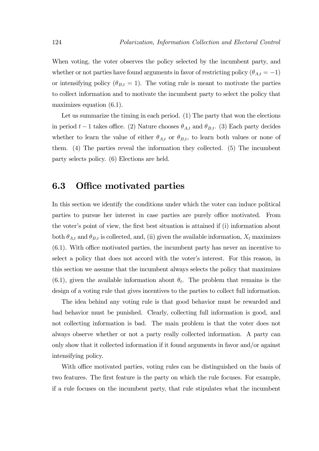When voting, the voter observes the policy selected by the incumbent party, and whether or not parties have found arguments in favor of restricting policy ( $\theta_{A,t} = -1$ ) or intensifying policy  $(\theta_{B,t} = 1)$ . The voting rule is meant to motivate the parties to collect information and to motivate the incumbent party to select the policy that maximizes equation (6.1).

Let us summarize the timing in each period. (1) The party that won the elections in period  $t - 1$  takes office. (2) Nature chooses  $\theta_{A,t}$  and  $\theta_{B,t}$ . (3) Each party decides whether to learn the value of either  $\theta_{A,t}$  or  $\theta_{B,t}$ , to learn both values or none of them. (4) The parties reveal the information they collected. (5) The incumbent party selects policy. (6) Elections are held.

## 6.3 Office motivated parties

In this section we identify the conditions under which the voter can induce political parties to pursue her interest in case parties are purely office motivated. From the voter's point of view, the first best situation is attained if (i) information about both  $\theta_{A,t}$  and  $\theta_{B,t}$  is collected, and, (ii) given the available information,  $X_t$  maximizes (6.1). With office motivated parties, the incumbent party has never an incentive to select a policy that does not accord with the voter's interest. For this reason, in this section we assume that the incumbent always selects the policy that maximizes (6.1), given the available information about  $\theta_t$ . The problem that remains is the design of a voting rule that gives incentives to the parties to collect full information.

The idea behind any voting rule is that good behavior must be rewarded and bad behavior must be punished. Clearly, collecting full information is good, and not collecting information is bad. The main problem is that the voter does not always observe whether or not a party really collected information. A party can only show that it collected information if it found arguments in favor and/or against intensifying policy.

With office motivated parties, voting rules can be distinguished on the basis of two features. The first feature is the party on which the rule focuses. For example, if a rule focuses on the incumbent party, that rule stipulates what the incumbent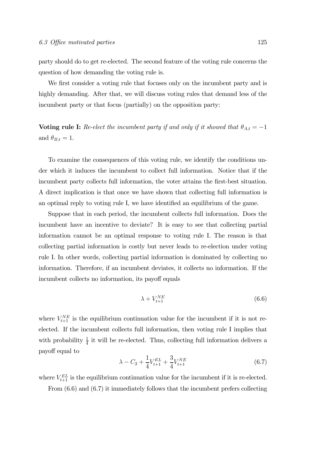party should do to get re-elected. The second feature of the voting rule concerns the question of how demanding the voting rule is.

We first consider a voting rule that focuses only on the incumbent party and is highly demanding. After that, we will discuss voting rules that demand less of the incumbent party or that focus (partially) on the opposition party:

Voting rule I: Re-elect the incumbent party if and only if it showed that  $\theta_{A,t} = -1$ and  $\theta_{B,t} = 1$ .

To examine the consequences of this voting rule, we identify the conditions under which it induces the incumbent to collect full information. Notice that if the incumbent party collects full information, the voter attains the first-best situation. A direct implication is that once we have shown that collecting full information is an optimal reply to voting rule I, we have identified an equilibrium of the game.

Suppose that in each period, the incumbent collects full information. Does the incumbent have an incentive to deviate? It is easy to see that collecting partial information cannot be an optimal response to voting rule I. The reason is that collecting partial information is costly but never leads to re-election under voting rule I. In other words, collecting partial information is dominated by collecting no information. Therefore, if an incumbent deviates, it collects no information. If the incumbent collects no information, its payoff equals

$$
\lambda + V_{t+1}^{NE} \tag{6.6}
$$

where  $V_{t+1}^{NE}$  is the equilibrium continuation value for the incumbent if it is not reelected. If the incumbent collects full information, then voting rule I implies that with probability  $\frac{1}{4}$  it will be re-elected. Thus, collecting full information delivers a payoff equal to

$$
\lambda - C_2 + \frac{1}{4} V_{t+1}^{EL} + \frac{3}{4} V_{t+1}^{NE} \tag{6.7}
$$

where  $V_{t+1}^{EL}$  is the equilibrium continuation value for the incumbent if it is re-elected.

From (6.6) and (6.7) it immediately follows that the incumbent prefers collecting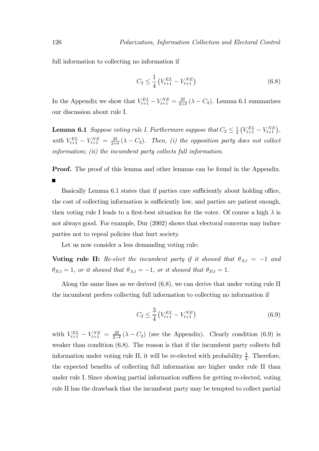full information to collecting no information if

$$
C_2 \le \frac{1}{4} \left( V_{t+1}^{EL} - V_{t+1}^{NE} \right) \tag{6.8}
$$

In the Appendix we show that  $V_{t+1}^{EL} - V_{t+1}^{NE} = \frac{2\delta}{2+\delta} (\lambda - C_2)$ . Lemma 6.1 summarizes our discussion about rule I.

**Lemma 6.1** Suppose voting rule I. Furthermore suppose that  $C_2 \leq \frac{1}{4} \left( V_{t+1}^{EL} - V_{t+1}^{NE} \right)$ , with  $V_{t+1}^{EL} - V_{t+1}^{NE} = \frac{2\delta}{2+\delta} (\lambda - C_2)$ . Then, (i) the opposition party does not collect information; (ii) the incumbent party collects full information.

**Proof.** The proof of this lemma and other lemmas can be found in the Appendix. ۰

Basically Lemma 6.1 states that if parties care sufficiently about holding office, the cost of collecting information is sufficiently low, and parties are patient enough, then voting rule I leads to a first-best situation for the voter. Of course a high  $\lambda$  is not always good. For example, Dur (2002) shows that electoral concerns may induce parties not to repeal policies that hurt society.

Let us now consider a less demanding voting rule:

Voting rule II: Re-elect the incumbent party if it showed that  $\theta_{A,t} = -1$  and  $\theta_{B,t}=1, \; or \; it \; showed \; that \; \theta_{A,t}=-1, \; or \; it \; showed \; that \; \theta_{B,t}=1.$ 

Along the same lines as we derived (6.8), we can derive that under voting rule II the incumbent prefers collecting full information to collecting no information if

$$
C_2 \le \frac{3}{4} \left( V_{t+1}^{EL} - V_{t+1}^{NE} \right) \tag{6.9}
$$

with  $V_{t+1}^{EL} - V_{t+1}^{NE} = \frac{2\delta}{2-\delta} (\lambda - C_2)$  (see the Appendix). Clearly condition (6.9) is weaker than condition  $(6.8)$ . The reason is that if the incumbent party collects full information under voting rule II, it will be re-elected with probability  $\frac{3}{4}$ . Therefore, the expected benefits of collecting full information are higher under rule II than under rule I. Since showing partial information suffices for getting re-elected, voting rule II has the drawback that the incumbent party may be tempted to collect partial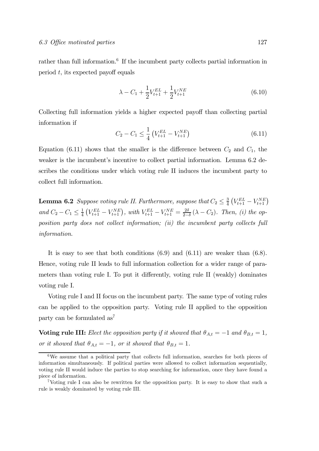rather than full information.<sup>6</sup> If the incumbent party collects partial information in period  $t$ , its expected payoff equals

$$
\lambda - C_1 + \frac{1}{2} V_{t+1}^{EL} + \frac{1}{2} V_{t+1}^{NE} \tag{6.10}
$$

Collecting full information yields a higher expected payoff than collecting partial information if

$$
C_2 - C_1 \le \frac{1}{4} \left( V_{t+1}^{EL} - V_{t+1}^{NE} \right) \tag{6.11}
$$

Equation (6.11) shows that the smaller is the difference between  $C_2$  and  $C_1$ , the weaker is the incumbent's incentive to collect partial information. Lemma 6.2 describes the conditions under which voting rule II induces the incumbent party to collect full information.

**Lemma 6.2** Suppose voting rule II. Furthermore, suppose that  $C_2 \leq \frac{3}{4} \left( V_{t+1}^{EL} - V_{t+1}^{NE} \right)$ and  $C_2 - C_1 \leq \frac{1}{4} \left( V_{t+1}^{EL} - V_{t+1}^{NE} \right)$ , with  $V_{t+1}^{EL} - V_{t+1}^{NE} = \frac{2\delta}{2-\delta} (\lambda - C_2)$ . Then, (i) the opposition party does not collect information; (ii) the incumbent party collects full information.

It is easy to see that both conditions  $(6.9)$  and  $(6.11)$  are weaker than  $(6.8)$ . Hence, voting rule II leads to full information collection for a wider range of parameters than voting rule I. To put it differently, voting rule II (weakly) dominates voting rule I.

Voting rule I and II focus on the incumbent party. The same type of voting rules can be applied to the opposition party. Voting rule II applied to the opposition party can be formulated as<sup>7</sup>

Voting rule III: Elect the opposition party if it showed that  $\theta_{A,t} = -1$  and  $\theta_{B,t} = 1$ , or it showed that  $\theta_{A,t} = -1$ , or it showed that  $\theta_{B,t} = 1$ .

<sup>6</sup>We assume that a political party that collects full information, searches for both pieces of information simultaneously. If political parties were allowed to collect information sequentially, voting rule II would induce the parties to stop searching for information, once they have found a piece of information.

<sup>7</sup>Voting rule I can also be rewritten for the opposition party. It is easy to show that such a rule is weakly dominated by voting rule III.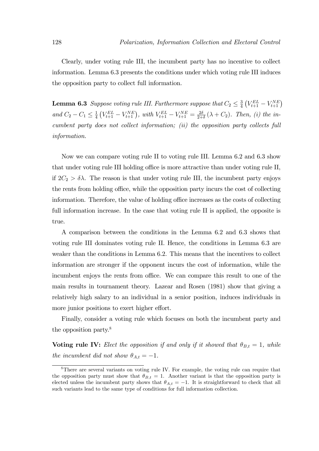Clearly, under voting rule III, the incumbent party has no incentive to collect information. Lemma 6.3 presents the conditions under which voting rule III induces the opposition party to collect full information.

**Lemma 6.3** Suppose voting rule III. Furthermore suppose that  $C_2 \leq \frac{3}{4} \left( V_{t+1}^{EL} - V_{t+1}^{NE} \right)$ and  $C_2 - C_1 \leq \frac{1}{4} \left( V_{t+1}^{EL} - V_{t+1}^{NE} \right)$ , with  $V_{t+1}^{EL} - V_{t+1}^{NE} = \frac{2\delta}{2+\delta} (\lambda + C_2)$ . Then, (i) the incumbent party does not collect information; (ii) the opposition party collects full information.

Now we can compare voting rule II to voting rule III. Lemma 6.2 and 6.3 show that under voting rule III holding office is more attractive than under voting rule II, if  $2C_2 > \delta \lambda$ . The reason is that under voting rule III, the incumbent party enjoys the rents from holding office, while the opposition party incurs the cost of collecting information. Therefore, the value of holding office increases as the costs of collecting full information increase. In the case that voting rule II is applied, the opposite is true.

A comparison between the conditions in the Lemma 6.2 and 6.3 shows that voting rule III dominates voting rule II. Hence, the conditions in Lemma 6.3 are weaker than the conditions in Lemma 6.2. This means that the incentives to collect information are stronger if the opponent incurs the cost of information, while the incumbent enjoys the rents from office. We can compare this result to one of the main results in tournament theory. Lazear and Rosen (1981) show that giving a relatively high salary to an individual in a senior position, induces individuals in more junior positions to exert higher effort.

Finally, consider a voting rule which focuses on both the incumbent party and the opposition party.<sup>8</sup>

Voting rule IV: Elect the opposition if and only if it showed that  $\theta_{B,t} = 1$ , while the incumbent did not show  $\theta_{A,t} = -1$ .

<sup>8</sup>There are several variants on voting rule IV. For example, the voting rule can require that the opposition party must show that  $\theta_{B,t} = 1$ . Another variant is that the opposition party is elected unless the incumbent party shows that  $\theta_{A,t} = -1$ . It is straightforward to check that all such variants lead to the same type of conditions for full information collection.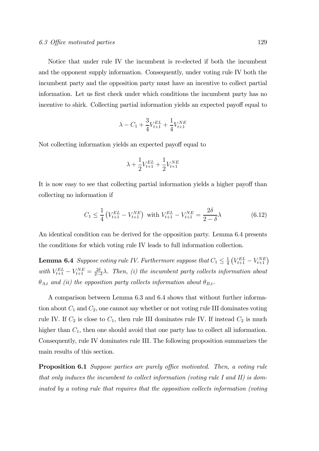#### 6.3 Office motivated parties 129

Notice that under rule IV the incumbent is re-elected if both the incumbent and the opponent supply information. Consequently, under voting rule IV both the incumbent party and the opposition party must have an incentive to collect partial information. Let us first check under which conditions the incumbent party has no incentive to shirk. Collecting partial information yields an expected payoff equal to

$$
\lambda - C_1 + \frac{3}{4} V_{t+1}^{EL} + \frac{1}{4} V_{t+1}^{NE}
$$

Not collecting information yields an expected payoff equal to

$$
\lambda + \frac{1}{2} V_{t+1}^{EL} + \frac{1}{2} V_{t+1}^{NE}
$$

It is now easy to see that collecting partial information yields a higher payoff than collecting no information if

$$
C_1 \le \frac{1}{4} \left( V_{t+1}^{EL} - V_{t+1}^{NE} \right) \text{ with } V_{t+1}^{EL} - V_{t+1}^{NE} = \frac{2\delta}{2 - \delta} \lambda \tag{6.12}
$$

An identical condition can be derived for the opposition party. Lemma 6.4 presents the conditions for which voting rule IV leads to full information collection.

**Lemma 6.4** Suppose voting rule IV. Furthermore suppose that  $C_1 \leq \frac{1}{4} \left( V_{t+1}^{EL} - V_{t+1}^{NE} \right)$ with  $V_{t+1}^{EL} - V_{t+1}^{NE} = \frac{2\delta}{2-\delta}\lambda$ . Then, (i) the incumbent party collects information about  $\theta_{A,t}$  and (ii) the opposition party collects information about  $\theta_{B,t}$ .

A comparison between Lemma 6.3 and 6.4 shows that without further information about  $C_1$  and  $C_2$ , one cannot say whether or not voting rule III dominates voting rule IV. If  $C_2$  is close to  $C_1$ , then rule III dominates rule IV. If instead  $C_2$  is much higher than  $C_1$ , then one should avoid that one party has to collect all information. Consequently, rule IV dominates rule III. The following proposition summarizes the main results of this section.

Proposition 6.1 Suppose parties are purely office motivated. Then, a voting rule that only induces the incumbent to collect information (voting rule I and II) is dominated by a voting rule that requires that the opposition collects information (voting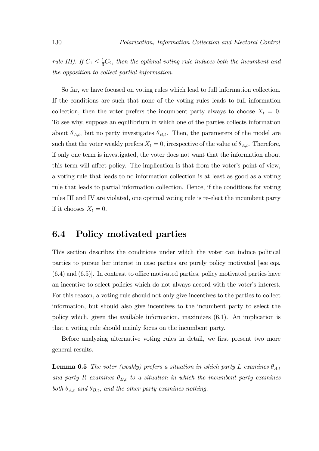rule III). If  $C_1 \leq \frac{1}{3}C_2$ , then the optimal voting rule induces both the incumbent and the opposition to collect partial information.

So far, we have focused on voting rules which lead to full information collection. If the conditions are such that none of the voting rules leads to full information collection, then the voter prefers the incumbent party always to choose  $X_t = 0$ . To see why, suppose an equilibrium in which one of the parties collects information about  $\theta_{A,t}$ , but no party investigates  $\theta_{B,t}$ . Then, the parameters of the model are such that the voter weakly prefers  $X_t = 0$ , irrespective of the value of  $\theta_{A,t}$ . Therefore, if only one term is investigated, the voter does not want that the information about this term will affect policy. The implication is that from the voter's point of view, a voting rule that leads to no information collection is at least as good as a voting rule that leads to partial information collection. Hence, if the conditions for voting rules III and IV are violated, one optimal voting rule is re-elect the incumbent party if it chooses  $X_t = 0$ .

## 6.4 Policy motivated parties

This section describes the conditions under which the voter can induce political parties to pursue her interest in case parties are purely policy motivated [see eqs. (6.4) and (6.5)]. In contrast to office motivated parties, policy motivated parties have an incentive to select policies which do not always accord with the voter's interest. For this reason, a voting rule should not only give incentives to the parties to collect information, but should also give incentives to the incumbent party to select the policy which, given the available information, maximizes (6.1). An implication is that a voting rule should mainly focus on the incumbent party.

Before analyzing alternative voting rules in detail, we first present two more general results.

**Lemma 6.5** The voter (weakly) prefers a situation in which party L examines  $\theta_{A,t}$ and party R examines  $\theta_{B,t}$  to a situation in which the incumbent party examines both  $\theta_{A,t}$  and  $\theta_{B,t}$ , and the other party examines nothing.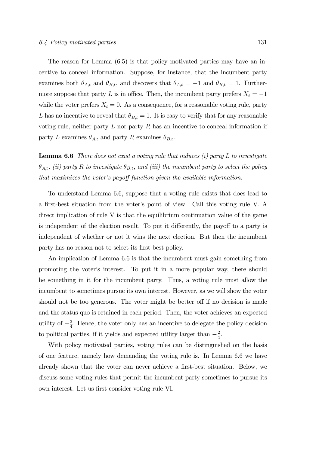The reason for Lemma (6.5) is that policy motivated parties may have an incentive to conceal information. Suppose, for instance, that the incumbent party examines both  $\theta_{A,t}$  and  $\theta_{B,t}$ , and discovers that  $\theta_{A,t} = -1$  and  $\theta_{B,t} = 1$ . Furthermore suppose that party L is in office. Then, the incumbent party prefers  $X_t = -1$ while the voter prefers  $X_t = 0$ . As a consequence, for a reasonable voting rule, party L has no incentive to reveal that  $\theta_{B,t} = 1$ . It is easy to verify that for any reasonable voting rule, neither party  $L$  nor party  $R$  has an incentive to conceal information if party L examines  $\theta_{A,t}$  and party R examines  $\theta_{B,t}$ .

**Lemma 6.6** There does not exist a voting rule that induces  $(i)$  party  $L$  to investigate  $\theta_{A,t}$ , (ii) party R to investigate  $\theta_{B,t}$ , and (iii) the incumbent party to select the policy that maximizes the voter's payoff function given the available information.

To understand Lemma 6.6, suppose that a voting rule exists that does lead to a first-best situation from the voter's point of view. Call this voting rule V. A direct implication of rule V is that the equilibrium continuation value of the game is independent of the election result. To put it differently, the payoff to a party is independent of whether or not it wins the next election. But then the incumbent party has no reason not to select its first-best policy.

An implication of Lemma 6.6 is that the incumbent must gain something from promoting the voter's interest. To put it in a more popular way, there should be something in it for the incumbent party. Thus, a voting rule must allow the incumbent to sometimes pursue its own interest. However, as we will show the voter should not be too generous. The voter might be better off if no decision is made and the status quo is retained in each period. Then, the voter achieves an expected utility of  $-\frac{2}{4}$ . Hence, the voter only has an incentive to delegate the policy decision to political parties, if it yields and expected utility larger than  $-\frac{2}{4}$ .

With policy motivated parties, voting rules can be distinguished on the basis of one feature, namely how demanding the voting rule is. In Lemma 6.6 we have already shown that the voter can never achieve a first-best situation. Below, we discuss some voting rules that permit the incumbent party sometimes to pursue its own interest. Let us first consider voting rule VI.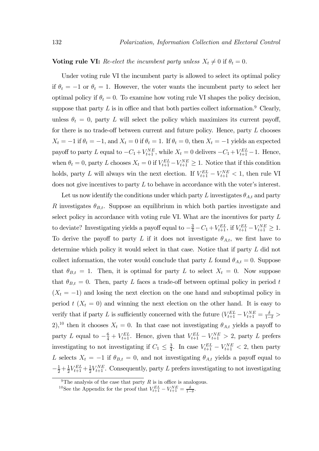#### Voting rule VI: Re-elect the incumbent party unless  $X_t \neq 0$  if  $\theta_t = 0$ .

Under voting rule VI the incumbent party is allowed to select its optimal policy if  $\theta_t = -1$  or  $\theta_t = 1$ . However, the voter wants the incumbent party to select her optimal policy if  $\theta_t = 0$ . To examine how voting rule VI shapes the policy decision, suppose that party  $L$  is in office and that both parties collect information.<sup>9</sup> Clearly, unless  $\theta_t = 0$ , party L will select the policy which maximizes its current payoff, for there is no trade-off between current and future policy. Hence, party L chooses  $X_t = -1$  if  $\theta_t = -1$ , and  $X_t = 0$  if  $\theta_t = 1$ . If  $\theta_t = 0$ , then  $X_t = -1$  yields an expected payoff to party L equal to  $-C_1 + V_{t+1}^{NE}$ , while  $X_t = 0$  delivers  $-C_1 + V_{t+1}^{EL} - 1$ . Hence, when  $\theta_t = 0$ , party L chooses  $X_t = 0$  if  $V_{t+1}^{EL} - V_{t+1}^{NE} \ge 1$ . Notice that if this condition holds, party L will always win the next election. If  $V_{t+1}^{EL} - V_{t+1}^{NE} < 1$ , then rule VI does not give incentives to party  $L$  to behave in accordance with the voter's interest.

Let us now identify the conditions under which party L investigates  $\theta_{A,t}$  and party R investigates  $\theta_{B,t}$ . Suppose an equilibrium in which both parties investigate and select policy in accordance with voting rule VI. What are the incentives for party L to deviate? Investigating yields a payoff equal to  $-\frac{3}{4} - C_1 + V_{t+1}^{EL}$ , if  $V_{t+1}^{EL} - V_{t+1}^{NE} \ge 1$ . To derive the payoff to party L if it does not investigate  $\theta_{A,t}$ , we first have to determine which policy it would select in that case. Notice that if party L did not collect information, the voter would conclude that party L found  $\theta_{A,t} = 0$ . Suppose that  $\theta_{B,t} = 1$ . Then, it is optimal for party L to select  $X_t = 0$ . Now suppose that  $\theta_{B,t} = 0$ . Then, party L faces a trade-off between optimal policy in period t  $(X<sub>t</sub> = -1)$  and losing the next election on the one hand and suboptimal policy in period t  $(X_t = 0)$  and winning the next election on the other hand. It is easy to verify that if party L is sufficiently concerned with the future  $(V_{t+1}^{EL} - V_{t+1}^{NE} = \frac{\delta}{1-\delta} >$ 2),<sup>10</sup> then it chooses  $X_t = 0$ . In that case not investigating  $\theta_{A,t}$  yields a payoff to party L equal to  $-\frac{6}{4} + V_{t+1}^{EL}$ . Hence, given that  $V_{t+1}^{EL} - V_{t+1}^{NE} > 2$ , party L prefers investigating to not investigating if  $C_1 \leq \frac{3}{4}$ . In case  $V_{t+1}^{EL} - V_{t+1}^{NE} < 2$ , then party L selects  $X_t = -1$  if  $\theta_{B,t} = 0$ , and not investigating  $\theta_{A,t}$  yields a payoff equal to  $-\frac{1}{2} + \frac{1}{2}V_{t+1}^{EL} + \frac{1}{2}V_{t+1}^{NE}$ . Consequently, party L prefers investigating to not investigating

<sup>&</sup>lt;sup>9</sup>The analysis of the case that party R is in office is analogous.

<sup>&</sup>lt;sup>10</sup>See the Appendix for the proof that  $V_{t+1}^{EL} - V_{t+1}^{NE} = \frac{\delta}{1-\delta}$ .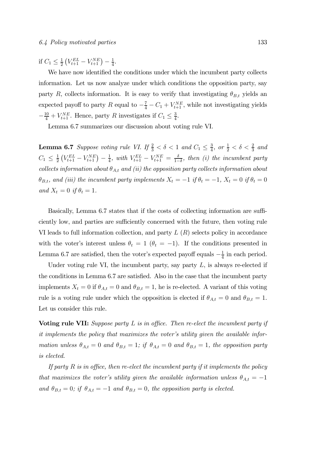if  $C_1 \leq \frac{1}{2} \left( V_{t+1}^{EL} - V_{t+1}^{NE} \right) - \frac{1}{4}.$ 

We have now identified the conditions under which the incumbent party collects information. Let us now analyze under which conditions the opposition party, say party R, collects information. It is easy to verify that investigating  $\theta_{B,t}$  yields an expected payoff to party R equal to  $-\frac{7}{4} - C_1 + V_{t+1}^{NE}$ , while not investigating yields  $-\frac{10}{4} + V_{t+1}^{NE}$ . Hence, party R investigates if  $C_1 \leq \frac{3}{4}$ .

Lemma 6.7 summarizes our discussion about voting rule VI.

**Lemma 6.7** Suppose voting rule VI. If  $\frac{2}{3} < \delta < 1$  and  $C_1 \leq \frac{3}{4}$ , or  $\frac{1}{2} < \delta < \frac{2}{3}$  and  $C_1 \leq \frac{1}{2} \left( V_{t+1}^{EL} - V_{t+1}^{NE} \right) - \frac{1}{4}$ , with  $V_{t+1}^{EL} - V_{t+1}^{NE} = \frac{\delta}{1-\delta}$ , then (i) the incumbent party collects information about  $\theta_{A,t}$  and (ii) the opposition party collects information about  $\theta_{B,t}$ , and (iii) the incumbent party implements  $X_t = -1$  if  $\theta_t = -1$ ,  $X_t = 0$  if  $\theta_t = 0$ and  $X_t = 0$  if  $\theta_t = 1$ .

Basically, Lemma 6.7 states that if the costs of collecting information are sufficiently low, and parties are sufficiently concerned with the future, then voting rule VI leads to full information collection, and party  $L(R)$  selects policy in accordance with the voter's interest unless  $\theta_t = 1$  ( $\theta_t = -1$ ). If the conditions presented in Lemma 6.7 are satisfied, then the voter's expected payoff equals  $-\frac{1}{4}$  in each period.

Under voting rule VI, the incumbent party, say party  $L$ , is always re-elected if the conditions in Lemma 6.7 are satisfied. Also in the case that the incumbent party implements  $X_t = 0$  if  $\theta_{A,t} = 0$  and  $\theta_{B,t} = 1$ , he is re-elected. A variant of this voting rule is a voting rule under which the opposition is elected if  $\theta_{A,t} = 0$  and  $\theta_{B,t} = 1$ . Let us consider this rule.

Voting rule VII: Suppose party  $L$  is in office. Then re-elect the incumbent party if it implements the policy that maximizes the voter's utility given the available information unless  $\theta_{A,t} = 0$  and  $\theta_{B,t} = 1$ ; if  $\theta_{A,t} = 0$  and  $\theta_{B,t} = 1$ , the opposition party is elected.

If party  $R$  is in office, then re-elect the incumbent party if it implements the policy that maximizes the voter's utility given the available information unless  $\theta_{A,t} = -1$ and  $\theta_{B,t} = 0$ ; if  $\theta_{A,t} = -1$  and  $\theta_{B,t} = 0$ , the opposition party is elected.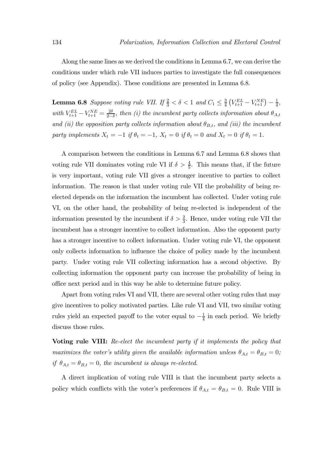Along the same lines as we derived the conditions in Lemma 6.7, we can derive the conditions under which rule VII induces parties to investigate the full consequences of policy (see Appendix). These conditions are presented in Lemma 6.8.

**Lemma 6.8** Suppose voting rule VII. If  $\frac{2}{3} < \delta < 1$  and  $C_1 \leq \frac{3}{4} (V_{t+1}^{EL} - V_{t+1}^{NE}) - \frac{1}{4}$ , with  $V_{t+1}^{EL} - V_{t+1}^{NE} = \frac{2\delta}{2-\delta}$ , then (i) the incumbent party collects information about  $\theta_{A,t}$ and (ii) the opposition party collects information about  $\theta_{B,t}$ , and (iii) the incumbent party implements  $X_t = -1$  if  $\theta_t = -1$ ,  $X_t = 0$  if  $\theta_t = 0$  and  $X_t = 0$  if  $\theta_t = 1$ .

A comparison between the conditions in Lemma 6.7 and Lemma 6.8 shows that voting rule VII dominates voting rule VI if  $\delta > \frac{4}{5}$ . This means that, if the future is very important, voting rule VII gives a stronger incentive to parties to collect information. The reason is that under voting rule VII the probability of being reelected depends on the information the incumbent has collected. Under voting rule VI, on the other hand, the probability of being re-elected is independent of the information presented by the incumbent if  $\delta > \frac{2}{3}$ . Hence, under voting rule VII the incumbent has a stronger incentive to collect information. Also the opponent party has a stronger incentive to collect information. Under voting rule VI, the opponent only collects information to influence the choice of policy made by the incumbent party. Under voting rule VII collecting information has a second objective. By collecting information the opponent party can increase the probability of being in office next period and in this way be able to determine future policy.

Apart from voting rules VI and VII, there are several other voting rules that may give incentives to policy motivated parties. Like rule VI and VII, two similar voting rules yield an expected payoff to the voter equal to  $-\frac{1}{4}$  in each period. We briefly discuss those rules.

Voting rule VIII: Re-elect the incumbent party if it implements the policy that maximizes the voter's utility given the available information unless  $\theta_{A,t} = \theta_{B,t} = 0$ ; if  $\theta_{A,t} = \theta_{B,t} = 0$ , the incumbent is always re-elected.

A direct implication of voting rule VIII is that the incumbent party selects a policy which conflicts with the voter's preferences if  $\theta_{A,t} = \theta_{B,t} = 0$ . Rule VIII is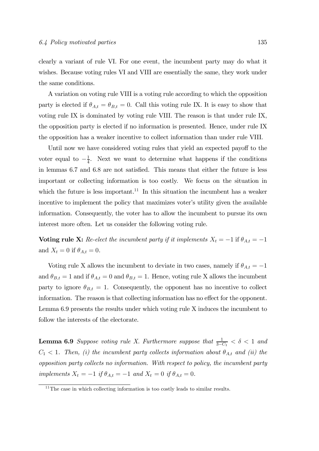clearly a variant of rule VI. For one event, the incumbent party may do what it wishes. Because voting rules VI and VIII are essentially the same, they work under the same conditions.

A variation on voting rule VIII is a voting rule according to which the opposition party is elected if  $\theta_{A,t} = \theta_{B,t} = 0$ . Call this voting rule IX. It is easy to show that voting rule IX is dominated by voting rule VIII. The reason is that under rule IX, the opposition party is elected if no information is presented. Hence, under rule IX the opposition has a weaker incentive to collect information than under rule VIII.

Until now we have considered voting rules that yield an expected payoff to the voter equal to  $-\frac{1}{4}$ . Next we want to determine what happens if the conditions in lemmas 6.7 and 6.8 are not satisfied. This means that either the future is less important or collecting information is too costly. We focus on the situation in which the future is less important.<sup>11</sup> In this situation the incumbent has a weaker incentive to implement the policy that maximizes voter's utility given the available information. Consequently, the voter has to allow the incumbent to pursue its own interest more often. Let us consider the following voting rule.

Voting rule X: Re-elect the incumbent party if it implements  $X_t = -1$  if  $\theta_{A,t} = -1$ and  $X_t = 0$  if  $\theta_{A,t} = 0$ .

Voting rule X allows the incumbent to deviate in two cases, namely if  $\theta_{A,t} = -1$ and  $\theta_{B,t} = 1$  and if  $\theta_{A,t} = 0$  and  $\theta_{B,t} = 1$ . Hence, voting rule X allows the incumbent party to ignore  $\theta_{B,t} = 1$ . Consequently, the opponent has no incentive to collect information. The reason is that collecting information has no effect for the opponent. Lemma 6.9 presents the results under which voting rule X induces the incumbent to follow the interests of the electorate.

**Lemma 6.9** Suppose voting rule X. Furthermore suppose that  $\frac{1}{3-C_1} < \delta < 1$  and  $C_1$  < 1. Then, (i) the incumbent party collects information about  $\theta_{A,t}$  and (ii) the opposition party collects no information. With respect to policy, the incumbent party implements  $X_t = -1$  if  $\theta_{A,t} = -1$  and  $X_t = 0$  if  $\theta_{A,t} = 0$ .

 $11$ The case in which collecting information is too costly leads to similar results.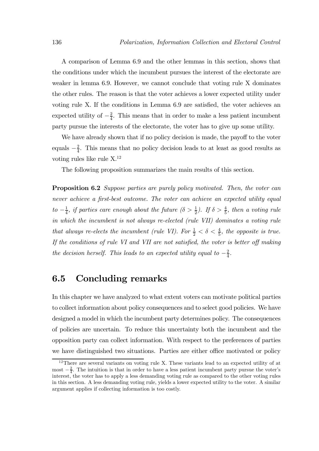A comparison of Lemma 6.9 and the other lemmas in this section, shows that the conditions under which the incumbent pursues the interest of the electorate are weaker in lemma 6.9. However, we cannot conclude that voting rule X dominates the other rules. The reason is that the voter achieves a lower expected utility under voting rule X. If the conditions in Lemma 6.9 are satisfied, the voter achieves an expected utility of  $-\frac{2}{4}$ . This means that in order to make a less patient incumbent party pursue the interests of the electorate, the voter has to give up some utility.

We have already shown that if no policy decision is made, the payoff to the voter equals  $-\frac{2}{4}$ . This means that no policy decision leads to at least as good results as voting rules like rule X.12

The following proposition summarizes the main results of this section.

**Proposition 6.2** Suppose parties are purely policy motivated. Then, the voter can never achieve a first-best outcome. The voter can achieve an expected utility equal to  $-\frac{1}{4}$ , if parties care enough about the future  $(\delta > \frac{1}{2})$ . If  $\delta > \frac{4}{5}$ , then a voting rule in which the incumbent is not always re-elected (rule VII) dominates a voting rule that always re-elects the incumbent (rule VI). For  $\frac{1}{2} < \delta < \frac{4}{5}$ , the opposite is true. If the conditions of rule VI and VII are not satisfied, the voter is better off making the decision herself. This leads to an expected utility equal to  $-\frac{2}{4}$ .

#### 6.5 Concluding remarks

In this chapter we have analyzed to what extent voters can motivate political parties to collect information about policy consequences and to select good policies. We have designed a model in which the incumbent party determines policy. The consequences of policies are uncertain. To reduce this uncertainty both the incumbent and the opposition party can collect information. With respect to the preferences of parties we have distinguished two situations. Parties are either office motivated or policy

<sup>&</sup>lt;sup>12</sup>There are several variants on voting rule X. These variants lead to an expected utility of at most  $-\frac{2}{4}$ . The intuition is that in order to have a less patient incumbent party pursue the voter's interest, the voter has to apply a less demanding voting rule as compared to the other voting rules in this section. A less demanding voting rule, yields a lower expected utility to the voter. A similar argument applies if collecting information is too costly.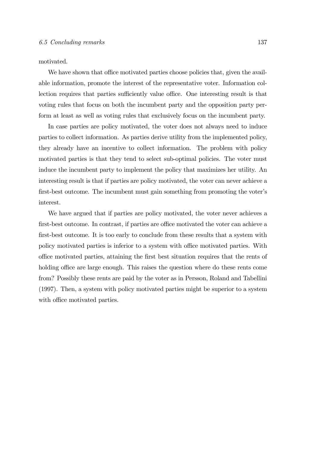motivated.

We have shown that office motivated parties choose policies that, given the available information, promote the interest of the representative voter. Information collection requires that parties sufficiently value office. One interesting result is that voting rules that focus on both the incumbent party and the opposition party perform at least as well as voting rules that exclusively focus on the incumbent party.

In case parties are policy motivated, the voter does not always need to induce parties to collect information. As parties derive utility from the implemented policy, they already have an incentive to collect information. The problem with policy motivated parties is that they tend to select sub-optimal policies. The voter must induce the incumbent party to implement the policy that maximizes her utility. An interesting result is that if parties are policy motivated, the voter can never achieve a first-best outcome. The incumbent must gain something from promoting the voter's interest.

We have argued that if parties are policy motivated, the voter never achieves a first-best outcome. In contrast, if parties are office motivated the voter can achieve a first-best outcome. It is too early to conclude from these results that a system with policy motivated parties is inferior to a system with office motivated parties. With office motivated parties, attaining the first best situation requires that the rents of holding office are large enough. This raises the question where do these rents come from? Possibly these rents are paid by the voter as in Persson, Roland and Tabellini (1997). Then, a system with policy motivated parties might be superior to a system with office motivated parties.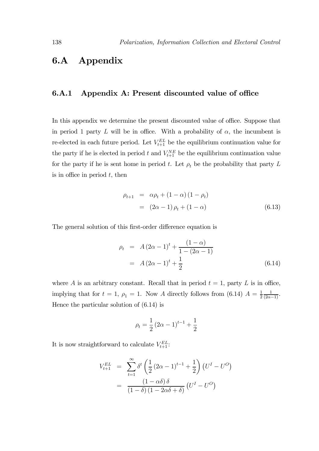### 6.A Appendix

#### 6.A.1 Appendix A: Present discounted value of office

In this appendix we determine the present discounted value of office. Suppose that in period 1 party L will be in office. With a probability of  $\alpha$ , the incumbent is re-elected in each future period. Let  $V_{t+1}^{EL}$  be the equilibrium continuation value for the party if he is elected in period t and  $V_{t+1}^{NE}$  be the equilibrium continuation value for the party if he is sent home in period t. Let  $\rho_t$  be the probability that party L is in office in period  $t$ , then

$$
\rho_{t+1} = \alpha \rho_t + (1 - \alpha) (1 - \rho_t) \n= (2\alpha - 1) \rho_t + (1 - \alpha)
$$
\n(6.13)

The general solution of this first-order difference equation is

$$
\rho_t = A (2\alpha - 1)^t + \frac{(1 - \alpha)}{1 - (2\alpha - 1)}
$$
  
=  $A (2\alpha - 1)^t + \frac{1}{2}$  (6.14)

where A is an arbitrary constant. Recall that in period  $t = 1$ , party L is in office, implying that for  $t = 1$ ,  $\rho_1 = 1$ . Now A directly follows from (6.14)  $A = \frac{1}{2}$  $\frac{1}{(2\alpha-1)}$ . Hence the particular solution of (6.14) is

$$
\rho_t = \frac{1}{2} (2\alpha - 1)^{t-1} + \frac{1}{2}
$$

It is now straightforward to calculate  $V_{t+1}^{EL}$ :

$$
V_{t+1}^{EL} = \sum_{t=1}^{\infty} \delta^t \left( \frac{1}{2} (2\alpha - 1)^{t-1} + \frac{1}{2} \right) \left( U^I - U^O \right)
$$

$$
= \frac{(1 - \alpha \delta) \delta}{(1 - \delta) (1 - 2\alpha \delta + \delta)} \left( U^I - U^O \right)
$$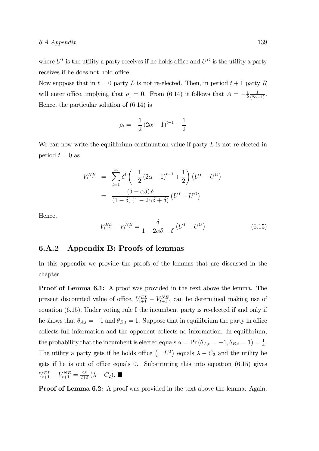where  $U^I$  is the utility a party receives if he holds office and  $U^O$  is the utility a party receives if he does not hold office.

Now suppose that in  $t = 0$  party L is not re-elected. Then, in period  $t + 1$  party R will enter office, implying that  $\rho_1 = 0$ . From (6.14) it follows that  $A = -\frac{1}{2}$  $\frac{1}{(2\alpha-1)}$ . Hence, the particular solution of (6.14) is

$$
\rho_t = -\frac{1}{2} (2\alpha - 1)^{t-1} + \frac{1}{2}
$$

We can now write the equilibrium continuation value if party  $L$  is not re-elected in period  $t = 0$  as

$$
V_{t+1}^{NE} = \sum_{t=1}^{\infty} \delta^t \left( -\frac{1}{2} (2\alpha - 1)^{t-1} + \frac{1}{2} \right) \left( U^I - U^O \right)
$$

$$
= \frac{(\delta - \alpha \delta) \delta}{(1 - \delta) (1 - 2\alpha \delta + \delta)} \left( U^I - U^O \right)
$$

Hence,

$$
V_{t+1}^{EL} - V_{t+1}^{NE} = \frac{\delta}{1 - 2\alpha\delta + \delta} \left( U^I - U^O \right) \tag{6.15}
$$

#### 6.A.2 Appendix B: Proofs of lemmas

In this appendix we provide the proofs of the lemmas that are discussed in the chapter.

Proof of Lemma 6.1: A proof was provided in the text above the lemma. The present discounted value of office,  $V_{t+1}^{EL} - V_{t+1}^{NE}$ , can be determined making use of equation (6.15). Under voting rule I the incumbent party is re-elected if and only if he shows that  $\theta_{A,t} = -1$  and  $\theta_{B,t} = 1$ . Suppose that in equilibrium the party in office collects full information and the opponent collects no information. In equilibrium, the probability that the incumbent is elected equals  $\alpha = \Pr(\theta_{A,t} = -1, \theta_{B,t} = 1) = \frac{1}{4}$ . The utility a party gets if he holds office  $(=U^I)$  equals  $\lambda - C_2$  and the utility he gets if he is out of office equals 0. Substituting this into equation (6.15) gives  $V_{t+1}^{EL} - V_{t+1}^{NE} = \frac{2\delta}{2+\delta} (\lambda - C_2).$ 

**Proof of Lemma 6.2:** A proof was provided in the text above the lemma. Again,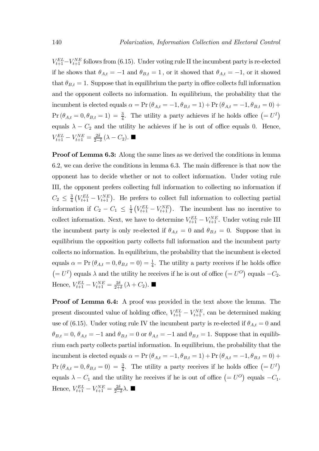$V_{t+1}^{EL} - V_{t+1}^{NE}$  follows from (6.15). Under voting rule II the incumbent party is re-elected if he shows that  $\theta_{A,t} = -1$  and  $\theta_{B,t} = 1$ , or it showed that  $\theta_{A,t} = -1$ , or it showed that  $\theta_{B,t} = 1$ . Suppose that in equilibrium the party in office collects full information and the opponent collects no information. In equilibrium, the probability that the incumbent is elected equals  $\alpha = \Pr(\theta_{A,t} = -1, \theta_{B,t} = 1) + \Pr(\theta_{A,t} = -1, \theta_{B,t} = 0) +$  $Pr(\theta_{A,t} = 0, \theta_{B,t} = 1) = \frac{3}{4}$ . The utility a party achieves if he holds office  $(= U^I)$ equals  $\lambda - C_2$  and the utility he achieves if he is out of office equals 0. Hence,  $V_{t+1}^{EL} - V_{t+1}^{NE} = \frac{2\delta}{2-\delta} (\lambda - C_2).$ 

Proof of Lemma 6.3: Along the same lines as we derived the conditions in lemma 6.2, we can derive the conditions in lemma 6.3. The main difference is that now the opponent has to decide whether or not to collect information. Under voting rule III, the opponent prefers collecting full information to collecting no information if  $C_2 \leq \frac{3}{4} \left( V_{t+1}^{EL} - V_{t+1}^{NE} \right)$ . He prefers to collect full information to collecting partial information if  $C_2 - C_1 \leq \frac{1}{4} \left( V_{t+1}^{EL} - V_{t+1}^{NE} \right)$ . The incumbent has no incentive to collect information. Next, we have to determine  $V_{t+1}^{EL} - V_{t+1}^{NE}$ . Under voting rule III the incumbent party is only re-elected if  $\theta_{A,t} = 0$  and  $\theta_{B,t} = 0$ . Suppose that in equilibrium the opposition party collects full information and the incumbent party collects no information. In equilibrium, the probability that the incumbent is elected equals  $\alpha = \Pr(\theta_{A,t} = 0, \theta_{B,t} = 0) = \frac{1}{4}$ . The utility a party receives if he holds office  $(= U<sup>I</sup>)$  equals  $\lambda$  and the utility he receives if he is out of office  $( = U<sup>O</sup>)$  equals  $-C_2$ . Hence,  $V_{t+1}^{EL} - V_{t+1}^{NE} = \frac{2\delta}{2+\delta} (\lambda + C_2)$ .

Proof of Lemma 6.4: A proof was provided in the text above the lemma. The present discounted value of holding office,  $V_{t+1}^{EL} - V_{t+1}^{NE}$ , can be determined making use of (6.15). Under voting rule IV the incumbent party is re-elected if  $\theta_{A,t} = 0$  and  $\theta_{B,t} = 0$ ,  $\theta_{A,t} = -1$  and  $\theta_{B,t} = 0$  or  $\theta_{A,t} = -1$  and  $\theta_{B,t} = 1$ . Suppose that in equilibrium each party collects partial information. In equilibrium, the probability that the incumbent is elected equals  $\alpha = \Pr(\theta_{A,t} = -1, \theta_{B,t} = 1) + \Pr(\theta_{A,t} = -1, \theta_{B,t} = 0) +$  $Pr(\theta_{A,t} = 0, \theta_{B,t} = 0) = \frac{3}{4}$ . The utility a party receives if he holds office  $(= U^I)$ equals  $\lambda - C_1$  and the utility he receives if he is out of office  $(= U^O)$  equals  $-C_1$ . Hence,  $V_{t+1}^{EL} - V_{t+1}^{NE} = \frac{2\delta}{2-\delta} \lambda$ .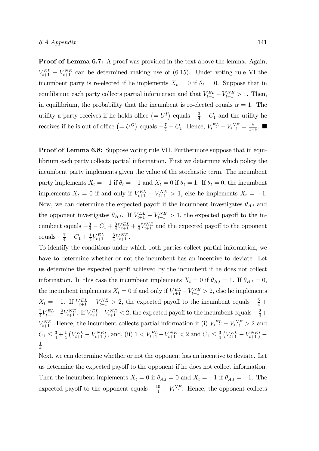**Proof of Lemma 6.7:** A proof was provided in the text above the lemma. Again,  $V_{t+1}^{EL} - V_{t+1}^{NE}$  can be determined making use of (6.15). Under voting rule VI the incumbent party is re-elected if he implements  $X_t = 0$  if  $\theta_t = 0$ . Suppose that in equilibrium each party collects partial information and that  $V_{t+1}^{EL} - V_{t+1}^{NE} > 1$ . Then, in equilibrium, the probability that the incumbent is re-elected equals  $\alpha = 1$ . The utility a party receives if he holds office  $(=U^I)$  equals  $-\frac{3}{4} - C_1$  and the utility he receives if he is out of office  $(=U^O)$  equals  $-\frac{7}{4} - C_1$ . Hence,  $V_{t+1}^{EL} - V_{t+1}^{NE} = \frac{\delta}{1-\delta}$ .

**Proof of Lemma 6.8:** Suppose voting rule VII. Furthermore suppose that in equilibrium each party collects partial information. First we determine which policy the incumbent party implements given the value of the stochastic term. The incumbent party implements  $X_t = -1$  if  $\theta_t = -1$  and  $X_t = 0$  if  $\theta_t = 1$ . If  $\theta_t = 0$ , the incumbent implements  $X_t = 0$  if and only if  $V_{t+1}^{EL} - V_{t+1}^{NE} > 1$ , else he implements  $X_t = -1$ . Now, we can determine the expected payoff if the incumbent investigates  $\theta_{A,t}$  and the opponent investigates  $\theta_{B,t}$ . If  $V_{t+1}^{EL} - V_{t+1}^{NE} > 1$ , the expected payoff to the incumbent equals  $-\frac{3}{4} - C_1 + \frac{3}{4}V_{t+1}^{EL} + \frac{1}{4}V_{t+1}^{NE}$  and the expected payoff to the opponent equals  $-\frac{7}{4} - C_1 + \frac{1}{4}V_{t+1}^{EL} + \frac{3}{4}V_{t+1}^{NE}$ .

To identify the conditions under which both parties collect partial information, we have to determine whether or not the incumbent has an incentive to deviate. Let us determine the expected payoff achieved by the incumbent if he does not collect information. In this case the incumbent implements  $X_t = 0$  if  $\theta_{B,t} = 1$ . If  $\theta_{B,t} = 0$ , the incumbent implements  $X_t = 0$  if and only if  $V_{t+1}^{EL} - V_{t+1}^{NE} > 2$ , else he implements  $X_t = -1$ . If  $V_{t+1}^{EL} - V_{t+1}^{NE} > 2$ , the expected payoff to the incumbent equals  $-\frac{6}{4}$  +  $\frac{2}{4}V_{t+1}^{EL} + \frac{2}{4}V_{t+1}^{NE}$ . If  $V_{t+1}^{EL} - V_{t+1}^{NE} < 2$ , the expected payoff to the incumbent equals  $-\frac{2}{4}$  +  $V_{t+1}^{NE}$ . Hence, the incumbent collects partial information if (i)  $V_{t+1}^{EL} - V_{t+1}^{NE} > 2$  and  $C_1 \leq \frac{3}{4} + \frac{1}{4} \left( V_{t+1}^{EL} - V_{t+1}^{NE} \right)$ , and, (ii)  $1 < V_{t+1}^{EL} - V_{t+1}^{NE} < 2$  and  $C_1 \leq \frac{3}{4} \left( V_{t+1}^{EL} - V_{t+1}^{NE} \right)$  $\frac{1}{4}$ .

Next, we can determine whether or not the opponent has an incentive to deviate. Let us determine the expected payoff to the opponent if he does not collect information. Then the incumbent implements  $X_t = 0$  if  $\theta_{A,t} = 0$  and  $X_t = -1$  if  $\theta_{A,t} = -1$ . The expected payoff to the opponent equals  $-\frac{10}{4} + V_{t+1}^{NE}$ . Hence, the opponent collects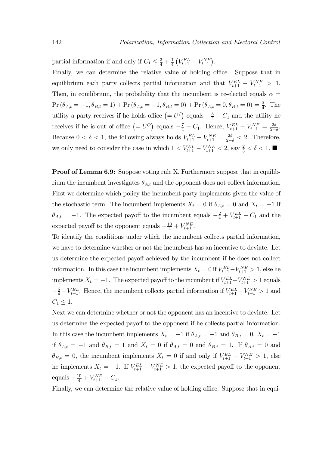partial information if and only if  $C_1 \leq \frac{3}{4} + \frac{1}{4} \left( V_{t+1}^{EL} - V_{t+1}^{NE} \right)$ .

Finally, we can determine the relative value of holding office. Suppose that in equilibrium each party collects partial information and that  $V_{t+1}^{EL} - V_{t+1}^{NE} > 1$ . Then, in equilibrium, the probability that the incumbent is re-elected equals  $\alpha =$  $Pr(\theta_{A,t} = -1, \theta_{B,t} = 1) + Pr(\theta_{A,t} = -1, \theta_{B,t} = 0) + Pr(\theta_{A,t} = 0, \theta_{B,t} = 0) = \frac{3}{4}$ . The utility a party receives if he holds office  $(=U^I)$  equals  $-\frac{3}{4} - C_1$  and the utility he receives if he is out of office  $(=U^O)$  equals  $-\frac{7}{4} - C_1$ . Hence,  $V_{t+1}^{EL} - V_{t+1}^{NE} = \frac{2\delta}{2-\delta}$ . Because  $0 < \delta < 1$ , the following always holds  $V_{t+1}^{EL} - V_{t+1}^{NE} = \frac{2\delta}{2-\delta} < 2$ . Therefore, we only need to consider the case in which  $1 < V_{t+1}^{EL} - V_{t+1}^{NE} < 2$ , say  $\frac{2}{3} < \delta < 1$ .

**Proof of Lemma 6.9:** Suppose voting rule X. Furthermore suppose that in equilibrium the incumbent investigates  $\theta_{A,t}$  and the opponent does not collect information. First we determine which policy the incumbent party implements given the value of the stochastic term. The incumbent implements  $X_t = 0$  if  $\theta_{A,t} = 0$  and  $X_t = -1$  if  $\theta_{A,t} = -1$ . The expected payoff to the incumbent equals  $-\frac{2}{4} + V_{t+1}^{EL} - C_1$  and the expected payoff to the opponent equals  $-\frac{10}{4} + V_{t+1}^{NE}$ .

To identify the conditions under which the incumbent collects partial information, we have to determine whether or not the incumbent has an incentive to deviate. Let us determine the expected payoff achieved by the incumbent if he does not collect information. In this case the incumbent implements  $X_t = 0$  if  $V_{t+1}^{EL} - V_{t+1}^{NE} > 1$ , else he implements  $X_t = -1$ . The expected payoff to the incumbent if  $V_{t+1}^{EL} - V_{t+1}^{NE} > 1$  equals  $-\frac{6}{4} + V_{t+1}^{EL}$ . Hence, the incumbent collects partial information if  $V_{t+1}^{EL} - V_{t+1}^{NE} > 1$  and  $C_1 \leq 1$ .

Next we can determine whether or not the opponent has an incentive to deviate. Let us determine the expected payoff to the opponent if he collects partial information. In this case the incumbent implements  $X_t = -1$  if  $\theta_{A,t} = -1$  and  $\theta_{B,t} = 0$ ,  $X_t = -1$ if  $\theta_{A,t} = -1$  and  $\theta_{B,t} = 1$  and  $X_t = 0$  if  $\theta_{A,t} = 0$  and  $\theta_{B,t} = 1$ . If  $\theta_{A,t} = 0$  and  $\theta_{B,t} = 0$ , the incumbent implements  $X_t = 0$  if and only if  $V_{t+1}^{EL} - V_{t+1}^{NE} > 1$ , else he implements  $X_t = -1$ . If  $V_{t+1}^{EL} - V_{t+1}^{NE} > 1$ , the expected payoff to the opponent equals  $-\frac{10}{4} + V_{t+1}^{NE} - C_1$ .

Finally, we can determine the relative value of holding office. Suppose that in equi-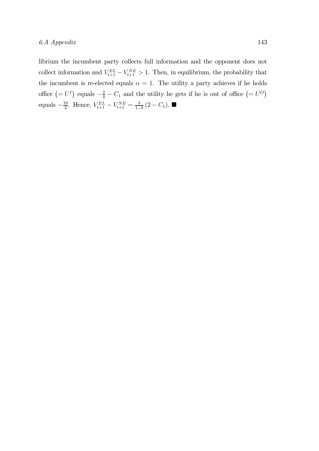librium the incumbent party collects full information and the opponent does not collect information and  $V_{t+1}^{EL} - V_{t+1}^{NE} > 1$ . Then, in equilibrium, the probability that the incumbent is re-elected equals  $\alpha = 1$ . The utility a party achieves if he holds office  $(= U^I)$  equals  $-\frac{2}{4} - C_1$  and the utility he gets if he is out of office  $(= U^O)$ equals  $-\frac{10}{4}$ . Hence,  $V_{t+1}^{EL} - V_{t+1}^{NE} = \frac{\delta}{1-\delta} (2 - C_1)$ .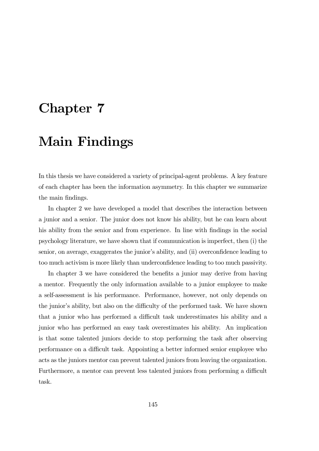# Chapter 7

# Main Findings

In this thesis we have considered a variety of principal-agent problems. A key feature of each chapter has been the information asymmetry. In this chapter we summarize the main findings.

In chapter 2 we have developed a model that describes the interaction between a junior and a senior. The junior does not know his ability, but he can learn about his ability from the senior and from experience. In line with findings in the social psychology literature, we have shown that if communication is imperfect, then (i) the senior, on average, exaggerates the junior's ability, and (ii) overconfidence leading to too much activism is more likely than underconfidence leading to too much passivity.

In chapter 3 we have considered the benefits a junior may derive from having a mentor. Frequently the only information available to a junior employee to make a self-assessment is his performance. Performance, however, not only depends on the junior's ability, but also on the difficulty of the performed task. We have shown that a junior who has performed a difficult task underestimates his ability and a junior who has performed an easy task overestimates his ability. An implication is that some talented juniors decide to stop performing the task after observing performance on a difficult task. Appointing a better informed senior employee who acts as the juniors mentor can prevent talented juniors from leaving the organization. Furthermore, a mentor can prevent less talented juniors from performing a difficult task.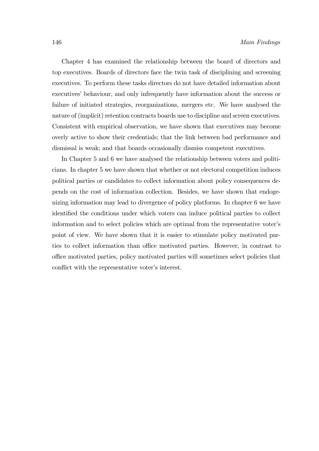Chapter 4 has examined the relationship between the board of directors and top executives. Boards of directors face the twin task of disciplining and screening executives. To perform these tasks directors do not have detailed information about executives' behaviour, and only infrequently have information about the success or failure of initiated strategies, reorganizations, mergers etc. We have analysed the nature of (implicit) retention contracts boards use to discipline and screen executives. Consistent with empirical observation, we have shown that executives may become overly active to show their credentials; that the link between bad performance and dismissal is weak; and that boards occasionally dismiss competent executives.

In Chapter 5 and 6 we have analysed the relationship between voters and politicians. In chapter 5 we have shown that whether or not electoral competition induces political parties or candidates to collect information about policy consequences depends on the cost of information collection. Besides, we have shown that endogenizing information may lead to divergence of policy platforms. In chapter 6 we have identified the conditions under which voters can induce political parties to collect information and to select policies which are optimal from the representative voter's point of view. We have shown that it is easier to stimulate policy motivated parties to collect information than office motivated parties. However, in contrast to office motivated parties, policy motivated parties will sometimes select policies that conflict with the representative voter's interest.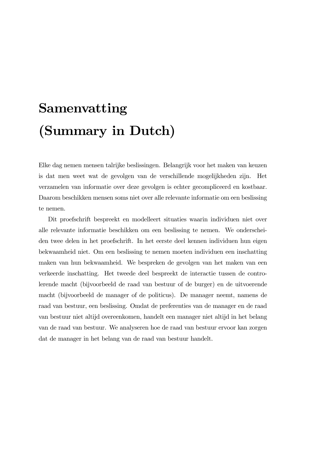# Samenvatting (Summary in Dutch)

Elke dag nemen mensen talrijke beslissingen. Belangrijk voor het maken van keuzen is dat men weet wat de gevolgen van de verschillende mogelijkheden zijn. Het verzamelen van informatie over deze gevolgen is echter gecompliceerd en kostbaar. Daarom beschikken mensen soms niet over alle relevante informatie om een beslissing te nemen.

Dit proefschrift bespreekt en modelleert situaties waarin individuen niet over alle relevante informatie beschikken om een beslissing te nemen. We onderscheiden twee delen in het proefschrift. In het eerste deel kennen individuen hun eigen bekwaamheid niet. Om een beslissing te nemen moeten individuen een inschatting maken van hun bekwaamheid. We bespreken de gevolgen van het maken van een verkeerde inschatting. Het tweede deel bespreekt de interactie tussen de controlerende macht (bijvoorbeeld de raad van bestuur of de burger) en de uitvoerende macht (bijvoorbeeld de manager of de politicus). De manager neemt, namens de raad van bestuur, een beslissing. Omdat de preferenties van de manager en de raad van bestuur niet altijd overeenkomen, handelt een manager niet altijd in het belang van de raad van bestuur. We analyseren hoe de raad van bestuur ervoor kan zorgen dat de manager in het belang van de raad van bestuur handelt.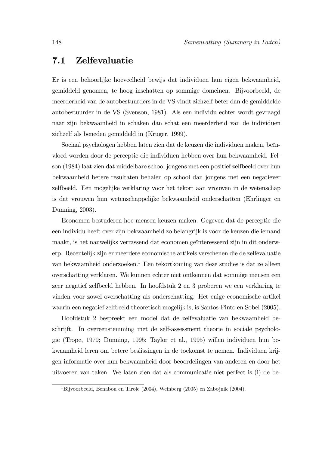## 7.1 Zelfevaluatie

Er is een behoorlijke hoeveelheid bewijs dat individuen hun eigen bekwaamheid, gemiddeld genomen, te hoog inschatten op sommige domeinen. Bijvoorbeeld, de meerderheid van de autobestuurders in de VS vindt zichzelf beter dan de gemiddelde autobestuurder in de VS (Svenson, 1981). Als een individu echter wordt gevraagd naar zijn bekwaamheid in schaken dan schat een meerderheid van de individuen zichzelf als beneden gemiddeld in (Kruger, 1999).

Sociaal psychologen hebben laten zien dat de keuzen die individuen maken, beïnvloed worden door de perceptie die individuen hebben over hun bekwaamheid. Felson (1984) laat zien dat middelbare school jongens met een positief zelfbeeld over hun bekwaamheid betere resultaten behalen op school dan jongens met een negatiever zelfbeeld. Een mogelijke verklaring voor het tekort aan vrouwen in de wetenschap is dat vrouwen hun wetenschappelijke bekwaamheid onderschatten (Ehrlinger en Dunning, 2003).

Economen bestuderen hoe mensen keuzen maken. Gegeven dat de perceptie die een individu heeft over zijn bekwaamheid zo belangrijk is voor de keuzen die iemand maakt, is het nauwelijks verrassend dat economen geïnteresseerd zijn in dit onderwerp. Recentelijk zijn er meerdere economische artikels verschenen die de zelfevaluatie van bekwaamheid onderzoeken.<sup>1</sup> Een tekortkoming van deze studies is dat ze alleen overschatting verklaren. We kunnen echter niet ontkennen dat sommige mensen een zeer negatief zelfbeeld hebben. In hoofdstuk 2 en 3 proberen we een verklaring te vinden voor zowel overschatting als onderschatting. Het enige economische artikel waarin een negatief zelfbeeld theoretisch mogelijk is, is Santos-Pinto en Sobel (2005).

Hoofdstuk 2 bespreekt een model dat de zelfevaluatie van bekwaamheid beschrijft. In overeenstemming met de self-assessment theorie in sociale psychologie (Trope, 1979; Dunning, 1995; Taylor et al., 1995) willen individuen hun bekwaamheid leren om betere beslissingen in de toekomst te nemen. Individuen krijgen informatie over hun bekwaamheid door beoordelingen van anderen en door het uitvoeren van taken. We laten zien dat als communicatie niet perfect is (i) de be-

<sup>1</sup>Bijvoorbeeld, Benabou en Tirole (2004), Weinberg (2005) en Zabojnik (2004).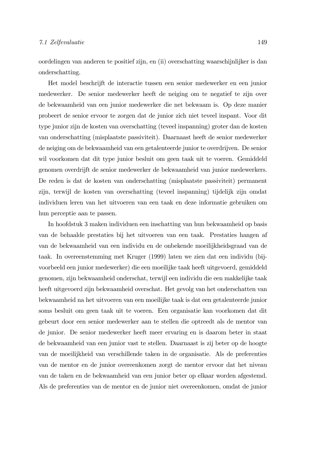oordelingen van anderen te positief zijn, en (ii) overschatting waarschijnlijker is dan onderschatting.

Het model beschrijft de interactie tussen een senior medewerker en een junior medewerker. De senior medewerker heeft de neiging om te negatief te zijn over de bekwaamheid van een junior medewerker die net bekwaam is. Op deze manier probeert de senior ervoor te zorgen dat de junior zich niet teveel inspant. Voor dit type junior zijn de kosten van overschatting (teveel inspanning) groter dan de kosten van onderschatting (misplaatste passiviteit). Daarnaast heeft de senior medewerker de neiging om de bekwaamheid van een getalenteerde junior te overdrijven. De senior wil voorkomen dat dit type junior besluit om geen taak uit te voeren. Gemiddeld genomen overdrijft de senior medewerker de bekwaamheid van junior medewerkers. De reden is dat de kosten van onderschatting (misplaatste passiviteit) permanent zijn, terwijl de kosten van overschatting (teveel inspanning) tijdelijk zijn omdat individuen leren van het uitvoeren van een taak en deze informatie gebruiken om hun perceptie aan te passen.

In hoofdstuk 3 maken individuen een inschatting van hun bekwaamheid op basis van de behaalde prestaties bij het uitvoeren van een taak. Prestaties hangen af van de bekwaamheid van een individu en de onbekende moeilijkheidsgraad van de taak. In overeenstemming met Kruger (1999) laten we zien dat een individu (bijvoorbeeld een junior medewerker) die een moeilijke taak heeft uitgevoerd, gemiddeld genomen, zijn bekwaamheid onderschat, terwijl een individu die een makkelijke taak heeft uitgevoerd zijn bekwaamheid overschat. Het gevolg van het onderschatten van bekwaamheid na het uitvoeren van een moeilijke taak is dat een getalenteerde junior soms besluit om geen taak uit te voeren. Een organisatie kan voorkomen dat dit gebeurt door een senior medewerker aan te stellen die optreedt als de mentor van de junior. De senior medewerker heeft meer ervaring en is daarom beter in staat de bekwaamheid van een junior vast te stellen. Daarnaast is zij beter op de hoogte van de moeilijkheid van verschillende taken in de organisatie. Als de preferenties van de mentor en de junior overeenkomen zorgt de mentor ervoor dat het niveau van de taken en de bekwaamheid van een junior beter op elkaar worden afgestemd. Als de preferenties van de mentor en de junior niet overeenkomen, omdat de junior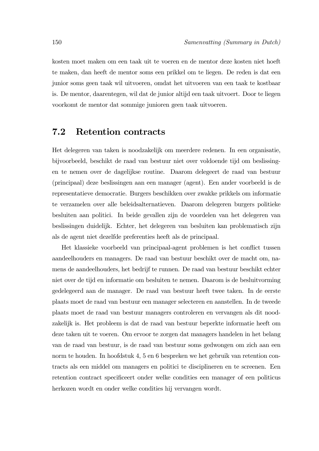kosten moet maken om een taak uit te voeren en de mentor deze kosten niet hoeft te maken, dan heeft de mentor soms een prikkel om te liegen. De reden is dat een junior soms geen taak wil uitvoeren, omdat het uitvoeren van een taak te kostbaar is. De mentor, daarentegen, wil dat de junior altijd een taak uitvoert. Door te liegen voorkomt de mentor dat sommige junioren geen taak uitvoeren.

### 7.2 Retention contracts

Het delegeren van taken is noodzakelijk om meerdere redenen. In een organisatie, bijvoorbeeld, beschikt de raad van bestuur niet over voldoende tijd om beslissingen te nemen over de dagelijkse routine. Daarom delegeert de raad van bestuur (principaal) deze beslissingen aan een manager (agent). Een ander voorbeeld is de representatieve democratie. Burgers beschikken over zwakke prikkels om informatie te verzamelen over alle beleidsalternatieven. Daarom delegeren burgers politieke besluiten aan politici. In beide gevallen zijn de voordelen van het delegeren van beslissingen duidelijk. Echter, het delegeren van besluiten kan problematisch zijn als de agent niet dezelfde preferenties heeft als de principaal.

Het klassieke voorbeeld van principaal-agent problemen is het conflict tussen aandeelhouders en managers. De raad van bestuur beschikt over de macht om, namens de aandeelhouders, het bedrijf te runnen. De raad van bestuur beschikt echter niet over de tijd en informatie om besluiten te nemen. Daarom is de besluitvorming gedelegeerd aan de manager. De raad van bestuur heeft twee taken. In de eerste plaats moet de raad van bestuur een manager selecteren en aanstellen. In de tweede plaats moet de raad van bestuur managers controleren en vervangen als dit noodzakelijk is. Het probleem is dat de raad van bestuur beperkte informatie heeft om deze taken uit te voeren. Om ervoor te zorgen dat managers handelen in het belang van de raad van bestuur, is de raad van bestuur soms gedwongen om zich aan een norm te houden. In hoofdstuk 4, 5 en 6 bespreken we het gebruik van retention contracts als een middel om managers en politici te disciplineren en te screenen. Een retention contract specificeert onder welke condities een manager of een politicus herkozen wordt en onder welke condities hij vervangen wordt.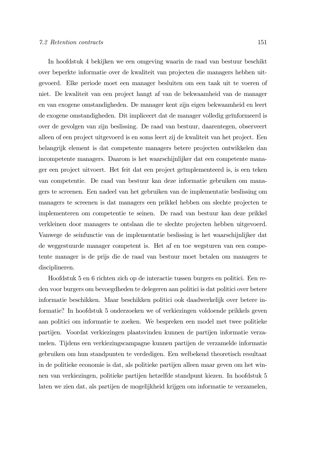In hoofdstuk 4 bekijken we een omgeving waarin de raad van bestuur beschikt over beperkte informatie over de kwaliteit van projecten die managers hebben uitgevoerd. Elke periode moet een manager besluiten om een taak uit te voeren of niet. De kwaliteit van een project hangt af van de bekwaamheid van de manager en van exogene omstandigheden. De manager kent zijn eigen bekwaamheid en leert de exogene omstandigheden. Dit impliceert dat de manager volledig geïnformeerd is over de gevolgen van zijn beslissing. De raad van bestuur, daarentegen, observeert alleen of een project uitgevoerd is en soms leert zij de kwaliteit van het project. Een belangrijk element is dat competente managers betere projecten ontwikkelen dan incompetente managers. Daarom is het waarschijnlijker dat een competente manager een project uitvoert. Het feit dat een project geïmplementeerd is, is een teken van competentie. De raad van bestuur kan deze informatie gebruiken om managers te screenen. Een nadeel van het gebruiken van de implementatie beslissing om managers te screenen is dat managers een prikkel hebben om slechte projecten te implementeren om competentie te seinen. De raad van bestuur kan deze prikkel verkleinen door managers te ontslaan die te slechte projecten hebben uitgevoerd. Vanwege de seinfunctie van de implementatie beslissing is het waarschijnlijker dat de weggestuurde manager competent is. Het af en toe wegsturen van een competente manager is de prijs die de raad van bestuur moet betalen om managers te disciplineren.

Hoofdstuk 5 en 6 richten zich op de interactie tussen burgers en politici. Een reden voor burgers om bevoegdheden te delegeren aan politici is dat politici over betere informatie beschikken. Maar beschikken politici ook daadwerkelijk over betere informatie? In hoofdstuk 5 onderzoeken we of verkiezingen voldoende prikkels geven aan politici om informatie te zoeken. We bespreken een model met twee politieke partijen. Voordat verkiezingen plaatsvinden kunnen de partijen informatie verzamelen. Tijdens een verkiezingscampagne kunnen partijen de verzamelde informatie gebruiken om hun standpunten te verdedigen. Een welbekend theoretisch resultaat in de politieke economie is dat, als politieke partijen alleen maar geven om het winnen van verkiezingen, politieke partijen hetzelfde standpunt kiezen. In hoofdstuk 5 laten we zien dat, als partijen de mogelijkheid krijgen om informatie te verzamelen,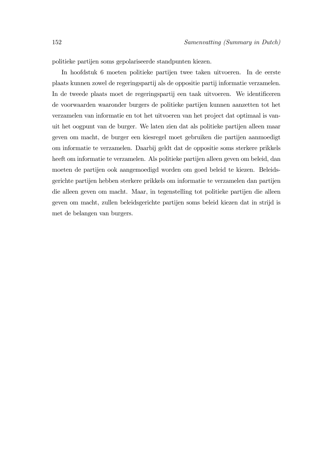politieke partijen soms gepolariseerde standpunten kiezen.

In hoofdstuk 6 moeten politieke partijen twee taken uitvoeren. In de eerste plaats kunnen zowel de regeringspartij als de oppositie partij informatie verzamelen. In de tweede plaats moet de regeringspartij een taak uitvoeren. We identificeren de voorwaarden waaronder burgers de politieke partijen kunnen aanzetten tot het verzamelen van informatie en tot het uitvoeren van het project dat optimaal is vanuit het oogpunt van de burger. We laten zien dat als politieke partijen alleen maar geven om macht, de burger een kiesregel moet gebruiken die partijen aanmoedigt om informatie te verzamelen. Daarbij geldt dat de oppositie soms sterkere prikkels heeft om informatie te verzamelen. Als politieke partijen alleen geven om beleid, dan moeten de partijen ook aangemoedigd worden om goed beleid te kiezen. Beleidsgerichte partijen hebben sterkere prikkels om informatie te verzamelen dan partijen die alleen geven om macht. Maar, in tegenstelling tot politieke partijen die alleen geven om macht, zullen beleidsgerichte partijen soms beleid kiezen dat in strijd is met de belangen van burgers.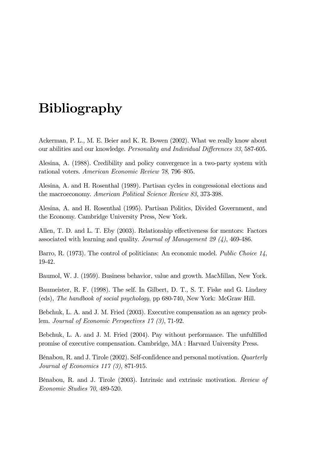# Bibliography

Ackerman, P. L., M. E. Beier and K. R. Bowen (2002). What we really know about our abilities and our knowledge. Personality and Individual Differences 33, 587-605.

Alesina, A. (1988). Credibility and policy convergence in a two-party system with rational voters. American Economic Review 78, 796—805.

Alesina, A. and H. Rosenthal (1989). Partisan cycles in congressional elections and the macroeconomy. American Political Science Review 83, 373-398.

Alesina, A. and H. Rosenthal (1995). Partisan Politics, Divided Government, and the Economy. Cambridge University Press, New York.

Allen, T. D. and L. T. Eby (2003). Relationship effectiveness for mentors: Factors associated with learning and quality. Journal of Management 29 (4), 469-486.

Barro, R. (1973). The control of politicians: An economic model. Public Choice 14, 19-42.

Baumol, W. J. (1959). Business behavior, value and growth. MacMillan, New York.

Baumeister, R. F. (1998). The self. In Gilbert, D. T., S. T. Fiske and G. Lindzey (eds), The handbook of social psychology, pp 680-740, New York: McGraw Hill.

Bebchuk, L. A. and J. M. Fried (2003). Executive compensation as an agency problem. Journal of Economic Perspectives 17 (3), 71-92.

Bebchuk, L. A. and J. M. Fried (2004). Pay without performance. The unfulfilled promise of executive compensation. Cambridge, MA : Harvard University Press.

Bénabou, R. and J. Tirole (2002). Self-confidence and personal motivation. Quarterly Journal of Economics 117 (3), 871-915.

Bénabou, R. and J. Tirole (2003). Intrinsic and extrinsic motivation. Review of Economic Studies 70, 489-520.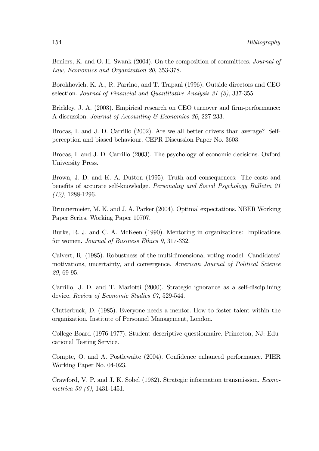Beniers, K. and O. H. Swank (2004). On the composition of committees. *Journal of* Law, Economics and Organization 20, 353-378.

Borokhovich, K. A., R. Parrino, and T. Trapani (1996). Outside directors and CEO selection. Journal of Financial and Quantitative Analysis 31 (3), 337-355.

Brickley, J. A. (2003). Empirical research on CEO turnover and firm-performance: A discussion. Journal of Accounting & Economics 36, 227-233.

Brocas, I. and J. D. Carrillo (2002). Are we all better drivers than average? Selfperception and biased behaviour. CEPR Discussion Paper No. 3603.

Brocas, I. and J. D. Carrillo (2003). The psychology of economic decisions. Oxford University Press.

Brown, J. D. and K. A. Dutton (1995). Truth and consequences: The costs and benefits of accurate self-knowledge. Personality and Social Psychology Bulletin 21  $(12)$ , 1288-1296.

Brunnermeier, M. K. and J. A. Parker (2004). Optimal expectations. NBER Working Paper Series, Working Paper 10707.

Burke, R. J. and C. A. McKeen (1990). Mentoring in organizations: Implications for women. Journal of Business Ethics 9, 317-332.

Calvert, R. (1985). Robustness of the multidimensional voting model: Candidates' motivations, uncertainty, and convergence. American Journal of Political Science 29, 69-95.

Carrillo, J. D. and T. Mariotti (2000). Strategic ignorance as a self-disciplining device. Review of Economic Studies 67, 529-544.

Clutterbuck, D. (1985). Everyone needs a mentor. How to foster talent within the organization. Institute of Personnel Management, London.

College Board (1976-1977). Student descriptive questionnaire. Princeton, NJ: Educational Testing Service.

Compte, O. and A. Postlewaite (2004). Confidence enhanced performance. PIER Working Paper No. 04-023.

Crawford, V. P. and J. K. Sobel (1982). Strategic information transmission. Econometrica 50 (6), 1431-1451.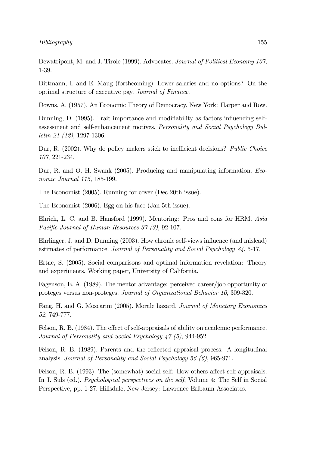Dewatripont, M. and J. Tirole (1999). Advocates. Journal of Political Economy 107, 1-39.

Dittmann, I. and E. Maug (forthcoming). Lower salaries and no options? On the optimal structure of executive pay. Journal of Finance.

Downs, A. (1957), An Economic Theory of Democracy, New York: Harper and Row.

Dunning, D. (1995). Trait importance and modifiability as factors influencing selfassessment and self-enhancement motives. Personality and Social Psychology Bulletin 21 (12), 1297-1306.

Dur, R. (2002). Why do policy makers stick to inefficient decisions? Public Choice 107, 221-234.

Dur, R. and O. H. Swank (2005). Producing and manipulating information. Economic Journal 115, 185-199.

The Economist (2005). Running for cover (Dec 20th issue).

The Economist (2006). Egg on his face (Jan 5th issue).

Ehrich, L. C. and B. Hansford (1999). Mentoring: Pros and cons for HRM. Asia Pacific Journal of Human Resources 37 (3), 92-107.

Ehrlinger, J. and D. Dunning (2003). How chronic self-views influence (and mislead) estimates of performance. Journal of Personality and Social Psychology 84, 5-17.

Ertac, S. (2005). Social comparisons and optimal information revelation: Theory and experiments. Working paper, University of California.

Fagenson, E. A. (1989). The mentor advantage: perceived career/job opportunity of proteges versus non-proteges. Journal of Organizational Behavior 10, 309-320.

Fang, H. and G. Moscarini (2005). Morale hazard. Journal of Monetary Economics 52, 749-777.

Felson, R. B. (1984). The effect of self-appraisals of ability on academic performance. Journal of Personality and Social Psychology 47 (5), 944-952.

Felson, R. B. (1989). Parents and the reflected appraisal process: A longitudinal analysis. Journal of Personality and Social Psychology 56 (6), 965-971.

Felson, R. B. (1993). The (somewhat) social self: How others affect self-appraisals. In J. Suls (ed.), Psychological perspectives on the self, Volume 4: The Self in Social Perspective, pp. 1-27. Hillsdale, New Jersey: Lawrence Erlbaum Associates.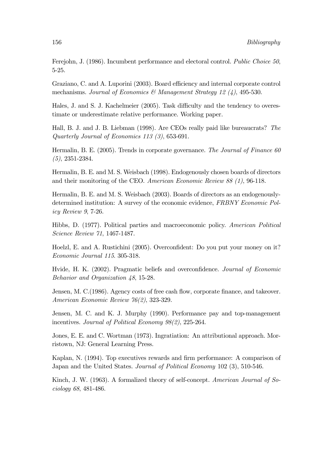Ferejohn, J. (1986). Incumbent performance and electoral control. Public Choice 50, 5-25.

Graziano, C. and A. Luporini (2003). Board efficiency and internal corporate control mechanisms. Journal of Economics & Management Strategy 12  $(4)$ , 495-530.

Hales, J. and S. J. Kachelmeier (2005). Task difficulty and the tendency to overestimate or underestimate relative performance. Working paper.

Hall, B. J. and J. B. Liebman (1998). Are CEOs really paid like bureaucrats? The Quarterly Journal of Economics 113 (3), 653-691.

Hermalin, B. E. (2005). Trends in corporate governance. The Journal of Finance 60 (5), 2351-2384.

Hermalin, B. E. and M. S. Weisbach (1998). Endogenously chosen boards of directors and their monitoring of the CEO. American Economic Review 88 (1), 96-118.

Hermalin, B. E. and M. S. Weisbach (2003). Boards of directors as an endogenouslydetermined institution: A survey of the economic evidence, FRBNY Economic Policy Review 9, 7-26.

Hibbs, D. (1977). Political parties and macroeconomic policy. American Political Science Review 71, 1467-1487.

Hoelzl, E. and A. Rustichini (2005). Overconfident: Do you put your money on it? Economic Journal 115. 305-318.

Hvide, H. K. (2002). Pragmatic beliefs and overconfidence. Journal of Economic Behavior and Organization 48, 15-28.

Jensen, M. C.(1986). Agency costs of free cash flow, corporate finance, and takeover. American Economic Review 76(2), 323-329.

Jensen, M. C. and K. J. Murphy (1990). Performance pay and top-management incentives. Journal of Political Economy 98(2), 225-264.

Jones, E. E. and C. Wortman (1973). Ingratiation: An attributional approach. Morristown, NJ: General Learning Press.

Kaplan, N. (1994). Top executives rewards and firm performance: A comparison of Japan and the United States. Journal of Political Economy 102 (3), 510-546.

Kinch, J. W. (1963). A formalized theory of self-concept. American Journal of Sociology 68, 481-486.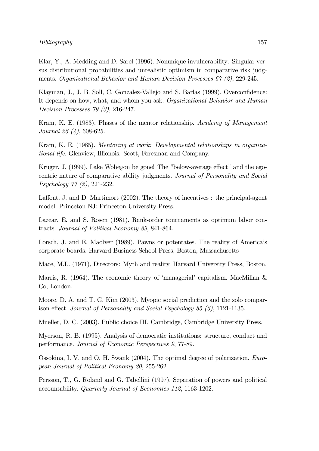Klar, Y., A. Medding and D. Sarel (1996). Nonunique invulnerability: Singular versus distributional probabilities and unrealistic optimism in comparative risk judgments. Organizational Behavior and Human Decision Processes 67 (2), 229-245.

Klayman, J., J. B. Soll, C. Gonzalez-Vallejo and S. Barlas (1999). Overconfidence: It depends on how, what, and whom you ask. Organizational Behavior and Human Decision Processes 79 (3), 216-247.

Kram, K. E. (1983). Phases of the mentor relationship. Academy of Management Journal 26 (4), 608-625.

Kram, K. E. (1985). Mentoring at work: Developmental relationships in organizational life. Glenview, Illionois: Scott, Foresman and Company.

Kruger, J. (1999). Lake Wobegon be gone! The "below-average effect" and the egocentric nature of comparative ability judgments. Journal of Personality and Social Psychology 77 (2), 221-232.

Laffont, J. and D. Martimort (2002). The theory of incentives : the principal-agent model. Princeton NJ: Princeton University Press.

Lazear, E. and S. Rosen (1981). Rank-order tournaments as optimum labor contracts. Journal of Political Economy 89, 841-864.

Lorsch, J. and E. MacIver (1989). Pawns or potentates. The reality of America's corporate boards. Harvard Business School Press, Boston, Massachusetts

Mace, M.L. (1971), Directors: Myth and reality. Harvard University Press, Boston.

Marris, R. (1964). The economic theory of 'managerial' capitalism. MacMillan & Co, London.

Moore, D. A. and T. G. Kim (2003). Myopic social prediction and the solo comparison effect. Journal of Personality and Social Psychology 85 (6), 1121-1135.

Mueller, D. C. (2003). Public choice III. Cambridge, Cambridge University Press.

Myerson, R. B. (1995). Analysis of democratic institutions: structure, conduct and performance. Journal of Economic Perspectives 9, 77-89.

Ossokina, I. V. and O. H. Swank (2004). The optimal degree of polarization. European Journal of Political Economy 20, 255-262.

Persson, T., G. Roland and G. Tabellini (1997). Separation of powers and political accountability. Quarterly Journal of Economics 112, 1163-1202.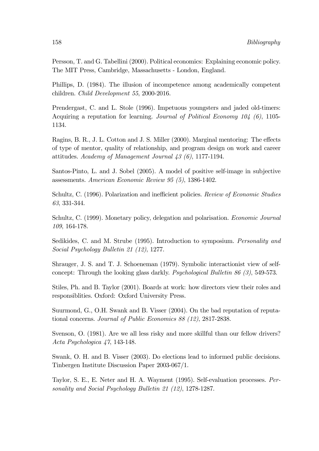Persson, T. and G. Tabellini (2000). Political economics: Explaining economic policy. The MIT Press, Cambridge, Massachusetts - London, England.

Phillips, D. (1984). The illusion of incompetence among academically competent children. Child Development 55, 2000-2016.

Prendergast, C. and L. Stole (1996). Impetuous youngsters and jaded old-timers: Acquiring a reputation for learning. Journal of Political Economy 104 (6), 1105- 1134.

Ragins, B. R., J. L. Cotton and J. S. Miller (2000). Marginal mentoring: The effects of type of mentor, quality of relationship, and program design on work and career attitudes. Academy of Management Journal  $43$  (6), 1177-1194.

Santos-Pinto, L. and J. Sobel (2005). A model of positive self-image in subjective assessments. American Economic Review 95 (5), 1386-1402.

Schultz, C. (1996). Polarization and inefficient policies. Review of Economic Studies 63, 331-344.

Schultz, C. (1999). Monetary policy, delegation and polarisation. *Economic Journal* 109, 164-178.

Sedikides, C. and M. Strube (1995). Introduction to symposium. Personality and Social Psychology Bulletin 21 (12), 1277.

Shrauger, J. S. and T. J. Schoeneman (1979). Symbolic interactionist view of selfconcept: Through the looking glass darkly. Psychological Bulletin 86 (3), 549-573.

Stiles, Ph. and B. Taylor (2001). Boards at work: how directors view their roles and responsiblities. Oxford: Oxford University Press.

Suurmond, G., O.H. Swank and B. Visser (2004). On the bad reputation of reputational concerns. Journal of Public Economics 88 (12), 2817-2838.

Svenson, O. (1981). Are we all less risky and more skillful than our fellow drivers? Acta Psychologica 47, 143-148.

Swank, O. H. and B. Visser (2003). Do elections lead to informed public decisions. Tinbergen Institute Discussion Paper 2003-067/1.

Taylor, S. E., E. Neter and H. A. Wayment (1995). Self-evaluation processes. Personality and Social Psychology Bulletin 21 (12), 1278-1287.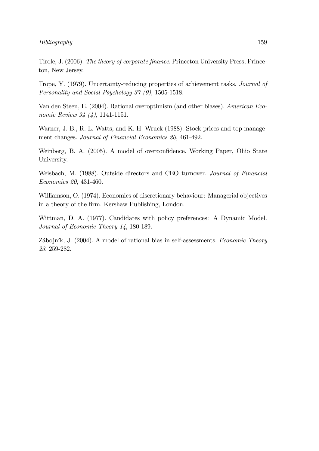Tirole, J. (2006). The theory of corporate finance. Princeton University Press, Princeton, New Jersey.

Trope, Y. (1979). Uncertainty-reducing properties of achievement tasks. Journal of Personality and Social Psychology 37 (9), 1505-1518.

Van den Steen, E. (2004). Rational overoptimism (and other biases). American Economic Review 94 (4), 1141-1151.

Warner, J. B., R. L. Watts, and K. H. Wruck (1988). Stock prices and top management changes. Journal of Financial Economics 20, 461-492.

Weinberg, B. A. (2005). A model of overconfidence. Working Paper, Ohio State University.

Weisbach, M. (1988). Outside directors and CEO turnover. Journal of Financial Economics 20, 431-460.

Williamson, O. (1974). Economics of discretionary behaviour: Managerial objectives in a theory of the firm. Kershaw Publishing, London.

Wittman, D. A. (1977). Candidates with policy preferences: A Dynamic Model. Journal of Economic Theory 14, 180-189.

Zábojník, J. (2004). A model of rational bias in self-assessments. Economic Theory 23, 259-282.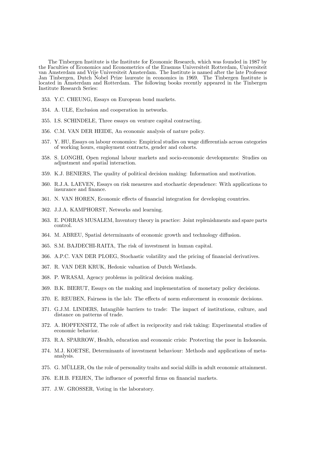The Tinbergen Institute is the Institute for Economic Research, which was founded in 1987 by the Faculties of Economics and Econometrics of the Erasmus Universiteit Rotterdam, Universiteit van Amsterdam and Vrije Universiteit Amsterdam. The Institute is named after the late Professor Jan Tinbergen, Dutch Nobel Prize laureate in economics in 1969. The Tinbergen Institute is located in Amsterdam and Rotterdam. The following books recently appeared in the Tinbergen Institute Research Series:

- 353. Y.C. CHEUNG, Essays on European bond markets.
- 354. A. ULE, Exclusion and cooperation in networks.
- 355. I.S. SCHINDELE, Three essays on venture capital contracting.
- 356. C.M. VAN DER HEIDE, An economic analysis of nature policy.
- 357. Y. HU, Essays on labour economics: Empirical studies on wage differentials across categories of working hours, employment contracts, gender and cohorts.
- 358. S. LONGHI, Open regional labour markets and socio-economic developments: Studies on adjustment and spatial interaction.
- 359. K.J. BENIERS, The quality of political decision making: Information and motivation.
- 360. R.J.A. LAEVEN, Essays on risk measures and stochastic dependence: With applications to insurance and finance.
- 361. N. VAN HOREN, Economic effects of financial integration for developing countries.
- 362. J.J.A. KAMPHORST, Networks and learning.
- 363. E. PORRAS MUSALEM, Inventory theory in practice: Joint replenishments and spare parts control.
- 364. M. ABREU, Spatial determinants of economic growth and technology diffusion.
- 365. S.M. BAJDECHI-RAITA, The risk of investment in human capital.
- 366. A.P.C. VAN DER PLOEG, Stochastic volatility and the pricing of financial derivatives.
- 367. R. VAN DER KRUK, Hedonic valuation of Dutch Wetlands.
- 368. P. WRASAI, Agency problems in political decision making.
- 369. B.K. BIERUT, Essays on the making and implementation of monetary policy decisions.
- 370. E. REUBEN, Fairness in the lab: The effects of norm enforcement in economic decisions.
- 371. G.J.M. LINDERS, Intangible barriers to trade: The impact of institutions, culture, and distance on patterns of trade.
- 372. A. HOPFENSITZ, The role of affect in reciprocity and risk taking: Experimental studies of economic behavior.
- 373. R.A. SPARROW, Health, education and economic crisis: Protecting the poor in Indonesia.
- 374. M.J. KOETSE, Determinants of investment behaviour: Methods and applications of metaanalysis.
- 375. G. MÜLLER, On the role of personality traits and social skills in adult economic attainment.
- 376. E.H.B. FEIJEN, The influence of powerful firms on financial markets.
- 377. J.W. GROSSER, Voting in the laboratory.